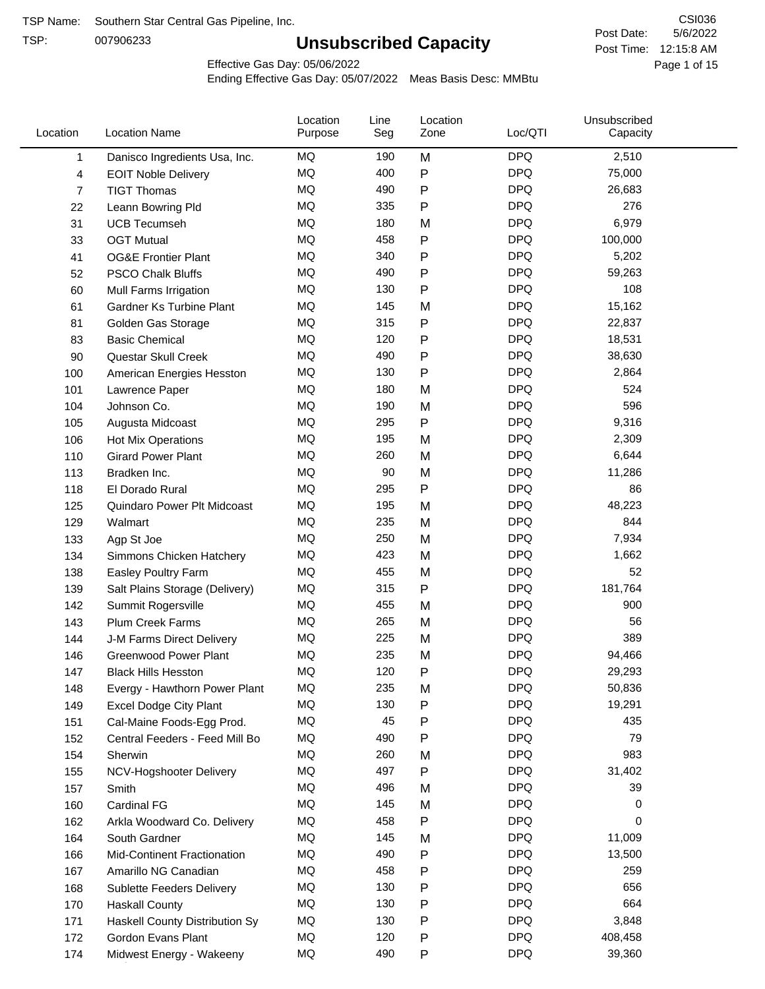TSP:

# **Unsubscribed Capacity**

5/6/2022 Page 1 of 15 Post Time: 12:15:8 AM CSI036 Post Date:

Effective Gas Day: 05/06/2022

| Location | <b>Location Name</b>               | Location<br>Purpose | Line<br>Seg | Location<br>Zone | Loc/QTI    | Unsubscribed<br>Capacity |  |
|----------|------------------------------------|---------------------|-------------|------------------|------------|--------------------------|--|
| 1        | Danisco Ingredients Usa, Inc.      | MQ                  | 190         | M                | <b>DPQ</b> | 2,510                    |  |
| 4        | <b>EOIT Noble Delivery</b>         | MQ                  | 400         | P                | <b>DPQ</b> | 75,000                   |  |
| 7        | <b>TIGT Thomas</b>                 | MQ                  | 490         | P                | <b>DPQ</b> | 26,683                   |  |
| 22       | Leann Bowring Pld                  | MQ                  | 335         | P                | <b>DPQ</b> | 276                      |  |
| 31       | <b>UCB Tecumseh</b>                | MQ                  | 180         | M                | <b>DPQ</b> | 6,979                    |  |
| 33       | <b>OGT Mutual</b>                  | MQ                  | 458         | P                | <b>DPQ</b> | 100,000                  |  |
| 41       | <b>OG&amp;E Frontier Plant</b>     | MQ                  | 340         | P                | <b>DPQ</b> | 5,202                    |  |
| 52       | <b>PSCO Chalk Bluffs</b>           | MQ                  | 490         | Ρ                | <b>DPQ</b> | 59,263                   |  |
| 60       | Mull Farms Irrigation              | MQ                  | 130         | Ρ                | <b>DPQ</b> | 108                      |  |
| 61       | Gardner Ks Turbine Plant           | MQ                  | 145         | M                | <b>DPQ</b> | 15,162                   |  |
| 81       | Golden Gas Storage                 | MQ                  | 315         | P                | <b>DPQ</b> | 22,837                   |  |
| 83       | <b>Basic Chemical</b>              | MQ                  | 120         | P                | <b>DPQ</b> | 18,531                   |  |
| 90       | Questar Skull Creek                | MQ                  | 490         | Ρ                | <b>DPQ</b> | 38,630                   |  |
| 100      | American Energies Hesston          | MQ                  | 130         | P                | <b>DPQ</b> | 2,864                    |  |
| 101      | Lawrence Paper                     | MQ                  | 180         | M                | <b>DPQ</b> | 524                      |  |
| 104      | Johnson Co.                        | MQ                  | 190         | M                | <b>DPQ</b> | 596                      |  |
| 105      | Augusta Midcoast                   | MQ                  | 295         | P                | <b>DPQ</b> | 9,316                    |  |
| 106      | Hot Mix Operations                 | MQ                  | 195         | M                | <b>DPQ</b> | 2,309                    |  |
| 110      | <b>Girard Power Plant</b>          | MQ                  | 260         | M                | <b>DPQ</b> | 6,644                    |  |
| 113      | Bradken Inc.                       | MQ                  | 90          | M                | <b>DPQ</b> | 11,286                   |  |
| 118      | El Dorado Rural                    | MQ                  | 295         | P                | <b>DPQ</b> | 86                       |  |
| 125      | Quindaro Power Plt Midcoast        | MQ                  | 195         | M                | <b>DPQ</b> | 48,223                   |  |
| 129      | Walmart                            | MQ                  | 235         | M                | <b>DPQ</b> | 844                      |  |
| 133      | Agp St Joe                         | MQ                  | 250         | M                | <b>DPQ</b> | 7,934                    |  |
| 134      | Simmons Chicken Hatchery           | MQ                  | 423         | M                | <b>DPQ</b> | 1,662                    |  |
| 138      | Easley Poultry Farm                | MQ                  | 455         | M                | <b>DPQ</b> | 52                       |  |
| 139      | Salt Plains Storage (Delivery)     | MQ                  | 315         | P                | <b>DPQ</b> | 181,764                  |  |
| 142      | Summit Rogersville                 | MQ                  | 455         | M                | <b>DPQ</b> | 900                      |  |
| 143      | <b>Plum Creek Farms</b>            | MQ                  | 265         | M                | <b>DPQ</b> | 56                       |  |
| 144      | J-M Farms Direct Delivery          | MQ                  | 225         | M                | <b>DPQ</b> | 389                      |  |
| 146      | <b>Greenwood Power Plant</b>       | <b>MQ</b>           | 235         | M                | <b>DPQ</b> | 94,466                   |  |
| 147      | <b>Black Hills Hesston</b>         | MQ                  | 120         | P                | <b>DPQ</b> | 29,293                   |  |
| 148      | Evergy - Hawthorn Power Plant      | MQ                  | 235         | M                | <b>DPQ</b> | 50,836                   |  |
| 149      | <b>Excel Dodge City Plant</b>      | MQ                  | 130         | Ρ                | <b>DPQ</b> | 19,291                   |  |
| 151      | Cal-Maine Foods-Egg Prod.          | MQ                  | 45          | P                | <b>DPQ</b> | 435                      |  |
| 152      | Central Feeders - Feed Mill Bo     | MQ                  | 490         | Ρ                | <b>DPQ</b> | 79                       |  |
| 154      | Sherwin                            | MQ                  | 260         | M                | <b>DPQ</b> | 983                      |  |
| 155      | NCV-Hogshooter Delivery            | MQ                  | 497         | Ρ                | <b>DPQ</b> | 31,402                   |  |
| 157      | Smith                              | MQ                  | 496         | M                | <b>DPQ</b> | 39                       |  |
| 160      | Cardinal FG                        | MQ                  | 145         | M                | <b>DPQ</b> | 0                        |  |
| 162      | Arkla Woodward Co. Delivery        | MQ                  | 458         | P                | <b>DPQ</b> | 0                        |  |
| 164      | South Gardner                      | MQ                  | 145         | M                | <b>DPQ</b> | 11,009                   |  |
| 166      | <b>Mid-Continent Fractionation</b> | MQ                  | 490         | Ρ                | <b>DPQ</b> | 13,500                   |  |
| 167      | Amarillo NG Canadian               | MQ                  | 458         | Ρ                | <b>DPQ</b> | 259                      |  |
| 168      | Sublette Feeders Delivery          | MQ                  | 130         | Ρ                | <b>DPQ</b> | 656                      |  |
| 170      | <b>Haskall County</b>              | MQ                  | 130         | Ρ                | <b>DPQ</b> | 664                      |  |
| 171      | Haskell County Distribution Sy     | MQ                  | 130         | Ρ                | <b>DPQ</b> | 3,848                    |  |
| 172      | Gordon Evans Plant                 | MQ                  | 120         | Ρ                | <b>DPQ</b> | 408,458                  |  |
| 174      | Midwest Energy - Wakeeny           | MQ                  | 490         | P                | <b>DPQ</b> | 39,360                   |  |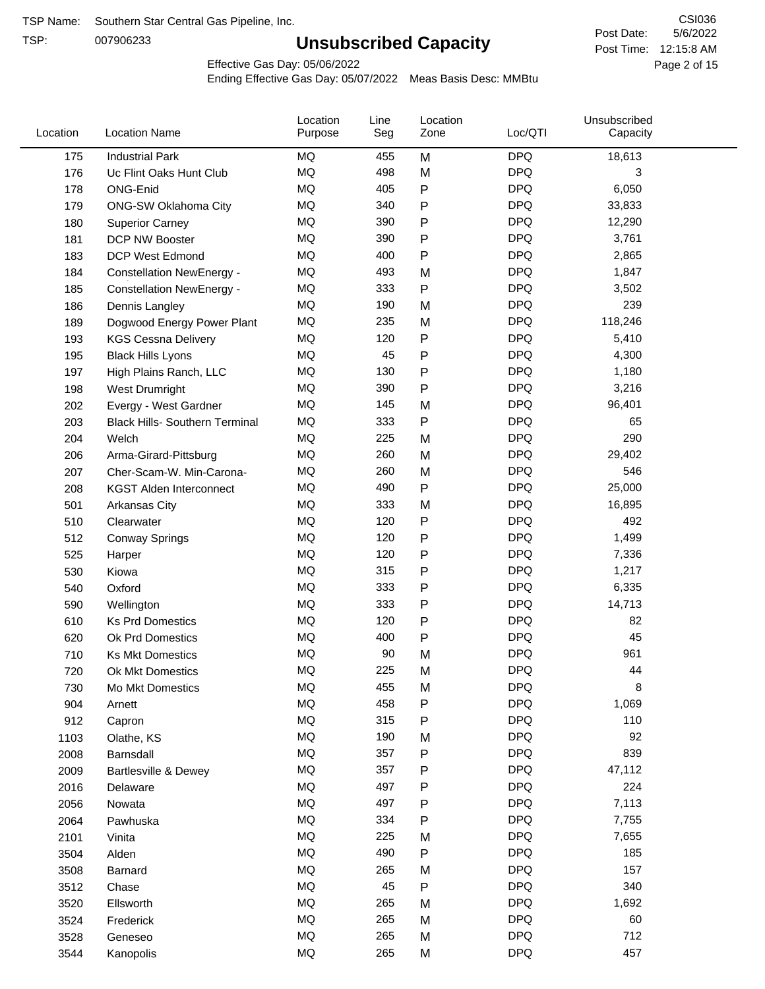TSP:

# **Unsubscribed Capacity**

5/6/2022 Page 2 of 15 Post Time: 12:15:8 AM CSI036 Post Date:

Effective Gas Day: 05/06/2022

| Location | <b>Location Name</b>                  | Location<br>Purpose | Line<br>Seg | Location<br>Zone | Loc/QTI    | Unsubscribed<br>Capacity |  |
|----------|---------------------------------------|---------------------|-------------|------------------|------------|--------------------------|--|
| 175      | <b>Industrial Park</b>                | <b>MQ</b>           | 455         | M                | <b>DPQ</b> | 18,613                   |  |
| 176      | Uc Flint Oaks Hunt Club               | MQ                  | 498         | M                | <b>DPQ</b> | 3                        |  |
| 178      | ONG-Enid                              | MQ                  | 405         | P                | <b>DPQ</b> | 6,050                    |  |
| 179      | ONG-SW Oklahoma City                  | MQ                  | 340         | P                | <b>DPQ</b> | 33,833                   |  |
| 180      | <b>Superior Carney</b>                | MQ                  | 390         | Ρ                | <b>DPQ</b> | 12,290                   |  |
| 181      | DCP NW Booster                        | MQ                  | 390         | P                | <b>DPQ</b> | 3,761                    |  |
| 183      | <b>DCP West Edmond</b>                | MQ                  | 400         | P                | <b>DPQ</b> | 2,865                    |  |
| 184      | <b>Constellation NewEnergy -</b>      | MQ                  | 493         | M                | <b>DPQ</b> | 1,847                    |  |
| 185      | <b>Constellation NewEnergy -</b>      | MQ                  | 333         | P                | <b>DPQ</b> | 3,502                    |  |
| 186      | Dennis Langley                        | MQ                  | 190         | M                | <b>DPQ</b> | 239                      |  |
| 189      | Dogwood Energy Power Plant            | MQ                  | 235         | M                | <b>DPQ</b> | 118,246                  |  |
| 193      | <b>KGS Cessna Delivery</b>            | MQ                  | 120         | P                | <b>DPQ</b> | 5,410                    |  |
| 195      | <b>Black Hills Lyons</b>              | <b>MQ</b>           | 45          | P                | <b>DPQ</b> | 4,300                    |  |
| 197      | High Plains Ranch, LLC                | <b>MQ</b>           | 130         | Ρ                | <b>DPQ</b> | 1,180                    |  |
| 198      | West Drumright                        | <b>MQ</b>           | 390         | P                | <b>DPQ</b> | 3,216                    |  |
| 202      | Evergy - West Gardner                 | <b>MQ</b>           | 145         | M                | <b>DPQ</b> | 96,401                   |  |
| 203      | <b>Black Hills- Southern Terminal</b> | MQ                  | 333         | P                | <b>DPQ</b> | 65                       |  |
| 204      | Welch                                 | MQ                  | 225         | M                | <b>DPQ</b> | 290                      |  |
| 206      | Arma-Girard-Pittsburg                 | <b>MQ</b>           | 260         | M                | <b>DPQ</b> | 29,402                   |  |
| 207      | Cher-Scam-W. Min-Carona-              | MQ                  | 260         | M                | <b>DPQ</b> | 546                      |  |
| 208      | <b>KGST Alden Interconnect</b>        | <b>MQ</b>           | 490         | P                | <b>DPQ</b> | 25,000                   |  |
| 501      | <b>Arkansas City</b>                  | <b>MQ</b>           | 333         | M                | <b>DPQ</b> | 16,895                   |  |
| 510      | Clearwater                            | <b>MQ</b>           | 120         | Ρ                | <b>DPQ</b> | 492                      |  |
| 512      | <b>Conway Springs</b>                 | <b>MQ</b>           | 120         | P                | <b>DPQ</b> | 1,499                    |  |
| 525      | Harper                                | <b>MQ</b>           | 120         | P                | <b>DPQ</b> | 7,336                    |  |
| 530      | Kiowa                                 | <b>MQ</b>           | 315         | P                | <b>DPQ</b> | 1,217                    |  |
| 540      | Oxford                                | <b>MQ</b>           | 333         | Ρ                | <b>DPQ</b> | 6,335                    |  |
| 590      | Wellington                            | MQ                  | 333         | Ρ                | <b>DPQ</b> | 14,713                   |  |
| 610      | <b>Ks Prd Domestics</b>               | <b>MQ</b>           | 120         | P                | <b>DPQ</b> | 82                       |  |
| 620      | Ok Prd Domestics                      | <b>MQ</b>           | 400         | P                | <b>DPQ</b> | 45                       |  |
| 710      | <b>Ks Mkt Domestics</b>               | <b>MQ</b>           | 90          | M                | <b>DPQ</b> | 961                      |  |
| 720      | <b>Ok Mkt Domestics</b>               | MQ                  | 225         | M                | <b>DPQ</b> | 44                       |  |
| 730      | Mo Mkt Domestics                      | MQ                  | 455         | M                | <b>DPQ</b> | 8                        |  |
| 904      | Arnett                                | MQ                  | 458         | P                | <b>DPQ</b> | 1,069                    |  |
| 912      | Capron                                | $\sf{MQ}$           | 315         | Ρ                | <b>DPQ</b> | 110                      |  |
| 1103     | Olathe, KS                            | $\sf{MQ}$           | 190         | M                | <b>DPQ</b> | 92                       |  |
| 2008     | Barnsdall                             | MQ                  | 357         | P                | <b>DPQ</b> | 839                      |  |
| 2009     | <b>Bartlesville &amp; Dewey</b>       | MQ                  | 357         | P                | <b>DPQ</b> | 47,112                   |  |
| 2016     | Delaware                              | MQ                  | 497         | Ρ                | <b>DPQ</b> | 224                      |  |
| 2056     | Nowata                                | $\sf{MQ}$           | 497         | Ρ                | <b>DPQ</b> | 7,113                    |  |
| 2064     | Pawhuska                              | $\sf{MQ}$           | 334         | Ρ                | <b>DPQ</b> | 7,755                    |  |
| 2101     | Vinita                                | MQ                  | 225         | M                | <b>DPQ</b> | 7,655                    |  |
| 3504     | Alden                                 | MQ                  | 490         | P                | <b>DPQ</b> | 185                      |  |
| 3508     | Barnard                               | MQ                  | 265         | M                | <b>DPQ</b> | 157                      |  |
| 3512     | Chase                                 | $\sf{MQ}$           | 45          | Ρ                | <b>DPQ</b> | 340                      |  |
| 3520     | Ellsworth                             | MQ                  | 265         | M                | <b>DPQ</b> | 1,692                    |  |
| 3524     | Frederick                             | MQ                  | 265         | M                | <b>DPQ</b> | 60                       |  |
| 3528     | Geneseo                               | MQ                  | 265         | M                | <b>DPQ</b> | 712                      |  |
| 3544     | Kanopolis                             | $\sf{MQ}$           | 265         | M                | <b>DPQ</b> | 457                      |  |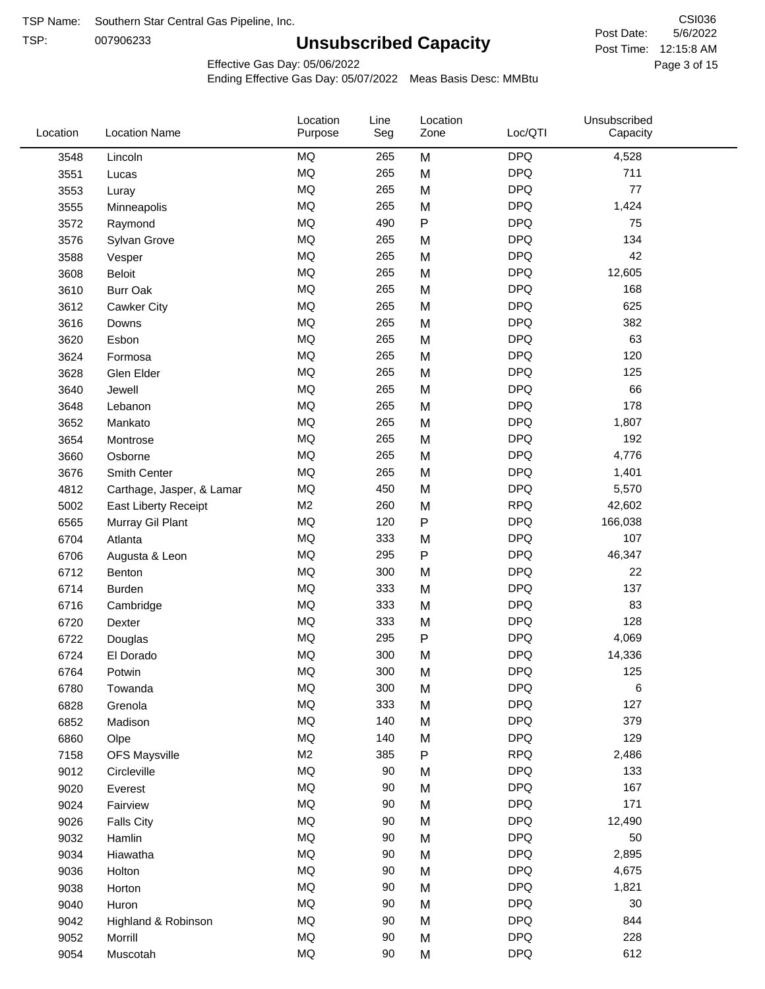TSP: 

# **Unsubscribed Capacity**

5/6/2022 Page 3 of 15 Post Time: 12:15:8 AM CSI036 Post Date:

Effective Gas Day: 05/06/2022

| Location | <b>Location Name</b>      | Location<br>Purpose | Line<br>Seg | Location<br>Zone | Loc/QTI    | Unsubscribed<br>Capacity |  |
|----------|---------------------------|---------------------|-------------|------------------|------------|--------------------------|--|
| 3548     | Lincoln                   | MQ                  | 265         | M                | <b>DPQ</b> | 4,528                    |  |
| 3551     | Lucas                     | MQ                  | 265         | M                | <b>DPQ</b> | 711                      |  |
| 3553     | Luray                     | MQ                  | 265         | M                | <b>DPQ</b> | 77                       |  |
| 3555     | Minneapolis               | MQ                  | 265         | M                | <b>DPQ</b> | 1,424                    |  |
| 3572     | Raymond                   | <b>MQ</b>           | 490         | ${\sf P}$        | <b>DPQ</b> | 75                       |  |
| 3576     | Sylvan Grove              | MQ                  | 265         | M                | <b>DPQ</b> | 134                      |  |
| 3588     | Vesper                    | MQ                  | 265         | M                | <b>DPQ</b> | 42                       |  |
| 3608     | <b>Beloit</b>             | MQ                  | 265         | M                | <b>DPQ</b> | 12,605                   |  |
| 3610     | <b>Burr Oak</b>           | MQ                  | 265         | M                | <b>DPQ</b> | 168                      |  |
| 3612     | Cawker City               | MQ                  | 265         | M                | <b>DPQ</b> | 625                      |  |
| 3616     | Downs                     | MQ                  | 265         | M                | <b>DPQ</b> | 382                      |  |
| 3620     | Esbon                     | MQ                  | 265         | M                | <b>DPQ</b> | 63                       |  |
| 3624     | Formosa                   | MQ                  | 265         | M                | <b>DPQ</b> | 120                      |  |
| 3628     | Glen Elder                | MQ                  | 265         | M                | <b>DPQ</b> | 125                      |  |
| 3640     | Jewell                    | <b>MQ</b>           | 265         | M                | <b>DPQ</b> | 66                       |  |
| 3648     | Lebanon                   | MQ                  | 265         | M                | <b>DPQ</b> | 178                      |  |
| 3652     | Mankato                   | MQ                  | 265         | M                | <b>DPQ</b> | 1,807                    |  |
| 3654     | Montrose                  | <b>MQ</b>           | 265         | M                | <b>DPQ</b> | 192                      |  |
| 3660     | Osborne                   | MQ                  | 265         | M                | <b>DPQ</b> | 4,776                    |  |
| 3676     | Smith Center              | MQ                  | 265         | M                | <b>DPQ</b> | 1,401                    |  |
| 4812     | Carthage, Jasper, & Lamar | MQ                  | 450         | M                | <b>DPQ</b> | 5,570                    |  |
| 5002     | East Liberty Receipt      | M <sub>2</sub>      | 260         | M                | <b>RPQ</b> | 42,602                   |  |
| 6565     | Murray Gil Plant          | <b>MQ</b>           | 120         | $\mathsf{P}$     | <b>DPQ</b> | 166,038                  |  |
| 6704     | Atlanta                   | <b>MQ</b>           | 333         | M                | <b>DPQ</b> | 107                      |  |
| 6706     | Augusta & Leon            | MQ                  | 295         | Ρ                | <b>DPQ</b> | 46,347                   |  |
| 6712     | Benton                    | MQ                  | 300         | M                | <b>DPQ</b> | 22                       |  |
| 6714     | <b>Burden</b>             | <b>MQ</b>           | 333         | M                | <b>DPQ</b> | 137                      |  |
| 6716     | Cambridge                 | MQ                  | 333         | M                | <b>DPQ</b> | 83                       |  |
| 6720     | Dexter                    | MQ                  | 333         | M                | <b>DPQ</b> | 128                      |  |
| 6722     | Douglas                   | MQ                  | 295         | P                | <b>DPQ</b> | 4,069                    |  |
| 6724     | El Dorado                 | MQ                  | 300         | M                | <b>DPQ</b> | 14,336                   |  |
| 6764     | Potwin                    | $\sf{MQ}$           | 300         | M                | <b>DPQ</b> | 125                      |  |
| 6780     | Towanda                   | MQ                  | 300         | M                | <b>DPQ</b> | 6                        |  |
| 6828     | Grenola                   | MQ                  | 333         | M                | <b>DPQ</b> | 127                      |  |
| 6852     | Madison                   | MQ                  | 140         | M                | <b>DPQ</b> | 379                      |  |
| 6860     | Olpe                      | MQ                  | 140         | M                | <b>DPQ</b> | 129                      |  |
| 7158     | <b>OFS Maysville</b>      | M <sub>2</sub>      | 385         | P                | <b>RPQ</b> | 2,486                    |  |
| 9012     | Circleville               | MQ                  | 90          | M                | <b>DPQ</b> | 133                      |  |
| 9020     | Everest                   | MQ                  | 90          | M                | <b>DPQ</b> | 167                      |  |
| 9024     | Fairview                  | MQ                  | 90          | M                | <b>DPQ</b> | 171                      |  |
| 9026     | <b>Falls City</b>         | MQ                  | 90          | M                | <b>DPQ</b> | 12,490                   |  |
| 9032     | Hamlin                    | MQ                  | 90          | M                | <b>DPQ</b> | 50                       |  |
| 9034     | Hiawatha                  | MQ                  | 90          | M                | <b>DPQ</b> | 2,895                    |  |
| 9036     | Holton                    | MQ                  | 90          | M                | <b>DPQ</b> | 4,675                    |  |
| 9038     | Horton                    | MQ                  | 90          | M                | <b>DPQ</b> | 1,821                    |  |
| 9040     | Huron                     | MQ                  | 90          | M                | <b>DPQ</b> | 30                       |  |
| 9042     | Highland & Robinson       | MQ                  | 90          | M                | <b>DPQ</b> | 844                      |  |
| 9052     | Morrill                   | MQ                  | 90          | M                | <b>DPQ</b> | 228                      |  |
| 9054     | Muscotah                  | MQ                  | 90          | M                | <b>DPQ</b> | 612                      |  |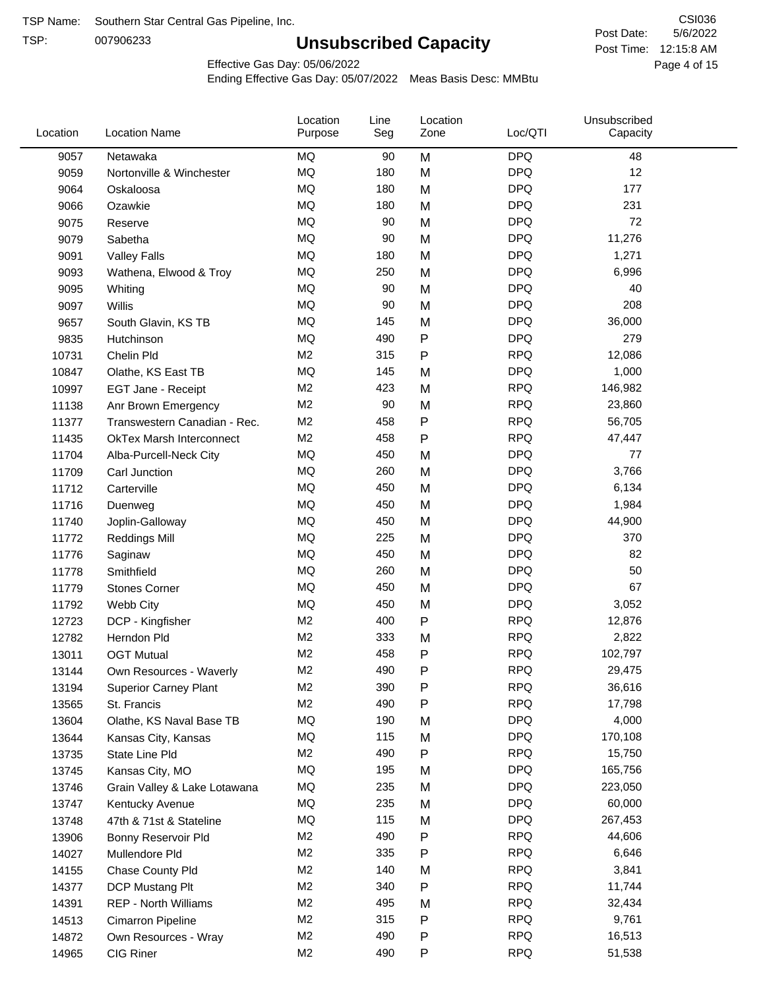TSP:

# **Unsubscribed Capacity**

5/6/2022 Page 4 of 15 Post Time: 12:15:8 AM CSI036 Post Date:

Effective Gas Day: 05/06/2022

| <b>MQ</b><br><b>DPQ</b><br>9057<br>Netawaka<br>90<br>M<br>48<br>MQ<br><b>DPQ</b><br>12<br>180<br>M<br>9059<br>Nortonville & Winchester<br><b>DPQ</b><br>MQ<br>180<br>M<br>177<br>9064<br>Oskaloosa<br><b>MQ</b><br><b>DPQ</b><br>231<br>180<br>M<br>9066<br>Ozawkie<br><b>MQ</b><br><b>DPQ</b><br>72<br>90<br>M<br>9075<br>Reserve<br><b>MQ</b><br><b>DPQ</b><br>90<br>11,276<br>Sabetha<br>M<br>9079<br>MQ<br><b>DPQ</b><br>1,271<br>180<br>M<br>9091<br><b>Valley Falls</b><br>MQ<br><b>DPQ</b><br>250<br>6,996<br>M<br>9093<br>Wathena, Elwood & Troy<br>MQ<br>90<br><b>DPQ</b><br>40<br>M<br>9095<br>Whiting<br><b>MQ</b><br><b>DPQ</b><br>208<br>90<br>M<br>9097<br>Willis<br><b>MQ</b><br><b>DPQ</b><br>36,000<br>145<br>M<br>9657<br>South Glavin, KS TB<br>P<br><b>DPQ</b><br>MQ<br>490<br>279<br>9835<br>Hutchinson<br>M <sub>2</sub><br><b>RPQ</b><br>12,086<br>315<br>P<br>10731<br>Chelin Pld<br><b>MQ</b><br><b>DPQ</b><br>145<br>1,000<br>10847<br>M<br>Olathe, KS East TB<br>M <sub>2</sub><br><b>RPQ</b><br>423<br>146,982<br>M<br>10997<br>EGT Jane - Receipt<br>M <sub>2</sub><br><b>RPQ</b><br>90<br>M<br>23,860<br>11138<br>Anr Brown Emergency<br><b>RPQ</b><br>M <sub>2</sub><br>458<br>P<br>56,705<br>11377<br>Transwestern Canadian - Rec.<br><b>RPQ</b><br>M <sub>2</sub><br>458<br>Ρ<br>11435<br>47,447<br><b>OkTex Marsh Interconnect</b><br><b>MQ</b><br><b>DPQ</b><br>450<br>77<br>11704<br>Alba-Purcell-Neck City<br>M<br><b>MQ</b><br><b>DPQ</b><br>260<br>M<br>3,766<br>11709<br>Carl Junction<br><b>MQ</b><br><b>DPQ</b><br>450<br>6,134<br>M<br>11712<br>Carterville<br><b>MQ</b><br><b>DPQ</b><br>450<br>M<br>1,984<br>11716<br>Duenweg<br><b>MQ</b><br><b>DPQ</b><br>450<br>M<br>44,900<br>11740<br>Joplin-Galloway<br><b>MQ</b><br><b>DPQ</b><br>225<br>370<br>M<br>11772<br><b>Reddings Mill</b><br><b>MQ</b><br><b>DPQ</b><br>450<br>M<br>82<br>11776<br>Saginaw<br><b>MQ</b><br><b>DPQ</b><br>50<br>260<br>M<br>11778<br>Smithfield<br><b>MQ</b><br><b>DPQ</b><br>67<br>450<br>M<br>11779<br><b>Stones Corner</b><br><b>MQ</b><br><b>DPQ</b><br>450<br>3,052<br>11792<br>Webb City<br>M<br>M <sub>2</sub><br>P<br><b>RPQ</b><br>400<br>12,876<br>12723<br>DCP - Kingfisher<br><b>RPQ</b><br>M <sub>2</sub><br>333<br>2,822<br>12782<br>M<br>Herndon Pld<br>M <sub>2</sub><br>458<br>P<br><b>RPQ</b><br>102,797<br>13011<br><b>OGT Mutual</b><br>490<br>P<br><b>RPQ</b><br>M <sub>2</sub><br>29,475<br>13144<br>Own Resources - Waverly<br>M <sub>2</sub><br>390<br>P<br><b>RPQ</b><br>36,616<br>13194<br><b>Superior Carney Plant</b><br><b>RPQ</b><br>M <sub>2</sub><br>490<br>Ρ<br>17,798<br>13565<br>St. Francis<br>MQ<br><b>DPQ</b><br>4,000<br>190<br>M<br>13604<br>Olathe, KS Naval Base TB<br>MQ<br>115<br><b>DPQ</b><br>170,108<br>13644<br>M<br>Kansas City, Kansas<br><b>RPQ</b><br>M <sub>2</sub><br>490<br>P<br>15,750<br>13735<br>State Line Pld<br><b>MQ</b><br><b>DPQ</b><br>195<br>165,756<br>M<br>13745<br>Kansas City, MO<br>MQ<br>235<br><b>DPQ</b><br>223,050<br>13746<br>M<br>Grain Valley & Lake Lotawana<br>MQ<br>235<br><b>DPQ</b><br>60,000<br>13747<br>Kentucky Avenue<br>M<br>115<br><b>DPQ</b><br>MQ<br>267,453<br>13748<br>47th & 71st & Stateline<br>M<br><b>RPQ</b><br>M <sub>2</sub><br>490<br>Ρ<br>44,606<br>13906<br>Bonny Reservoir Pld<br>M <sub>2</sub><br>335<br><b>RPQ</b><br>6,646<br>P<br>14027<br>Mullendore Pld<br>M <sub>2</sub><br><b>RPQ</b><br>3,841<br>140<br>M<br>14155<br>Chase County Pld<br>M <sub>2</sub><br>340<br><b>RPQ</b><br>11,744<br>Ρ<br>14377<br>DCP Mustang Plt<br>M <sub>2</sub><br>495<br><b>RPQ</b><br>32,434<br>14391<br><b>REP - North Williams</b><br>M<br><b>RPQ</b><br>M <sub>2</sub><br>315<br>9,761<br>P<br>14513<br>Cimarron Pipeline<br>M <sub>2</sub><br>490<br>P<br><b>RPQ</b><br>16,513<br>14872<br>Own Resources - Wray<br>M <sub>2</sub><br><b>RPQ</b><br>CIG Riner<br>490<br>Ρ<br>51,538<br>14965 | Location | <b>Location Name</b> | Location<br>Purpose | Line<br>Seg | Location<br>Zone | Loc/QTI | Unsubscribed<br>Capacity |  |
|----------------------------------------------------------------------------------------------------------------------------------------------------------------------------------------------------------------------------------------------------------------------------------------------------------------------------------------------------------------------------------------------------------------------------------------------------------------------------------------------------------------------------------------------------------------------------------------------------------------------------------------------------------------------------------------------------------------------------------------------------------------------------------------------------------------------------------------------------------------------------------------------------------------------------------------------------------------------------------------------------------------------------------------------------------------------------------------------------------------------------------------------------------------------------------------------------------------------------------------------------------------------------------------------------------------------------------------------------------------------------------------------------------------------------------------------------------------------------------------------------------------------------------------------------------------------------------------------------------------------------------------------------------------------------------------------------------------------------------------------------------------------------------------------------------------------------------------------------------------------------------------------------------------------------------------------------------------------------------------------------------------------------------------------------------------------------------------------------------------------------------------------------------------------------------------------------------------------------------------------------------------------------------------------------------------------------------------------------------------------------------------------------------------------------------------------------------------------------------------------------------------------------------------------------------------------------------------------------------------------------------------------------------------------------------------------------------------------------------------------------------------------------------------------------------------------------------------------------------------------------------------------------------------------------------------------------------------------------------------------------------------------------------------------------------------------------------------------------------------------------------------------------------------------------------------------------------------------------------------------------------------------------------------------------------------------------------------------------------------------------------------------------------------------------------------------------------------------------------------------------------------------------------------------------------------------------------------------------------------------------------------------------------------------------------------------------------------------------------------------------------------------------------------------------------------------------------------------------------------------------------------------------------------------------|----------|----------------------|---------------------|-------------|------------------|---------|--------------------------|--|
|                                                                                                                                                                                                                                                                                                                                                                                                                                                                                                                                                                                                                                                                                                                                                                                                                                                                                                                                                                                                                                                                                                                                                                                                                                                                                                                                                                                                                                                                                                                                                                                                                                                                                                                                                                                                                                                                                                                                                                                                                                                                                                                                                                                                                                                                                                                                                                                                                                                                                                                                                                                                                                                                                                                                                                                                                                                                                                                                                                                                                                                                                                                                                                                                                                                                                                                                                                                                                                                                                                                                                                                                                                                                                                                                                                                                                                                                                                                            |          |                      |                     |             |                  |         |                          |  |
|                                                                                                                                                                                                                                                                                                                                                                                                                                                                                                                                                                                                                                                                                                                                                                                                                                                                                                                                                                                                                                                                                                                                                                                                                                                                                                                                                                                                                                                                                                                                                                                                                                                                                                                                                                                                                                                                                                                                                                                                                                                                                                                                                                                                                                                                                                                                                                                                                                                                                                                                                                                                                                                                                                                                                                                                                                                                                                                                                                                                                                                                                                                                                                                                                                                                                                                                                                                                                                                                                                                                                                                                                                                                                                                                                                                                                                                                                                                            |          |                      |                     |             |                  |         |                          |  |
|                                                                                                                                                                                                                                                                                                                                                                                                                                                                                                                                                                                                                                                                                                                                                                                                                                                                                                                                                                                                                                                                                                                                                                                                                                                                                                                                                                                                                                                                                                                                                                                                                                                                                                                                                                                                                                                                                                                                                                                                                                                                                                                                                                                                                                                                                                                                                                                                                                                                                                                                                                                                                                                                                                                                                                                                                                                                                                                                                                                                                                                                                                                                                                                                                                                                                                                                                                                                                                                                                                                                                                                                                                                                                                                                                                                                                                                                                                                            |          |                      |                     |             |                  |         |                          |  |
|                                                                                                                                                                                                                                                                                                                                                                                                                                                                                                                                                                                                                                                                                                                                                                                                                                                                                                                                                                                                                                                                                                                                                                                                                                                                                                                                                                                                                                                                                                                                                                                                                                                                                                                                                                                                                                                                                                                                                                                                                                                                                                                                                                                                                                                                                                                                                                                                                                                                                                                                                                                                                                                                                                                                                                                                                                                                                                                                                                                                                                                                                                                                                                                                                                                                                                                                                                                                                                                                                                                                                                                                                                                                                                                                                                                                                                                                                                                            |          |                      |                     |             |                  |         |                          |  |
|                                                                                                                                                                                                                                                                                                                                                                                                                                                                                                                                                                                                                                                                                                                                                                                                                                                                                                                                                                                                                                                                                                                                                                                                                                                                                                                                                                                                                                                                                                                                                                                                                                                                                                                                                                                                                                                                                                                                                                                                                                                                                                                                                                                                                                                                                                                                                                                                                                                                                                                                                                                                                                                                                                                                                                                                                                                                                                                                                                                                                                                                                                                                                                                                                                                                                                                                                                                                                                                                                                                                                                                                                                                                                                                                                                                                                                                                                                                            |          |                      |                     |             |                  |         |                          |  |
|                                                                                                                                                                                                                                                                                                                                                                                                                                                                                                                                                                                                                                                                                                                                                                                                                                                                                                                                                                                                                                                                                                                                                                                                                                                                                                                                                                                                                                                                                                                                                                                                                                                                                                                                                                                                                                                                                                                                                                                                                                                                                                                                                                                                                                                                                                                                                                                                                                                                                                                                                                                                                                                                                                                                                                                                                                                                                                                                                                                                                                                                                                                                                                                                                                                                                                                                                                                                                                                                                                                                                                                                                                                                                                                                                                                                                                                                                                                            |          |                      |                     |             |                  |         |                          |  |
|                                                                                                                                                                                                                                                                                                                                                                                                                                                                                                                                                                                                                                                                                                                                                                                                                                                                                                                                                                                                                                                                                                                                                                                                                                                                                                                                                                                                                                                                                                                                                                                                                                                                                                                                                                                                                                                                                                                                                                                                                                                                                                                                                                                                                                                                                                                                                                                                                                                                                                                                                                                                                                                                                                                                                                                                                                                                                                                                                                                                                                                                                                                                                                                                                                                                                                                                                                                                                                                                                                                                                                                                                                                                                                                                                                                                                                                                                                                            |          |                      |                     |             |                  |         |                          |  |
|                                                                                                                                                                                                                                                                                                                                                                                                                                                                                                                                                                                                                                                                                                                                                                                                                                                                                                                                                                                                                                                                                                                                                                                                                                                                                                                                                                                                                                                                                                                                                                                                                                                                                                                                                                                                                                                                                                                                                                                                                                                                                                                                                                                                                                                                                                                                                                                                                                                                                                                                                                                                                                                                                                                                                                                                                                                                                                                                                                                                                                                                                                                                                                                                                                                                                                                                                                                                                                                                                                                                                                                                                                                                                                                                                                                                                                                                                                                            |          |                      |                     |             |                  |         |                          |  |
|                                                                                                                                                                                                                                                                                                                                                                                                                                                                                                                                                                                                                                                                                                                                                                                                                                                                                                                                                                                                                                                                                                                                                                                                                                                                                                                                                                                                                                                                                                                                                                                                                                                                                                                                                                                                                                                                                                                                                                                                                                                                                                                                                                                                                                                                                                                                                                                                                                                                                                                                                                                                                                                                                                                                                                                                                                                                                                                                                                                                                                                                                                                                                                                                                                                                                                                                                                                                                                                                                                                                                                                                                                                                                                                                                                                                                                                                                                                            |          |                      |                     |             |                  |         |                          |  |
|                                                                                                                                                                                                                                                                                                                                                                                                                                                                                                                                                                                                                                                                                                                                                                                                                                                                                                                                                                                                                                                                                                                                                                                                                                                                                                                                                                                                                                                                                                                                                                                                                                                                                                                                                                                                                                                                                                                                                                                                                                                                                                                                                                                                                                                                                                                                                                                                                                                                                                                                                                                                                                                                                                                                                                                                                                                                                                                                                                                                                                                                                                                                                                                                                                                                                                                                                                                                                                                                                                                                                                                                                                                                                                                                                                                                                                                                                                                            |          |                      |                     |             |                  |         |                          |  |
|                                                                                                                                                                                                                                                                                                                                                                                                                                                                                                                                                                                                                                                                                                                                                                                                                                                                                                                                                                                                                                                                                                                                                                                                                                                                                                                                                                                                                                                                                                                                                                                                                                                                                                                                                                                                                                                                                                                                                                                                                                                                                                                                                                                                                                                                                                                                                                                                                                                                                                                                                                                                                                                                                                                                                                                                                                                                                                                                                                                                                                                                                                                                                                                                                                                                                                                                                                                                                                                                                                                                                                                                                                                                                                                                                                                                                                                                                                                            |          |                      |                     |             |                  |         |                          |  |
|                                                                                                                                                                                                                                                                                                                                                                                                                                                                                                                                                                                                                                                                                                                                                                                                                                                                                                                                                                                                                                                                                                                                                                                                                                                                                                                                                                                                                                                                                                                                                                                                                                                                                                                                                                                                                                                                                                                                                                                                                                                                                                                                                                                                                                                                                                                                                                                                                                                                                                                                                                                                                                                                                                                                                                                                                                                                                                                                                                                                                                                                                                                                                                                                                                                                                                                                                                                                                                                                                                                                                                                                                                                                                                                                                                                                                                                                                                                            |          |                      |                     |             |                  |         |                          |  |
|                                                                                                                                                                                                                                                                                                                                                                                                                                                                                                                                                                                                                                                                                                                                                                                                                                                                                                                                                                                                                                                                                                                                                                                                                                                                                                                                                                                                                                                                                                                                                                                                                                                                                                                                                                                                                                                                                                                                                                                                                                                                                                                                                                                                                                                                                                                                                                                                                                                                                                                                                                                                                                                                                                                                                                                                                                                                                                                                                                                                                                                                                                                                                                                                                                                                                                                                                                                                                                                                                                                                                                                                                                                                                                                                                                                                                                                                                                                            |          |                      |                     |             |                  |         |                          |  |
|                                                                                                                                                                                                                                                                                                                                                                                                                                                                                                                                                                                                                                                                                                                                                                                                                                                                                                                                                                                                                                                                                                                                                                                                                                                                                                                                                                                                                                                                                                                                                                                                                                                                                                                                                                                                                                                                                                                                                                                                                                                                                                                                                                                                                                                                                                                                                                                                                                                                                                                                                                                                                                                                                                                                                                                                                                                                                                                                                                                                                                                                                                                                                                                                                                                                                                                                                                                                                                                                                                                                                                                                                                                                                                                                                                                                                                                                                                                            |          |                      |                     |             |                  |         |                          |  |
|                                                                                                                                                                                                                                                                                                                                                                                                                                                                                                                                                                                                                                                                                                                                                                                                                                                                                                                                                                                                                                                                                                                                                                                                                                                                                                                                                                                                                                                                                                                                                                                                                                                                                                                                                                                                                                                                                                                                                                                                                                                                                                                                                                                                                                                                                                                                                                                                                                                                                                                                                                                                                                                                                                                                                                                                                                                                                                                                                                                                                                                                                                                                                                                                                                                                                                                                                                                                                                                                                                                                                                                                                                                                                                                                                                                                                                                                                                                            |          |                      |                     |             |                  |         |                          |  |
|                                                                                                                                                                                                                                                                                                                                                                                                                                                                                                                                                                                                                                                                                                                                                                                                                                                                                                                                                                                                                                                                                                                                                                                                                                                                                                                                                                                                                                                                                                                                                                                                                                                                                                                                                                                                                                                                                                                                                                                                                                                                                                                                                                                                                                                                                                                                                                                                                                                                                                                                                                                                                                                                                                                                                                                                                                                                                                                                                                                                                                                                                                                                                                                                                                                                                                                                                                                                                                                                                                                                                                                                                                                                                                                                                                                                                                                                                                                            |          |                      |                     |             |                  |         |                          |  |
|                                                                                                                                                                                                                                                                                                                                                                                                                                                                                                                                                                                                                                                                                                                                                                                                                                                                                                                                                                                                                                                                                                                                                                                                                                                                                                                                                                                                                                                                                                                                                                                                                                                                                                                                                                                                                                                                                                                                                                                                                                                                                                                                                                                                                                                                                                                                                                                                                                                                                                                                                                                                                                                                                                                                                                                                                                                                                                                                                                                                                                                                                                                                                                                                                                                                                                                                                                                                                                                                                                                                                                                                                                                                                                                                                                                                                                                                                                                            |          |                      |                     |             |                  |         |                          |  |
|                                                                                                                                                                                                                                                                                                                                                                                                                                                                                                                                                                                                                                                                                                                                                                                                                                                                                                                                                                                                                                                                                                                                                                                                                                                                                                                                                                                                                                                                                                                                                                                                                                                                                                                                                                                                                                                                                                                                                                                                                                                                                                                                                                                                                                                                                                                                                                                                                                                                                                                                                                                                                                                                                                                                                                                                                                                                                                                                                                                                                                                                                                                                                                                                                                                                                                                                                                                                                                                                                                                                                                                                                                                                                                                                                                                                                                                                                                                            |          |                      |                     |             |                  |         |                          |  |
|                                                                                                                                                                                                                                                                                                                                                                                                                                                                                                                                                                                                                                                                                                                                                                                                                                                                                                                                                                                                                                                                                                                                                                                                                                                                                                                                                                                                                                                                                                                                                                                                                                                                                                                                                                                                                                                                                                                                                                                                                                                                                                                                                                                                                                                                                                                                                                                                                                                                                                                                                                                                                                                                                                                                                                                                                                                                                                                                                                                                                                                                                                                                                                                                                                                                                                                                                                                                                                                                                                                                                                                                                                                                                                                                                                                                                                                                                                                            |          |                      |                     |             |                  |         |                          |  |
|                                                                                                                                                                                                                                                                                                                                                                                                                                                                                                                                                                                                                                                                                                                                                                                                                                                                                                                                                                                                                                                                                                                                                                                                                                                                                                                                                                                                                                                                                                                                                                                                                                                                                                                                                                                                                                                                                                                                                                                                                                                                                                                                                                                                                                                                                                                                                                                                                                                                                                                                                                                                                                                                                                                                                                                                                                                                                                                                                                                                                                                                                                                                                                                                                                                                                                                                                                                                                                                                                                                                                                                                                                                                                                                                                                                                                                                                                                                            |          |                      |                     |             |                  |         |                          |  |
|                                                                                                                                                                                                                                                                                                                                                                                                                                                                                                                                                                                                                                                                                                                                                                                                                                                                                                                                                                                                                                                                                                                                                                                                                                                                                                                                                                                                                                                                                                                                                                                                                                                                                                                                                                                                                                                                                                                                                                                                                                                                                                                                                                                                                                                                                                                                                                                                                                                                                                                                                                                                                                                                                                                                                                                                                                                                                                                                                                                                                                                                                                                                                                                                                                                                                                                                                                                                                                                                                                                                                                                                                                                                                                                                                                                                                                                                                                                            |          |                      |                     |             |                  |         |                          |  |
|                                                                                                                                                                                                                                                                                                                                                                                                                                                                                                                                                                                                                                                                                                                                                                                                                                                                                                                                                                                                                                                                                                                                                                                                                                                                                                                                                                                                                                                                                                                                                                                                                                                                                                                                                                                                                                                                                                                                                                                                                                                                                                                                                                                                                                                                                                                                                                                                                                                                                                                                                                                                                                                                                                                                                                                                                                                                                                                                                                                                                                                                                                                                                                                                                                                                                                                                                                                                                                                                                                                                                                                                                                                                                                                                                                                                                                                                                                                            |          |                      |                     |             |                  |         |                          |  |
|                                                                                                                                                                                                                                                                                                                                                                                                                                                                                                                                                                                                                                                                                                                                                                                                                                                                                                                                                                                                                                                                                                                                                                                                                                                                                                                                                                                                                                                                                                                                                                                                                                                                                                                                                                                                                                                                                                                                                                                                                                                                                                                                                                                                                                                                                                                                                                                                                                                                                                                                                                                                                                                                                                                                                                                                                                                                                                                                                                                                                                                                                                                                                                                                                                                                                                                                                                                                                                                                                                                                                                                                                                                                                                                                                                                                                                                                                                                            |          |                      |                     |             |                  |         |                          |  |
|                                                                                                                                                                                                                                                                                                                                                                                                                                                                                                                                                                                                                                                                                                                                                                                                                                                                                                                                                                                                                                                                                                                                                                                                                                                                                                                                                                                                                                                                                                                                                                                                                                                                                                                                                                                                                                                                                                                                                                                                                                                                                                                                                                                                                                                                                                                                                                                                                                                                                                                                                                                                                                                                                                                                                                                                                                                                                                                                                                                                                                                                                                                                                                                                                                                                                                                                                                                                                                                                                                                                                                                                                                                                                                                                                                                                                                                                                                                            |          |                      |                     |             |                  |         |                          |  |
|                                                                                                                                                                                                                                                                                                                                                                                                                                                                                                                                                                                                                                                                                                                                                                                                                                                                                                                                                                                                                                                                                                                                                                                                                                                                                                                                                                                                                                                                                                                                                                                                                                                                                                                                                                                                                                                                                                                                                                                                                                                                                                                                                                                                                                                                                                                                                                                                                                                                                                                                                                                                                                                                                                                                                                                                                                                                                                                                                                                                                                                                                                                                                                                                                                                                                                                                                                                                                                                                                                                                                                                                                                                                                                                                                                                                                                                                                                                            |          |                      |                     |             |                  |         |                          |  |
|                                                                                                                                                                                                                                                                                                                                                                                                                                                                                                                                                                                                                                                                                                                                                                                                                                                                                                                                                                                                                                                                                                                                                                                                                                                                                                                                                                                                                                                                                                                                                                                                                                                                                                                                                                                                                                                                                                                                                                                                                                                                                                                                                                                                                                                                                                                                                                                                                                                                                                                                                                                                                                                                                                                                                                                                                                                                                                                                                                                                                                                                                                                                                                                                                                                                                                                                                                                                                                                                                                                                                                                                                                                                                                                                                                                                                                                                                                                            |          |                      |                     |             |                  |         |                          |  |
|                                                                                                                                                                                                                                                                                                                                                                                                                                                                                                                                                                                                                                                                                                                                                                                                                                                                                                                                                                                                                                                                                                                                                                                                                                                                                                                                                                                                                                                                                                                                                                                                                                                                                                                                                                                                                                                                                                                                                                                                                                                                                                                                                                                                                                                                                                                                                                                                                                                                                                                                                                                                                                                                                                                                                                                                                                                                                                                                                                                                                                                                                                                                                                                                                                                                                                                                                                                                                                                                                                                                                                                                                                                                                                                                                                                                                                                                                                                            |          |                      |                     |             |                  |         |                          |  |
|                                                                                                                                                                                                                                                                                                                                                                                                                                                                                                                                                                                                                                                                                                                                                                                                                                                                                                                                                                                                                                                                                                                                                                                                                                                                                                                                                                                                                                                                                                                                                                                                                                                                                                                                                                                                                                                                                                                                                                                                                                                                                                                                                                                                                                                                                                                                                                                                                                                                                                                                                                                                                                                                                                                                                                                                                                                                                                                                                                                                                                                                                                                                                                                                                                                                                                                                                                                                                                                                                                                                                                                                                                                                                                                                                                                                                                                                                                                            |          |                      |                     |             |                  |         |                          |  |
|                                                                                                                                                                                                                                                                                                                                                                                                                                                                                                                                                                                                                                                                                                                                                                                                                                                                                                                                                                                                                                                                                                                                                                                                                                                                                                                                                                                                                                                                                                                                                                                                                                                                                                                                                                                                                                                                                                                                                                                                                                                                                                                                                                                                                                                                                                                                                                                                                                                                                                                                                                                                                                                                                                                                                                                                                                                                                                                                                                                                                                                                                                                                                                                                                                                                                                                                                                                                                                                                                                                                                                                                                                                                                                                                                                                                                                                                                                                            |          |                      |                     |             |                  |         |                          |  |
|                                                                                                                                                                                                                                                                                                                                                                                                                                                                                                                                                                                                                                                                                                                                                                                                                                                                                                                                                                                                                                                                                                                                                                                                                                                                                                                                                                                                                                                                                                                                                                                                                                                                                                                                                                                                                                                                                                                                                                                                                                                                                                                                                                                                                                                                                                                                                                                                                                                                                                                                                                                                                                                                                                                                                                                                                                                                                                                                                                                                                                                                                                                                                                                                                                                                                                                                                                                                                                                                                                                                                                                                                                                                                                                                                                                                                                                                                                                            |          |                      |                     |             |                  |         |                          |  |
|                                                                                                                                                                                                                                                                                                                                                                                                                                                                                                                                                                                                                                                                                                                                                                                                                                                                                                                                                                                                                                                                                                                                                                                                                                                                                                                                                                                                                                                                                                                                                                                                                                                                                                                                                                                                                                                                                                                                                                                                                                                                                                                                                                                                                                                                                                                                                                                                                                                                                                                                                                                                                                                                                                                                                                                                                                                                                                                                                                                                                                                                                                                                                                                                                                                                                                                                                                                                                                                                                                                                                                                                                                                                                                                                                                                                                                                                                                                            |          |                      |                     |             |                  |         |                          |  |
|                                                                                                                                                                                                                                                                                                                                                                                                                                                                                                                                                                                                                                                                                                                                                                                                                                                                                                                                                                                                                                                                                                                                                                                                                                                                                                                                                                                                                                                                                                                                                                                                                                                                                                                                                                                                                                                                                                                                                                                                                                                                                                                                                                                                                                                                                                                                                                                                                                                                                                                                                                                                                                                                                                                                                                                                                                                                                                                                                                                                                                                                                                                                                                                                                                                                                                                                                                                                                                                                                                                                                                                                                                                                                                                                                                                                                                                                                                                            |          |                      |                     |             |                  |         |                          |  |
|                                                                                                                                                                                                                                                                                                                                                                                                                                                                                                                                                                                                                                                                                                                                                                                                                                                                                                                                                                                                                                                                                                                                                                                                                                                                                                                                                                                                                                                                                                                                                                                                                                                                                                                                                                                                                                                                                                                                                                                                                                                                                                                                                                                                                                                                                                                                                                                                                                                                                                                                                                                                                                                                                                                                                                                                                                                                                                                                                                                                                                                                                                                                                                                                                                                                                                                                                                                                                                                                                                                                                                                                                                                                                                                                                                                                                                                                                                                            |          |                      |                     |             |                  |         |                          |  |
|                                                                                                                                                                                                                                                                                                                                                                                                                                                                                                                                                                                                                                                                                                                                                                                                                                                                                                                                                                                                                                                                                                                                                                                                                                                                                                                                                                                                                                                                                                                                                                                                                                                                                                                                                                                                                                                                                                                                                                                                                                                                                                                                                                                                                                                                                                                                                                                                                                                                                                                                                                                                                                                                                                                                                                                                                                                                                                                                                                                                                                                                                                                                                                                                                                                                                                                                                                                                                                                                                                                                                                                                                                                                                                                                                                                                                                                                                                                            |          |                      |                     |             |                  |         |                          |  |
|                                                                                                                                                                                                                                                                                                                                                                                                                                                                                                                                                                                                                                                                                                                                                                                                                                                                                                                                                                                                                                                                                                                                                                                                                                                                                                                                                                                                                                                                                                                                                                                                                                                                                                                                                                                                                                                                                                                                                                                                                                                                                                                                                                                                                                                                                                                                                                                                                                                                                                                                                                                                                                                                                                                                                                                                                                                                                                                                                                                                                                                                                                                                                                                                                                                                                                                                                                                                                                                                                                                                                                                                                                                                                                                                                                                                                                                                                                                            |          |                      |                     |             |                  |         |                          |  |
|                                                                                                                                                                                                                                                                                                                                                                                                                                                                                                                                                                                                                                                                                                                                                                                                                                                                                                                                                                                                                                                                                                                                                                                                                                                                                                                                                                                                                                                                                                                                                                                                                                                                                                                                                                                                                                                                                                                                                                                                                                                                                                                                                                                                                                                                                                                                                                                                                                                                                                                                                                                                                                                                                                                                                                                                                                                                                                                                                                                                                                                                                                                                                                                                                                                                                                                                                                                                                                                                                                                                                                                                                                                                                                                                                                                                                                                                                                                            |          |                      |                     |             |                  |         |                          |  |
|                                                                                                                                                                                                                                                                                                                                                                                                                                                                                                                                                                                                                                                                                                                                                                                                                                                                                                                                                                                                                                                                                                                                                                                                                                                                                                                                                                                                                                                                                                                                                                                                                                                                                                                                                                                                                                                                                                                                                                                                                                                                                                                                                                                                                                                                                                                                                                                                                                                                                                                                                                                                                                                                                                                                                                                                                                                                                                                                                                                                                                                                                                                                                                                                                                                                                                                                                                                                                                                                                                                                                                                                                                                                                                                                                                                                                                                                                                                            |          |                      |                     |             |                  |         |                          |  |
|                                                                                                                                                                                                                                                                                                                                                                                                                                                                                                                                                                                                                                                                                                                                                                                                                                                                                                                                                                                                                                                                                                                                                                                                                                                                                                                                                                                                                                                                                                                                                                                                                                                                                                                                                                                                                                                                                                                                                                                                                                                                                                                                                                                                                                                                                                                                                                                                                                                                                                                                                                                                                                                                                                                                                                                                                                                                                                                                                                                                                                                                                                                                                                                                                                                                                                                                                                                                                                                                                                                                                                                                                                                                                                                                                                                                                                                                                                                            |          |                      |                     |             |                  |         |                          |  |
|                                                                                                                                                                                                                                                                                                                                                                                                                                                                                                                                                                                                                                                                                                                                                                                                                                                                                                                                                                                                                                                                                                                                                                                                                                                                                                                                                                                                                                                                                                                                                                                                                                                                                                                                                                                                                                                                                                                                                                                                                                                                                                                                                                                                                                                                                                                                                                                                                                                                                                                                                                                                                                                                                                                                                                                                                                                                                                                                                                                                                                                                                                                                                                                                                                                                                                                                                                                                                                                                                                                                                                                                                                                                                                                                                                                                                                                                                                                            |          |                      |                     |             |                  |         |                          |  |
|                                                                                                                                                                                                                                                                                                                                                                                                                                                                                                                                                                                                                                                                                                                                                                                                                                                                                                                                                                                                                                                                                                                                                                                                                                                                                                                                                                                                                                                                                                                                                                                                                                                                                                                                                                                                                                                                                                                                                                                                                                                                                                                                                                                                                                                                                                                                                                                                                                                                                                                                                                                                                                                                                                                                                                                                                                                                                                                                                                                                                                                                                                                                                                                                                                                                                                                                                                                                                                                                                                                                                                                                                                                                                                                                                                                                                                                                                                                            |          |                      |                     |             |                  |         |                          |  |
|                                                                                                                                                                                                                                                                                                                                                                                                                                                                                                                                                                                                                                                                                                                                                                                                                                                                                                                                                                                                                                                                                                                                                                                                                                                                                                                                                                                                                                                                                                                                                                                                                                                                                                                                                                                                                                                                                                                                                                                                                                                                                                                                                                                                                                                                                                                                                                                                                                                                                                                                                                                                                                                                                                                                                                                                                                                                                                                                                                                                                                                                                                                                                                                                                                                                                                                                                                                                                                                                                                                                                                                                                                                                                                                                                                                                                                                                                                                            |          |                      |                     |             |                  |         |                          |  |
|                                                                                                                                                                                                                                                                                                                                                                                                                                                                                                                                                                                                                                                                                                                                                                                                                                                                                                                                                                                                                                                                                                                                                                                                                                                                                                                                                                                                                                                                                                                                                                                                                                                                                                                                                                                                                                                                                                                                                                                                                                                                                                                                                                                                                                                                                                                                                                                                                                                                                                                                                                                                                                                                                                                                                                                                                                                                                                                                                                                                                                                                                                                                                                                                                                                                                                                                                                                                                                                                                                                                                                                                                                                                                                                                                                                                                                                                                                                            |          |                      |                     |             |                  |         |                          |  |
|                                                                                                                                                                                                                                                                                                                                                                                                                                                                                                                                                                                                                                                                                                                                                                                                                                                                                                                                                                                                                                                                                                                                                                                                                                                                                                                                                                                                                                                                                                                                                                                                                                                                                                                                                                                                                                                                                                                                                                                                                                                                                                                                                                                                                                                                                                                                                                                                                                                                                                                                                                                                                                                                                                                                                                                                                                                                                                                                                                                                                                                                                                                                                                                                                                                                                                                                                                                                                                                                                                                                                                                                                                                                                                                                                                                                                                                                                                                            |          |                      |                     |             |                  |         |                          |  |
|                                                                                                                                                                                                                                                                                                                                                                                                                                                                                                                                                                                                                                                                                                                                                                                                                                                                                                                                                                                                                                                                                                                                                                                                                                                                                                                                                                                                                                                                                                                                                                                                                                                                                                                                                                                                                                                                                                                                                                                                                                                                                                                                                                                                                                                                                                                                                                                                                                                                                                                                                                                                                                                                                                                                                                                                                                                                                                                                                                                                                                                                                                                                                                                                                                                                                                                                                                                                                                                                                                                                                                                                                                                                                                                                                                                                                                                                                                                            |          |                      |                     |             |                  |         |                          |  |
|                                                                                                                                                                                                                                                                                                                                                                                                                                                                                                                                                                                                                                                                                                                                                                                                                                                                                                                                                                                                                                                                                                                                                                                                                                                                                                                                                                                                                                                                                                                                                                                                                                                                                                                                                                                                                                                                                                                                                                                                                                                                                                                                                                                                                                                                                                                                                                                                                                                                                                                                                                                                                                                                                                                                                                                                                                                                                                                                                                                                                                                                                                                                                                                                                                                                                                                                                                                                                                                                                                                                                                                                                                                                                                                                                                                                                                                                                                                            |          |                      |                     |             |                  |         |                          |  |
|                                                                                                                                                                                                                                                                                                                                                                                                                                                                                                                                                                                                                                                                                                                                                                                                                                                                                                                                                                                                                                                                                                                                                                                                                                                                                                                                                                                                                                                                                                                                                                                                                                                                                                                                                                                                                                                                                                                                                                                                                                                                                                                                                                                                                                                                                                                                                                                                                                                                                                                                                                                                                                                                                                                                                                                                                                                                                                                                                                                                                                                                                                                                                                                                                                                                                                                                                                                                                                                                                                                                                                                                                                                                                                                                                                                                                                                                                                                            |          |                      |                     |             |                  |         |                          |  |
|                                                                                                                                                                                                                                                                                                                                                                                                                                                                                                                                                                                                                                                                                                                                                                                                                                                                                                                                                                                                                                                                                                                                                                                                                                                                                                                                                                                                                                                                                                                                                                                                                                                                                                                                                                                                                                                                                                                                                                                                                                                                                                                                                                                                                                                                                                                                                                                                                                                                                                                                                                                                                                                                                                                                                                                                                                                                                                                                                                                                                                                                                                                                                                                                                                                                                                                                                                                                                                                                                                                                                                                                                                                                                                                                                                                                                                                                                                                            |          |                      |                     |             |                  |         |                          |  |
|                                                                                                                                                                                                                                                                                                                                                                                                                                                                                                                                                                                                                                                                                                                                                                                                                                                                                                                                                                                                                                                                                                                                                                                                                                                                                                                                                                                                                                                                                                                                                                                                                                                                                                                                                                                                                                                                                                                                                                                                                                                                                                                                                                                                                                                                                                                                                                                                                                                                                                                                                                                                                                                                                                                                                                                                                                                                                                                                                                                                                                                                                                                                                                                                                                                                                                                                                                                                                                                                                                                                                                                                                                                                                                                                                                                                                                                                                                                            |          |                      |                     |             |                  |         |                          |  |
|                                                                                                                                                                                                                                                                                                                                                                                                                                                                                                                                                                                                                                                                                                                                                                                                                                                                                                                                                                                                                                                                                                                                                                                                                                                                                                                                                                                                                                                                                                                                                                                                                                                                                                                                                                                                                                                                                                                                                                                                                                                                                                                                                                                                                                                                                                                                                                                                                                                                                                                                                                                                                                                                                                                                                                                                                                                                                                                                                                                                                                                                                                                                                                                                                                                                                                                                                                                                                                                                                                                                                                                                                                                                                                                                                                                                                                                                                                                            |          |                      |                     |             |                  |         |                          |  |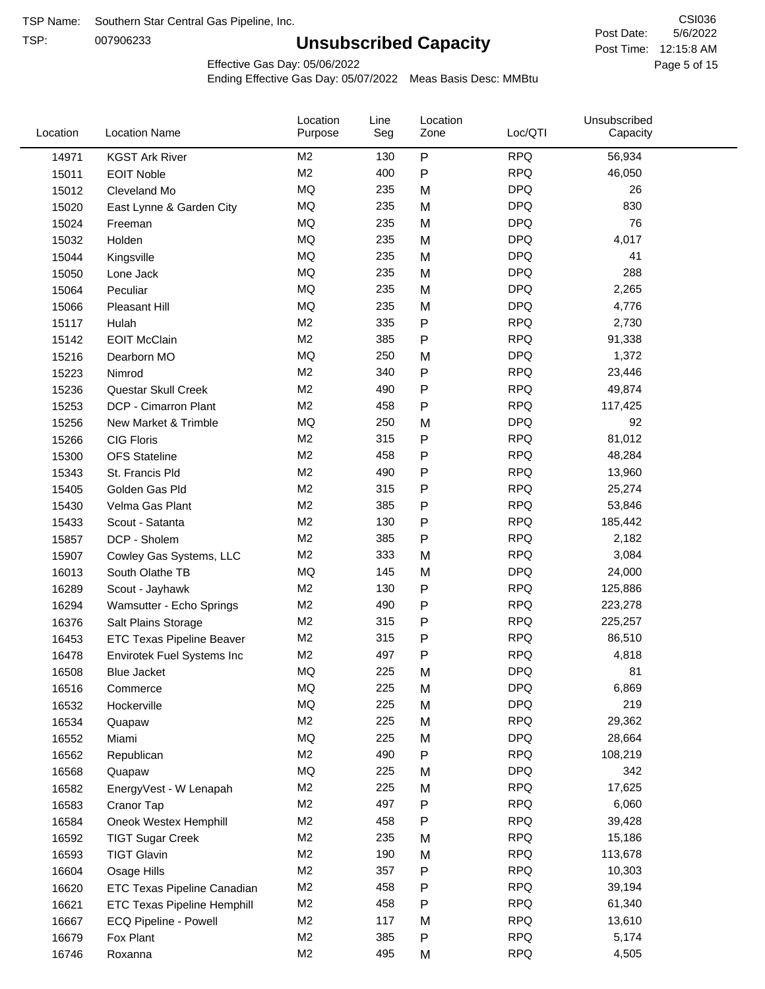TSP:

# **Unsubscribed Capacity**

5/6/2022 Page 5 of 15 Post Time: 12:15:8 AM CSI036 Post Date:

Effective Gas Day: 05/06/2022

| Location | <b>Location Name</b>               | Location<br>Purpose | Line<br>Seg | Location<br>Zone | Loc/QTI    | Unsubscribed<br>Capacity |  |
|----------|------------------------------------|---------------------|-------------|------------------|------------|--------------------------|--|
| 14971    | <b>KGST Ark River</b>              | M2                  | 130         | P                | <b>RPQ</b> | 56,934                   |  |
| 15011    | <b>EOIT Noble</b>                  | M <sub>2</sub>      | 400         | P                | <b>RPQ</b> | 46,050                   |  |
| 15012    | Cleveland Mo                       | <b>MQ</b>           | 235         | M                | <b>DPQ</b> | 26                       |  |
| 15020    | East Lynne & Garden City           | <b>MQ</b>           | 235         | M                | <b>DPQ</b> | 830                      |  |
| 15024    | Freeman                            | <b>MQ</b>           | 235         | M                | <b>DPQ</b> | 76                       |  |
| 15032    | Holden                             | <b>MQ</b>           | 235         | M                | <b>DPQ</b> | 4,017                    |  |
| 15044    | Kingsville                         | MQ                  | 235         | M                | <b>DPQ</b> | 41                       |  |
| 15050    | Lone Jack                          | <b>MQ</b>           | 235         | M                | <b>DPQ</b> | 288                      |  |
| 15064    | Peculiar                           | <b>MQ</b>           | 235         | M                | <b>DPQ</b> | 2,265                    |  |
| 15066    | Pleasant Hill                      | <b>MQ</b>           | 235         | M                | <b>DPQ</b> | 4,776                    |  |
| 15117    | Hulah                              | M <sub>2</sub>      | 335         | P                | <b>RPQ</b> | 2,730                    |  |
| 15142    | <b>EOIT McClain</b>                | M <sub>2</sub>      | 385         | P                | <b>RPQ</b> | 91,338                   |  |
| 15216    | Dearborn MO                        | MQ                  | 250         | M                | <b>DPQ</b> | 1,372                    |  |
| 15223    | Nimrod                             | M <sub>2</sub>      | 340         | P                | <b>RPQ</b> | 23,446                   |  |
| 15236    | Questar Skull Creek                | M <sub>2</sub>      | 490         | P                | <b>RPQ</b> | 49,874                   |  |
| 15253    | DCP - Cimarron Plant               | M <sub>2</sub>      | 458         | Ρ                | <b>RPQ</b> | 117,425                  |  |
| 15256    | New Market & Trimble               | <b>MQ</b>           | 250         | M                | <b>DPQ</b> | 92                       |  |
| 15266    | <b>CIG Floris</b>                  | M <sub>2</sub>      | 315         | Ρ                | <b>RPQ</b> | 81,012                   |  |
| 15300    | <b>OFS Stateline</b>               | M <sub>2</sub>      | 458         | Ρ                | <b>RPQ</b> | 48,284                   |  |
| 15343    | St. Francis Pld                    | M <sub>2</sub>      | 490         | P                | <b>RPQ</b> | 13,960                   |  |
| 15405    | Golden Gas Pld                     | M <sub>2</sub>      | 315         | P                | <b>RPQ</b> | 25,274                   |  |
| 15430    | Velma Gas Plant                    | M <sub>2</sub>      | 385         | Ρ                | <b>RPQ</b> | 53,846                   |  |
| 15433    | Scout - Satanta                    | M <sub>2</sub>      | 130         | Ρ                | <b>RPQ</b> | 185,442                  |  |
| 15857    | DCP - Sholem                       | M <sub>2</sub>      | 385         | P                | <b>RPQ</b> | 2,182                    |  |
| 15907    | Cowley Gas Systems, LLC            | M <sub>2</sub>      | 333         | M                | <b>RPQ</b> | 3,084                    |  |
| 16013    | South Olathe TB                    | MQ                  | 145         | M                | <b>DPQ</b> | 24,000                   |  |
| 16289    | Scout - Jayhawk                    | M2                  | 130         | P                | <b>RPQ</b> | 125,886                  |  |
| 16294    | Wamsutter - Echo Springs           | M <sub>2</sub>      | 490         | P                | <b>RPQ</b> | 223,278                  |  |
| 16376    | Salt Plains Storage                | M <sub>2</sub>      | 315         | P                | <b>RPQ</b> | 225,257                  |  |
| 16453    | <b>ETC Texas Pipeline Beaver</b>   | M <sub>2</sub>      | 315         | P                | <b>RPQ</b> | 86,510                   |  |
| 16478    | Envirotek Fuel Systems Inc         | M <sub>2</sub>      | 497         | P                | <b>RPQ</b> | 4,818                    |  |
| 16508    | Blue Jacket                        | <b>MQ</b>           | 225         | M                | <b>DPQ</b> | 81                       |  |
| 16516    | Commerce                           | MQ                  | 225         | M                | <b>DPQ</b> | 6,869                    |  |
| 16532    | Hockerville                        | $\sf{MQ}$           | 225         | M                | <b>DPQ</b> | 219                      |  |
| 16534    | Quapaw                             | M <sub>2</sub>      | 225         | M                | <b>RPQ</b> | 29,362                   |  |
| 16552    | Miami                              | MQ                  | 225         | M                | <b>DPQ</b> | 28,664                   |  |
| 16562    | Republican                         | M2                  | 490         | P                | <b>RPQ</b> | 108,219                  |  |
| 16568    | Quapaw                             | <b>MQ</b>           | 225         | M                | <b>DPQ</b> | 342                      |  |
| 16582    | EnergyVest - W Lenapah             | M2                  | 225         | M                | <b>RPQ</b> | 17,625                   |  |
| 16583    | Cranor Tap                         | M <sub>2</sub>      | 497         | Ρ                | <b>RPQ</b> | 6,060                    |  |
| 16584    | Oneok Westex Hemphill              | M <sub>2</sub>      | 458         | Ρ                | <b>RPQ</b> | 39,428                   |  |
| 16592    | <b>TIGT Sugar Creek</b>            | M2                  | 235         | M                | <b>RPQ</b> | 15,186                   |  |
| 16593    | <b>TIGT Glavin</b>                 | M <sub>2</sub>      | 190         | M                | <b>RPQ</b> | 113,678                  |  |
| 16604    | Osage Hills                        | M <sub>2</sub>      | 357         | Ρ                | <b>RPQ</b> | 10,303                   |  |
| 16620    | ETC Texas Pipeline Canadian        | M <sub>2</sub>      | 458         | Ρ                | <b>RPQ</b> | 39,194                   |  |
| 16621    | <b>ETC Texas Pipeline Hemphill</b> | M <sub>2</sub>      | 458         | Ρ                | <b>RPQ</b> | 61,340                   |  |
| 16667    | ECQ Pipeline - Powell              | M <sub>2</sub>      | 117         | M                | <b>RPQ</b> | 13,610                   |  |
| 16679    | Fox Plant                          | M <sub>2</sub>      | 385         | P                | <b>RPQ</b> | 5,174                    |  |
| 16746    | Roxanna                            | M2                  | 495         | M                | <b>RPQ</b> | 4,505                    |  |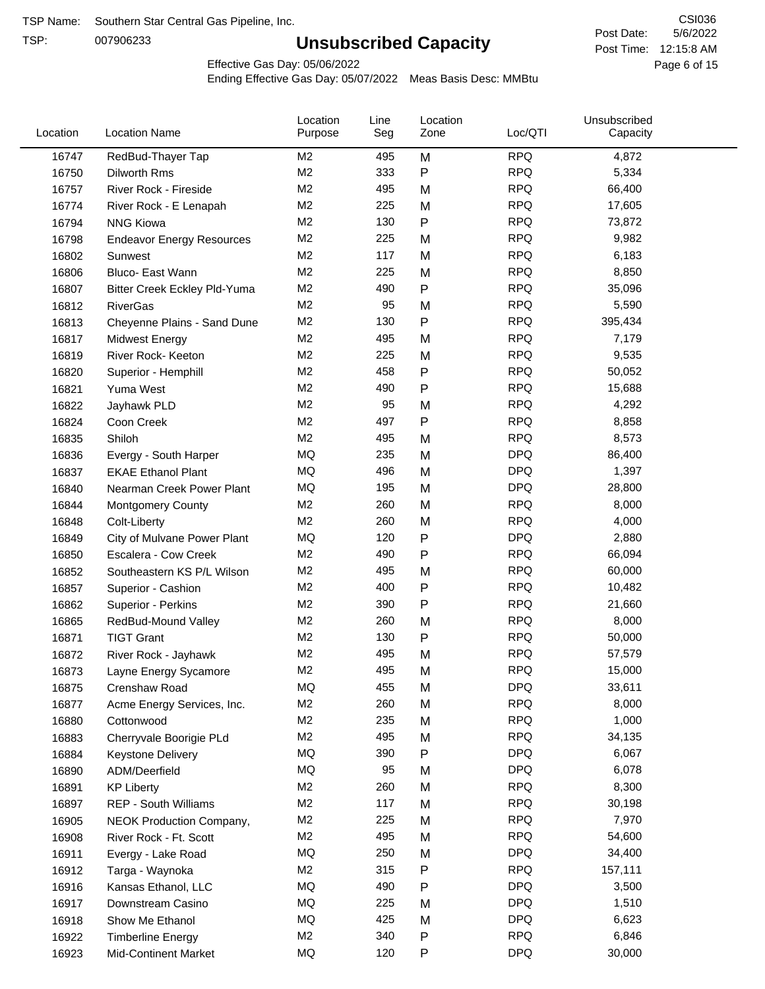TSP:

# **Unsubscribed Capacity**

5/6/2022 Page 6 of 15 Post Time: 12:15:8 AM CSI036 Post Date:

Effective Gas Day: 05/06/2022

| Location | <b>Location Name</b>             | Location<br>Purpose | Line<br>Seg | Location<br>Zone | Loc/QTI    | Unsubscribed<br>Capacity |  |
|----------|----------------------------------|---------------------|-------------|------------------|------------|--------------------------|--|
| 16747    | RedBud-Thayer Tap                | M2                  | 495         | M                | <b>RPQ</b> | 4,872                    |  |
| 16750    | Dilworth Rms                     | M <sub>2</sub>      | 333         | P                | <b>RPQ</b> | 5,334                    |  |
| 16757    | River Rock - Fireside            | M <sub>2</sub>      | 495         | M                | <b>RPQ</b> | 66,400                   |  |
| 16774    | River Rock - E Lenapah           | M <sub>2</sub>      | 225         | M                | <b>RPQ</b> | 17,605                   |  |
| 16794    | <b>NNG Kiowa</b>                 | M <sub>2</sub>      | 130         | P                | <b>RPQ</b> | 73,872                   |  |
| 16798    | <b>Endeavor Energy Resources</b> | M <sub>2</sub>      | 225         | M                | <b>RPQ</b> | 9,982                    |  |
| 16802    | Sunwest                          | M <sub>2</sub>      | 117         | M                | <b>RPQ</b> | 6,183                    |  |
| 16806    | Bluco- East Wann                 | M <sub>2</sub>      | 225         | M                | <b>RPQ</b> | 8,850                    |  |
| 16807    | Bitter Creek Eckley Pld-Yuma     | M <sub>2</sub>      | 490         | $\mathsf{P}$     | <b>RPQ</b> | 35,096                   |  |
| 16812    | <b>RiverGas</b>                  | M <sub>2</sub>      | 95          | M                | <b>RPQ</b> | 5,590                    |  |
| 16813    | Cheyenne Plains - Sand Dune      | M <sub>2</sub>      | 130         | P                | <b>RPQ</b> | 395,434                  |  |
| 16817    | <b>Midwest Energy</b>            | M <sub>2</sub>      | 495         | M                | <b>RPQ</b> | 7,179                    |  |
| 16819    | River Rock- Keeton               | M <sub>2</sub>      | 225         | M                | <b>RPQ</b> | 9,535                    |  |
| 16820    | Superior - Hemphill              | M <sub>2</sub>      | 458         | P                | <b>RPQ</b> | 50,052                   |  |
| 16821    | Yuma West                        | M <sub>2</sub>      | 490         | P                | <b>RPQ</b> | 15,688                   |  |
| 16822    | Jayhawk PLD                      | M <sub>2</sub>      | 95          | M                | <b>RPQ</b> | 4,292                    |  |
| 16824    | Coon Creek                       | M <sub>2</sub>      | 497         | P                | <b>RPQ</b> | 8,858                    |  |
| 16835    | Shiloh                           | M2                  | 495         | M                | <b>RPQ</b> | 8,573                    |  |
| 16836    | Evergy - South Harper            | MQ                  | 235         | M                | <b>DPQ</b> | 86,400                   |  |
| 16837    | <b>EKAE Ethanol Plant</b>        | MQ                  | 496         | M                | <b>DPQ</b> | 1,397                    |  |
| 16840    | Nearman Creek Power Plant        | MQ                  | 195         | M                | <b>DPQ</b> | 28,800                   |  |
| 16844    | <b>Montgomery County</b>         | M <sub>2</sub>      | 260         | M                | <b>RPQ</b> | 8,000                    |  |
| 16848    | Colt-Liberty                     | M <sub>2</sub>      | 260         | M                | <b>RPQ</b> | 4,000                    |  |
| 16849    | City of Mulvane Power Plant      | MQ                  | 120         | ${\sf P}$        | <b>DPQ</b> | 2,880                    |  |
| 16850    | Escalera - Cow Creek             | M <sub>2</sub>      | 490         | P                | <b>RPQ</b> | 66,094                   |  |
| 16852    | Southeastern KS P/L Wilson       | M <sub>2</sub>      | 495         | M                | <b>RPQ</b> | 60,000                   |  |
| 16857    | Superior - Cashion               | M2                  | 400         | P                | <b>RPQ</b> | 10,482                   |  |
| 16862    | Superior - Perkins               | M <sub>2</sub>      | 390         | P                | <b>RPQ</b> | 21,660                   |  |
| 16865    | RedBud-Mound Valley              | M <sub>2</sub>      | 260         | M                | <b>RPQ</b> | 8,000                    |  |
| 16871    | <b>TIGT Grant</b>                | M <sub>2</sub>      | 130         | P                | <b>RPQ</b> | 50,000                   |  |
| 16872    | River Rock - Jayhawk             | M <sub>2</sub>      | 495         | M                | <b>RPQ</b> | 57,579                   |  |
| 16873    | Layne Energy Sycamore            | M <sub>2</sub>      | 495         | M                | <b>RPQ</b> | 15,000                   |  |
| 16875    | Crenshaw Road                    | MQ                  | 455         | M                | <b>DPQ</b> | 33,611                   |  |
| 16877    | Acme Energy Services, Inc.       | M <sub>2</sub>      | 260         | M                | <b>RPQ</b> | 8,000                    |  |
| 16880    | Cottonwood                       | M <sub>2</sub>      | 235         | M                | <b>RPQ</b> | 1,000                    |  |
| 16883    | Cherryvale Boorigie PLd          | M <sub>2</sub>      | 495         | M                | <b>RPQ</b> | 34,135                   |  |
| 16884    | Keystone Delivery                | MQ                  | 390         | P                | <b>DPQ</b> | 6,067                    |  |
| 16890    | ADM/Deerfield                    | MQ                  | 95          | M                | <b>DPQ</b> | 6,078                    |  |
| 16891    | <b>KP Liberty</b>                | M <sub>2</sub>      | 260         | M                | <b>RPQ</b> | 8,300                    |  |
| 16897    | <b>REP - South Williams</b>      | M <sub>2</sub>      | 117         | M                | <b>RPQ</b> | 30,198                   |  |
| 16905    | NEOK Production Company,         | M <sub>2</sub>      | 225         | M                | <b>RPQ</b> | 7,970                    |  |
| 16908    | River Rock - Ft. Scott           | M2                  | 495         | M                | <b>RPQ</b> | 54,600                   |  |
| 16911    | Evergy - Lake Road               | MQ                  | 250         | M                | <b>DPQ</b> | 34,400                   |  |
| 16912    | Targa - Waynoka                  | M <sub>2</sub>      | 315         | P                | <b>RPQ</b> | 157,111                  |  |
| 16916    | Kansas Ethanol, LLC              | MQ                  | 490         | P                | <b>DPQ</b> | 3,500                    |  |
| 16917    | Downstream Casino                | MQ                  | 225         | M                | <b>DPQ</b> | 1,510                    |  |
| 16918    | Show Me Ethanol                  | MQ                  | 425         | M                | <b>DPQ</b> | 6,623                    |  |
| 16922    | <b>Timberline Energy</b>         | M <sub>2</sub>      | 340         | P                | <b>RPQ</b> | 6,846                    |  |
| 16923    | Mid-Continent Market             | MQ                  | 120         | P                | <b>DPQ</b> | 30,000                   |  |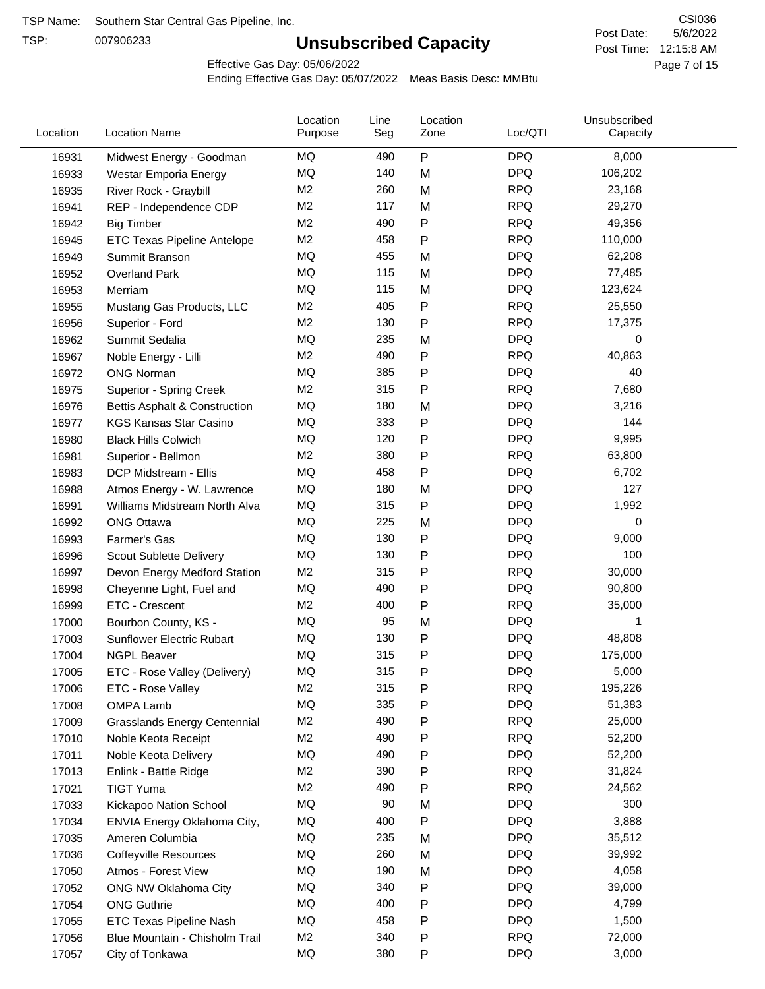TSP:

# **Unsubscribed Capacity**

5/6/2022 Page 7 of 15 Post Time: 12:15:8 AM CSI036 Post Date:

Effective Gas Day: 05/06/2022

| Location | <b>Location Name</b>                                    | Location<br>Purpose  | Line<br>Seg | Location<br>Zone | Loc/QTI                  | Unsubscribed<br>Capacity |  |
|----------|---------------------------------------------------------|----------------------|-------------|------------------|--------------------------|--------------------------|--|
| 16931    | Midwest Energy - Goodman                                | ΜQ                   | 490         | $\mathsf{P}$     | <b>DPQ</b>               | 8,000                    |  |
| 16933    | Westar Emporia Energy                                   | MQ                   | 140         | M                | <b>DPQ</b>               | 106,202                  |  |
| 16935    | River Rock - Graybill                                   | M <sub>2</sub>       | 260         | M                | <b>RPQ</b>               | 23,168                   |  |
| 16941    | REP - Independence CDP                                  | M <sub>2</sub>       | 117         | M                | <b>RPQ</b>               | 29,270                   |  |
| 16942    | <b>Big Timber</b>                                       | M <sub>2</sub>       | 490         | P                | <b>RPQ</b>               | 49,356                   |  |
| 16945    | <b>ETC Texas Pipeline Antelope</b>                      | M <sub>2</sub>       | 458         | P                | <b>RPQ</b>               | 110,000                  |  |
| 16949    | Summit Branson                                          | MQ                   | 455         | M                | <b>DPQ</b>               | 62,208                   |  |
| 16952    | <b>Overland Park</b>                                    | MQ                   | 115         | M                | <b>DPQ</b>               | 77,485                   |  |
| 16953    | Merriam                                                 | MQ                   | 115         | M                | <b>DPQ</b>               | 123,624                  |  |
| 16955    | Mustang Gas Products, LLC                               | M <sub>2</sub>       | 405         | P                | <b>RPQ</b>               | 25,550                   |  |
| 16956    | Superior - Ford                                         | M <sub>2</sub>       | 130         | P                | <b>RPQ</b>               | 17,375                   |  |
| 16962    | Summit Sedalia                                          | <b>MQ</b>            | 235         | M                | <b>DPQ</b>               | 0                        |  |
| 16967    | Noble Energy - Lilli                                    | M <sub>2</sub>       | 490         | P                | <b>RPQ</b>               | 40,863                   |  |
| 16972    | <b>ONG Norman</b>                                       | MQ                   | 385         | P                | <b>DPQ</b>               | 40                       |  |
| 16975    | Superior - Spring Creek                                 | M <sub>2</sub>       | 315         | $\mathsf{P}$     | <b>RPQ</b>               | 7,680                    |  |
| 16976    | Bettis Asphalt & Construction                           | MQ                   | 180         | M                | <b>DPQ</b>               | 3,216                    |  |
| 16977    | <b>KGS Kansas Star Casino</b>                           | MQ                   | 333         | P                | <b>DPQ</b>               | 144                      |  |
| 16980    | <b>Black Hills Colwich</b>                              | MQ                   | 120         | P                | <b>DPQ</b>               | 9,995                    |  |
| 16981    | Superior - Bellmon                                      | M <sub>2</sub>       | 380         | P                | <b>RPQ</b>               | 63,800                   |  |
| 16983    | DCP Midstream - Ellis                                   | MQ                   | 458         | P                | <b>DPQ</b>               | 6,702                    |  |
| 16988    | Atmos Energy - W. Lawrence                              | MQ                   | 180         | M                | <b>DPQ</b>               | 127                      |  |
| 16991    | Williams Midstream North Alva                           | MQ                   | 315         | P                | <b>DPQ</b>               | 1,992                    |  |
| 16992    | <b>ONG Ottawa</b>                                       | MQ                   | 225         | M                | <b>DPQ</b>               | 0                        |  |
| 16993    | Farmer's Gas                                            | MQ                   | 130         | P                | <b>DPQ</b>               | 9,000                    |  |
| 16996    |                                                         | MQ                   | 130         | P                | <b>DPQ</b>               | 100                      |  |
| 16997    | Scout Sublette Delivery<br>Devon Energy Medford Station | M <sub>2</sub>       | 315         | P                | <b>RPQ</b>               | 30,000                   |  |
| 16998    |                                                         | MQ                   | 490         | P                | <b>DPQ</b>               | 90,800                   |  |
| 16999    | Cheyenne Light, Fuel and<br>ETC - Crescent              | M <sub>2</sub>       | 400         | P                | <b>RPQ</b>               | 35,000                   |  |
|          | Bourbon County, KS -                                    | MQ                   | 95          | M                | <b>DPQ</b>               |                          |  |
| 17000    |                                                         | MQ                   | 130         |                  | <b>DPQ</b>               | 48,808                   |  |
| 17003    | Sunflower Electric Rubart                               | MQ                   | 315         | P                | <b>DPQ</b>               | 175,000                  |  |
| 17004    | <b>NGPL Beaver</b>                                      | MQ                   | 315         | Ρ                | <b>DPQ</b>               | 5,000                    |  |
| 17005    | ETC - Rose Valley (Delivery)                            |                      |             | P                |                          |                          |  |
| 17006    | ETC - Rose Valley                                       | M <sub>2</sub><br>MQ | 315<br>335  | P                | <b>RPQ</b><br><b>DPQ</b> | 195,226                  |  |
| 17008    | OMPA Lamb                                               | M <sub>2</sub>       |             | P                | <b>RPQ</b>               | 51,383                   |  |
| 17009    | <b>Grasslands Energy Centennial</b>                     |                      | 490         | P                |                          | 25,000                   |  |
| 17010    | Noble Keota Receipt                                     | M <sub>2</sub>       | 490         | P                | <b>RPQ</b>               | 52,200                   |  |
| 17011    | Noble Keota Delivery                                    | MQ                   | 490         | P                | <b>DPQ</b>               | 52,200                   |  |
| 17013    | Enlink - Battle Ridge                                   | M <sub>2</sub>       | 390         | P                | <b>RPQ</b>               | 31,824                   |  |
| 17021    | <b>TIGT Yuma</b>                                        | M <sub>2</sub>       | 490         | P                | <b>RPQ</b>               | 24,562                   |  |
| 17033    | Kickapoo Nation School                                  | MQ                   | 90          | M                | <b>DPQ</b>               | 300                      |  |
| 17034    | ENVIA Energy Oklahoma City,                             | MQ                   | 400         | P                | <b>DPQ</b>               | 3,888                    |  |
| 17035    | Ameren Columbia                                         | MQ                   | 235         | M                | <b>DPQ</b>               | 35,512                   |  |
| 17036    | <b>Coffeyville Resources</b>                            | MQ                   | 260         | M                | <b>DPQ</b>               | 39,992                   |  |
| 17050    | Atmos - Forest View                                     | MQ                   | 190         | M                | <b>DPQ</b>               | 4,058                    |  |
| 17052    | ONG NW Oklahoma City                                    | MQ                   | 340         | P                | <b>DPQ</b>               | 39,000                   |  |
| 17054    | <b>ONG Guthrie</b>                                      | MQ                   | 400         | P                | <b>DPQ</b>               | 4,799                    |  |
| 17055    | ETC Texas Pipeline Nash                                 | MQ                   | 458         | P                | <b>DPQ</b>               | 1,500                    |  |
| 17056    | Blue Mountain - Chisholm Trail                          | M <sub>2</sub>       | 340         | P                | <b>RPQ</b>               | 72,000                   |  |
| 17057    | City of Tonkawa                                         | MQ                   | 380         | ${\sf P}$        | <b>DPQ</b>               | 3,000                    |  |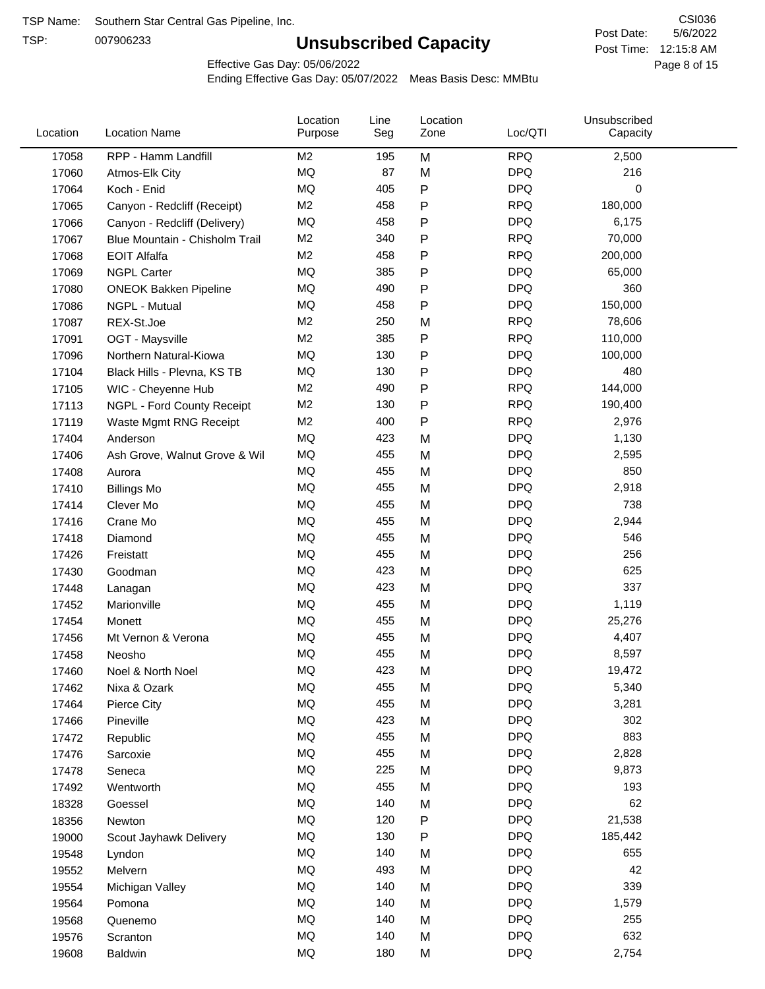TSP:

# **Unsubscribed Capacity**

5/6/2022 Page 8 of 15 Post Time: 12:15:8 AM CSI036 Post Date:

Effective Gas Day: 05/06/2022

| Location | <b>Location Name</b>           | Location<br>Purpose | Line<br>Seg | Location<br>Zone | Loc/QTI    | Unsubscribed<br>Capacity |  |
|----------|--------------------------------|---------------------|-------------|------------------|------------|--------------------------|--|
| 17058    | RPP - Hamm Landfill            | M <sub>2</sub>      | 195         | M                | <b>RPQ</b> | 2,500                    |  |
| 17060    | Atmos-Elk City                 | MQ                  | 87          | M                | <b>DPQ</b> | 216                      |  |
| 17064    | Koch - Enid                    | MQ                  | 405         | P                | <b>DPQ</b> | 0                        |  |
| 17065    | Canyon - Redcliff (Receipt)    | M <sub>2</sub>      | 458         | Ρ                | <b>RPQ</b> | 180,000                  |  |
| 17066    | Canyon - Redcliff (Delivery)   | MQ                  | 458         | Ρ                | <b>DPQ</b> | 6,175                    |  |
| 17067    | Blue Mountain - Chisholm Trail | M <sub>2</sub>      | 340         | P                | <b>RPQ</b> | 70,000                   |  |
| 17068    | <b>EOIT Alfalfa</b>            | M <sub>2</sub>      | 458         | Ρ                | <b>RPQ</b> | 200,000                  |  |
| 17069    | <b>NGPL Carter</b>             | MQ                  | 385         | P                | <b>DPQ</b> | 65,000                   |  |
| 17080    | <b>ONEOK Bakken Pipeline</b>   | MQ                  | 490         | Ρ                | <b>DPQ</b> | 360                      |  |
| 17086    | NGPL - Mutual                  | <b>MQ</b>           | 458         | P                | <b>DPQ</b> | 150,000                  |  |
| 17087    | REX-St.Joe                     | M <sub>2</sub>      | 250         | M                | <b>RPQ</b> | 78,606                   |  |
| 17091    | OGT - Maysville                | M <sub>2</sub>      | 385         | P                | <b>RPQ</b> | 110,000                  |  |
| 17096    | Northern Natural-Kiowa         | MQ                  | 130         | P                | <b>DPQ</b> | 100,000                  |  |
| 17104    | Black Hills - Plevna, KS TB    | MQ                  | 130         | Ρ                | <b>DPQ</b> | 480                      |  |
| 17105    | WIC - Cheyenne Hub             | M <sub>2</sub>      | 490         | P                | <b>RPQ</b> | 144,000                  |  |
| 17113    | NGPL - Ford County Receipt     | M <sub>2</sub>      | 130         | Ρ                | <b>RPQ</b> | 190,400                  |  |
| 17119    | Waste Mgmt RNG Receipt         | M <sub>2</sub>      | 400         | P                | <b>RPQ</b> | 2,976                    |  |
| 17404    | Anderson                       | MQ                  | 423         | M                | <b>DPQ</b> | 1,130                    |  |
| 17406    | Ash Grove, Walnut Grove & Wil  | MQ                  | 455         | M                | <b>DPQ</b> | 2,595                    |  |
| 17408    | Aurora                         | <b>MQ</b>           | 455         | M                | <b>DPQ</b> | 850                      |  |
| 17410    | <b>Billings Mo</b>             | MQ                  | 455         | M                | <b>DPQ</b> | 2,918                    |  |
| 17414    | Clever Mo                      | MQ                  | 455         | M                | <b>DPQ</b> | 738                      |  |
| 17416    | Crane Mo                       | MQ                  | 455         | M                | <b>DPQ</b> | 2,944                    |  |
| 17418    | Diamond                        | <b>MQ</b>           | 455         | M                | <b>DPQ</b> | 546                      |  |
| 17426    | Freistatt                      | MQ                  | 455         | M                | <b>DPQ</b> | 256                      |  |
| 17430    | Goodman                        | MQ                  | 423         | M                | <b>DPQ</b> | 625                      |  |
| 17448    | Lanagan                        | MQ                  | 423         | M                | <b>DPQ</b> | 337                      |  |
| 17452    | Marionville                    | MQ                  | 455         | M                | <b>DPQ</b> | 1,119                    |  |
| 17454    | Monett                         | MQ                  | 455         | M                | <b>DPQ</b> | 25,276                   |  |
| 17456    | Mt Vernon & Verona             | MQ                  | 455         | M                | <b>DPQ</b> | 4,407                    |  |
| 17458    | Neosho                         | <b>MQ</b>           | 455         | M                | <b>DPQ</b> | 8,597                    |  |
| 17460    | Noel & North Noel              | MQ                  | 423         | M                | <b>DPQ</b> | 19,472                   |  |
| 17462    | Nixa & Ozark                   | MQ                  | 455         | M                | <b>DPQ</b> | 5,340                    |  |
| 17464    | Pierce City                    | MQ                  | 455         | M                | <b>DPQ</b> | 3,281                    |  |
| 17466    | Pineville                      | MQ                  | 423         | M                | <b>DPQ</b> | 302                      |  |
| 17472    | Republic                       | MQ                  | 455         | M                | <b>DPQ</b> | 883                      |  |
| 17476    | Sarcoxie                       | MQ                  | 455         | M                | <b>DPQ</b> | 2,828                    |  |
| 17478    | Seneca                         | MQ                  | 225         | M                | <b>DPQ</b> | 9,873                    |  |
| 17492    | Wentworth                      | MQ                  | 455         | M                | <b>DPQ</b> | 193                      |  |
| 18328    | Goessel                        | MQ                  | 140         | M                | <b>DPQ</b> | 62                       |  |
| 18356    | Newton                         | MQ                  | 120         | P                | <b>DPQ</b> | 21,538                   |  |
| 19000    | Scout Jayhawk Delivery         | MQ                  | 130         | P                | <b>DPQ</b> | 185,442                  |  |
| 19548    | Lyndon                         | MQ                  | 140         | M                | <b>DPQ</b> | 655                      |  |
| 19552    | Melvern                        | MQ                  | 493         | M                | <b>DPQ</b> | 42                       |  |
| 19554    | Michigan Valley                | MQ                  | 140         | M                | <b>DPQ</b> | 339                      |  |
| 19564    | Pomona                         | MQ                  | 140         | M                | <b>DPQ</b> | 1,579                    |  |
| 19568    | Quenemo                        | MQ                  | 140         | M                | <b>DPQ</b> | 255                      |  |
| 19576    | Scranton                       | MQ                  | 140         | M                | <b>DPQ</b> | 632                      |  |
| 19608    | Baldwin                        | MQ                  | 180         | M                | <b>DPQ</b> | 2,754                    |  |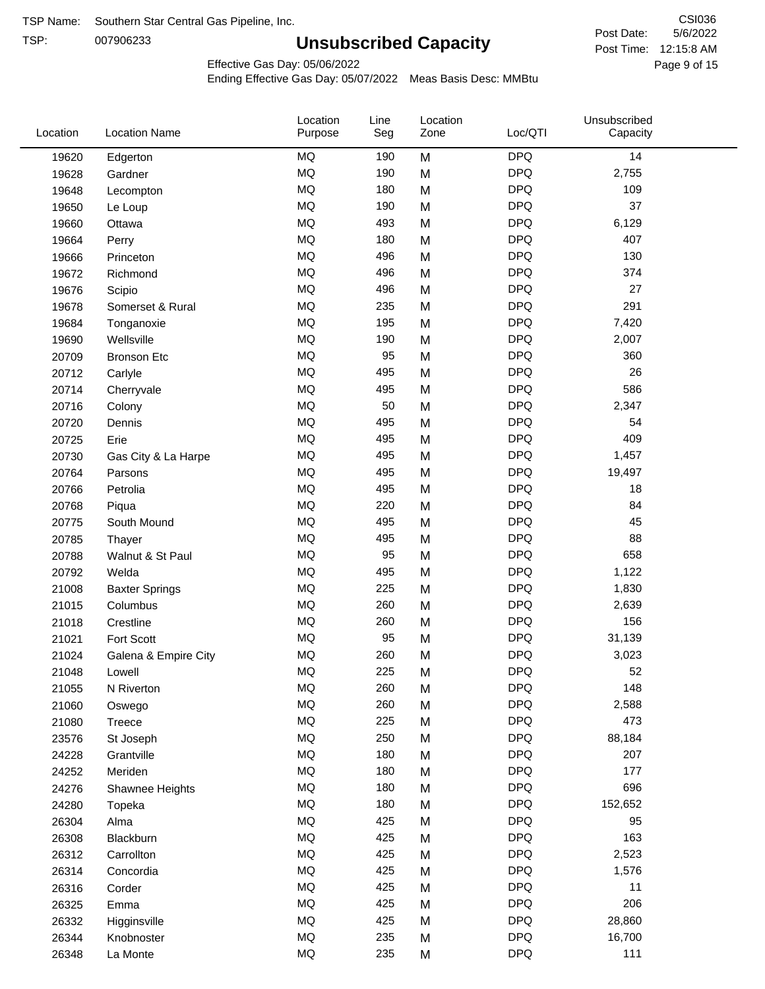TSP:

# **Unsubscribed Capacity**

5/6/2022 Page 9 of 15 Post Time: 12:15:8 AM CSI036 Post Date:

Effective Gas Day: 05/06/2022

| Location | <b>Location Name</b>  | Location<br>Purpose | Line<br>Seg | Location<br>Zone | Loc/QTI    | Unsubscribed<br>Capacity |  |
|----------|-----------------------|---------------------|-------------|------------------|------------|--------------------------|--|
| 19620    | Edgerton              | <b>MQ</b>           | 190         | M                | <b>DPQ</b> | 14                       |  |
| 19628    | Gardner               | <b>MQ</b>           | 190         | M                | <b>DPQ</b> | 2,755                    |  |
| 19648    | Lecompton             | <b>MQ</b>           | 180         | M                | <b>DPQ</b> | 109                      |  |
| 19650    | Le Loup               | <b>MQ</b>           | 190         | M                | <b>DPQ</b> | 37                       |  |
| 19660    | Ottawa                | <b>MQ</b>           | 493         | M                | <b>DPQ</b> | 6,129                    |  |
| 19664    | Perry                 | <b>MQ</b>           | 180         | M                | <b>DPQ</b> | 407                      |  |
| 19666    | Princeton             | <b>MQ</b>           | 496         | M                | <b>DPQ</b> | 130                      |  |
| 19672    | Richmond              | <b>MQ</b>           | 496         | M                | <b>DPQ</b> | 374                      |  |
| 19676    | Scipio                | <b>MQ</b>           | 496         | M                | <b>DPQ</b> | 27                       |  |
| 19678    | Somerset & Rural      | <b>MQ</b>           | 235         | M                | <b>DPQ</b> | 291                      |  |
| 19684    | Tonganoxie            | <b>MQ</b>           | 195         | M                | <b>DPQ</b> | 7,420                    |  |
| 19690    | Wellsville            | <b>MQ</b>           | 190         | M                | <b>DPQ</b> | 2,007                    |  |
| 20709    | <b>Bronson Etc</b>    | <b>MQ</b>           | 95          | M                | <b>DPQ</b> | 360                      |  |
| 20712    | Carlyle               | <b>MQ</b>           | 495         | M                | <b>DPQ</b> | 26                       |  |
| 20714    | Cherryvale            | <b>MQ</b>           | 495         | M                | <b>DPQ</b> | 586                      |  |
| 20716    | Colony                | <b>MQ</b>           | 50          | M                | <b>DPQ</b> | 2,347                    |  |
| 20720    | Dennis                | <b>MQ</b>           | 495         | M                | <b>DPQ</b> | 54                       |  |
| 20725    | Erie                  | <b>MQ</b>           | 495         | M                | <b>DPQ</b> | 409                      |  |
| 20730    | Gas City & La Harpe   | <b>MQ</b>           | 495         | M                | <b>DPQ</b> | 1,457                    |  |
| 20764    | Parsons               | <b>MQ</b>           | 495         | M                | <b>DPQ</b> | 19,497                   |  |
| 20766    | Petrolia              | <b>MQ</b>           | 495         | M                | <b>DPQ</b> | 18                       |  |
| 20768    | Piqua                 | <b>MQ</b>           | 220         | M                | <b>DPQ</b> | 84                       |  |
| 20775    | South Mound           | <b>MQ</b>           | 495         | M                | <b>DPQ</b> | 45                       |  |
| 20785    | Thayer                | <b>MQ</b>           | 495         | M                | <b>DPQ</b> | 88                       |  |
| 20788    | Walnut & St Paul      | <b>MQ</b>           | 95          | M                | <b>DPQ</b> | 658                      |  |
| 20792    | Welda                 | <b>MQ</b>           | 495         | M                | <b>DPQ</b> | 1,122                    |  |
| 21008    | <b>Baxter Springs</b> | <b>MQ</b>           | 225         | M                | <b>DPQ</b> | 1,830                    |  |
| 21015    | Columbus              | <b>MQ</b>           | 260         | M                | <b>DPQ</b> | 2,639                    |  |
| 21018    | Crestline             | <b>MQ</b>           | 260         | M                | <b>DPQ</b> | 156                      |  |
| 21021    | Fort Scott            | <b>MQ</b>           | 95          | M                | <b>DPQ</b> | 31,139                   |  |
| 21024    | Galena & Empire City  | MQ                  | 260         | M                | <b>DPQ</b> | 3,023                    |  |
| 21048    | Lowell                | <b>MQ</b>           | 225         | M                | <b>DPQ</b> | 52                       |  |
| 21055    | N Riverton            | MQ                  | 260         | M                | <b>DPQ</b> | 148                      |  |
| 21060    | Oswego                | <b>MQ</b>           | 260         | M                | <b>DPQ</b> | 2,588                    |  |
| 21080    | Treece                | <b>MQ</b>           | 225         | M                | <b>DPQ</b> | 473                      |  |
| 23576    | St Joseph             | MQ                  | 250         | M                | <b>DPQ</b> | 88,184                   |  |
| 24228    | Grantville            | <b>MQ</b>           | 180         | M                | <b>DPQ</b> | 207                      |  |
| 24252    | Meriden               | <b>MQ</b>           | 180         | M                | <b>DPQ</b> | 177                      |  |
| 24276    | Shawnee Heights       | <b>MQ</b>           | 180         | M                | <b>DPQ</b> | 696                      |  |
| 24280    | Topeka                | <b>MQ</b>           | 180         | M                | <b>DPQ</b> | 152,652                  |  |
| 26304    | Alma                  | <b>MQ</b>           | 425         | M                | <b>DPQ</b> | 95                       |  |
| 26308    | Blackburn             | <b>MQ</b>           | 425         | M                | <b>DPQ</b> | 163                      |  |
| 26312    | Carrollton            | <b>MQ</b>           | 425         | M                | <b>DPQ</b> | 2,523                    |  |
| 26314    | Concordia             | <b>MQ</b>           | 425         | M                | <b>DPQ</b> | 1,576                    |  |
| 26316    | Corder                | <b>MQ</b>           | 425         | M                | <b>DPQ</b> | 11                       |  |
| 26325    | Emma                  | <b>MQ</b>           | 425         | M                | <b>DPQ</b> | 206                      |  |
| 26332    | Higginsville          | <b>MQ</b>           | 425         | M                | <b>DPQ</b> | 28,860                   |  |
| 26344    | Knobnoster            | <b>MQ</b>           | 235         | M                | <b>DPQ</b> | 16,700                   |  |
| 26348    | La Monte              | <b>MQ</b>           | 235         | M                | <b>DPQ</b> | 111                      |  |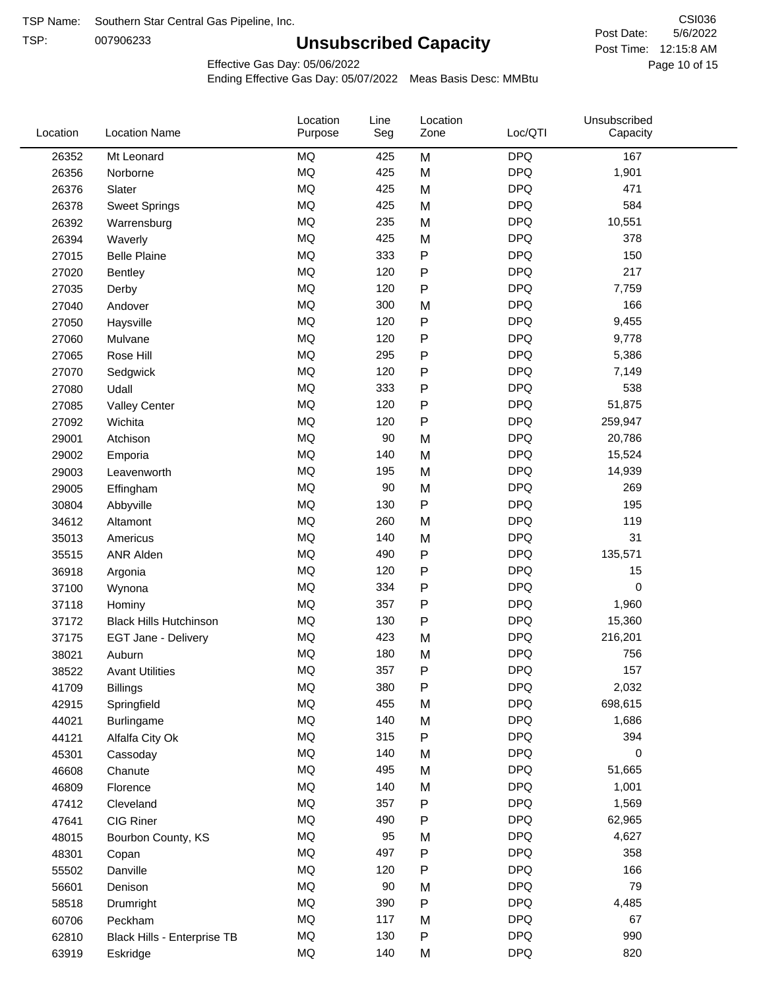TSP:

# **Unsubscribed Capacity**

5/6/2022 Page 10 of 15 Post Time: 12:15:8 AM CSI036 Post Date:

Unsubscribed

Effective Gas Day: 05/06/2022

Location

Ending Effective Gas Day: 05/07/2022 Meas Basis Desc: MMBtu

Line

Location

| <b>DPQ</b><br>MQ<br>167<br>26352<br>Mt Leonard<br>425<br>M<br>MQ<br><b>DPQ</b><br>425<br>M<br>1,901<br>26356<br>Norborne<br>MQ<br><b>DPQ</b><br>425<br>M<br>471<br>26376<br>Slater<br>MQ<br><b>DPQ</b><br>584<br>425<br>26378<br>M<br><b>Sweet Springs</b><br>MQ<br><b>DPQ</b><br>235<br>M<br>10,551<br>26392<br>Warrensburg<br>MQ<br><b>DPQ</b><br>425<br>378<br>26394<br>M<br>Waverly<br>MQ<br>P<br><b>DPQ</b><br>150<br>27015<br>333<br><b>Belle Plaine</b><br>MQ<br><b>DPQ</b><br>217<br>120<br>P<br>27020<br>Bentley<br>MQ<br><b>DPQ</b><br>120<br>7,759<br>Ρ<br>27035<br>Derby<br>MQ<br><b>DPQ</b><br>166<br>300<br>27040<br>M<br>Andover<br>MQ<br><b>DPQ</b><br>120<br>P<br>9,455<br>27050<br>Haysville<br>MQ<br>P<br><b>DPQ</b><br>9,778<br>120<br>27060<br>Mulvane<br>MQ<br><b>DPQ</b><br>295<br>P<br>5,386<br>27065<br>Rose Hill<br>MQ<br>120<br><b>DPQ</b><br>Ρ<br>27070<br>7,149<br>Sedgwick<br>MQ<br><b>DPQ</b><br>538<br>333<br>P<br>Udall<br>27080<br>MQ<br>P<br><b>DPQ</b><br>51,875<br>120<br>27085<br><b>Valley Center</b><br>MQ<br>$\sf P$<br><b>DPQ</b><br>120<br>259,947<br>27092<br>Wichita<br>MQ<br><b>DPQ</b><br>90<br>M<br>20,786<br>29001<br>Atchison<br>MQ<br><b>DPQ</b><br>140<br>15,524<br>29002<br>M<br>Emporia<br>MQ<br><b>DPQ</b><br>195<br>M<br>14,939<br>29003<br>Leavenworth<br>MQ<br>90<br><b>DPQ</b><br>269<br>M<br>29005<br>Effingham<br>MQ<br>${\sf P}$<br><b>DPQ</b><br>195<br>130<br>30804<br>Abbyville<br>MQ<br><b>DPQ</b><br>119<br>260<br>M<br>34612<br>Altamont<br>MQ<br><b>DPQ</b><br>31<br>140<br>M<br>35013<br>Americus<br>MQ<br>P<br><b>DPQ</b><br>490<br>135,571<br>35515<br><b>ANR Alden</b><br>MQ<br><b>DPQ</b><br>120<br>P<br>15<br>36918<br>Argonia<br>MQ<br>P<br><b>DPQ</b><br>$\mathbf 0$<br>334<br>37100<br>Wynona<br>MQ<br><b>DPQ</b><br>357<br>1,960<br>37118<br>Ρ<br>Hominy<br>MQ<br>P<br><b>DPQ</b><br>130<br>15,360<br>37172<br><b>Black Hills Hutchinson</b><br>MQ<br><b>DPQ</b><br>423<br>M<br>216,201<br>37175<br>EGT Jane - Delivery<br>MQ<br><b>DPQ</b><br>756<br>180<br>M<br>Auburn<br>38021<br><b>MQ</b><br>357<br><b>DPQ</b><br>157<br>P<br>38522<br><b>Avant Utilities</b><br>P<br><b>DPQ</b><br>MQ<br>380<br>2,032<br>41709<br><b>Billings</b><br>MQ<br><b>DPQ</b><br>698,615<br>455<br>M<br>42915<br>Springfield<br>MQ<br>140<br><b>DPQ</b><br>M<br>1,686<br>44021<br>Burlingame<br>MQ<br>315<br><b>DPQ</b><br>394<br>44121<br>P<br>Alfalfa City Ok<br>MQ<br><b>DPQ</b><br>140<br>0<br>45301<br>M<br>Cassoday<br>MQ<br><b>DPQ</b><br>495<br>M<br>51,665<br>Chanute<br>46608<br>MQ<br><b>DPQ</b><br>140<br>1,001<br>46809<br>M<br>Florence<br>MQ<br><b>DPQ</b><br>357<br>1,569<br>47412<br>Ρ<br>Cleveland<br>MQ<br><b>DPQ</b><br>490<br>47641<br>CIG Riner<br>Ρ<br>62,965<br>MQ<br><b>DPQ</b><br>95<br>4,627<br>48015<br>Bourbon County, KS<br>M<br>MQ<br><b>DPQ</b><br>497<br>P<br>358<br>48301<br>Copan<br>MQ<br><b>DPQ</b><br>120<br>P<br>166<br>55502<br>Danville<br>MQ<br><b>DPQ</b><br>79<br>90<br>M<br>56601<br>Denison<br>MQ<br><b>DPQ</b><br>390<br>P<br>4,485<br>58518<br>Drumright<br>MQ<br><b>DPQ</b><br>117<br>67<br>60706<br>M<br>Peckham<br>MQ<br><b>DPQ</b><br>990<br>130<br>P<br>62810<br>Black Hills - Enterprise TB<br>MQ<br><b>DPQ</b><br>820<br>140<br>63919<br>M<br>Eskridge | Location | <b>Location Name</b> | Purpose | Seg | Zone | Loc/QTI | Capacity |  |
|----------------------------------------------------------------------------------------------------------------------------------------------------------------------------------------------------------------------------------------------------------------------------------------------------------------------------------------------------------------------------------------------------------------------------------------------------------------------------------------------------------------------------------------------------------------------------------------------------------------------------------------------------------------------------------------------------------------------------------------------------------------------------------------------------------------------------------------------------------------------------------------------------------------------------------------------------------------------------------------------------------------------------------------------------------------------------------------------------------------------------------------------------------------------------------------------------------------------------------------------------------------------------------------------------------------------------------------------------------------------------------------------------------------------------------------------------------------------------------------------------------------------------------------------------------------------------------------------------------------------------------------------------------------------------------------------------------------------------------------------------------------------------------------------------------------------------------------------------------------------------------------------------------------------------------------------------------------------------------------------------------------------------------------------------------------------------------------------------------------------------------------------------------------------------------------------------------------------------------------------------------------------------------------------------------------------------------------------------------------------------------------------------------------------------------------------------------------------------------------------------------------------------------------------------------------------------------------------------------------------------------------------------------------------------------------------------------------------------------------------------------------------------------------------------------------------------------------------------------------------------------------------------------------------------------------------------------------------------------------------------------------------------------------------------------------------------------------------------------------------------------------------------------------------------------------------------------------------------------------------------------------------------|----------|----------------------|---------|-----|------|---------|----------|--|
|                                                                                                                                                                                                                                                                                                                                                                                                                                                                                                                                                                                                                                                                                                                                                                                                                                                                                                                                                                                                                                                                                                                                                                                                                                                                                                                                                                                                                                                                                                                                                                                                                                                                                                                                                                                                                                                                                                                                                                                                                                                                                                                                                                                                                                                                                                                                                                                                                                                                                                                                                                                                                                                                                                                                                                                                                                                                                                                                                                                                                                                                                                                                                                                                                                                                            |          |                      |         |     |      |         |          |  |
|                                                                                                                                                                                                                                                                                                                                                                                                                                                                                                                                                                                                                                                                                                                                                                                                                                                                                                                                                                                                                                                                                                                                                                                                                                                                                                                                                                                                                                                                                                                                                                                                                                                                                                                                                                                                                                                                                                                                                                                                                                                                                                                                                                                                                                                                                                                                                                                                                                                                                                                                                                                                                                                                                                                                                                                                                                                                                                                                                                                                                                                                                                                                                                                                                                                                            |          |                      |         |     |      |         |          |  |
|                                                                                                                                                                                                                                                                                                                                                                                                                                                                                                                                                                                                                                                                                                                                                                                                                                                                                                                                                                                                                                                                                                                                                                                                                                                                                                                                                                                                                                                                                                                                                                                                                                                                                                                                                                                                                                                                                                                                                                                                                                                                                                                                                                                                                                                                                                                                                                                                                                                                                                                                                                                                                                                                                                                                                                                                                                                                                                                                                                                                                                                                                                                                                                                                                                                                            |          |                      |         |     |      |         |          |  |
|                                                                                                                                                                                                                                                                                                                                                                                                                                                                                                                                                                                                                                                                                                                                                                                                                                                                                                                                                                                                                                                                                                                                                                                                                                                                                                                                                                                                                                                                                                                                                                                                                                                                                                                                                                                                                                                                                                                                                                                                                                                                                                                                                                                                                                                                                                                                                                                                                                                                                                                                                                                                                                                                                                                                                                                                                                                                                                                                                                                                                                                                                                                                                                                                                                                                            |          |                      |         |     |      |         |          |  |
|                                                                                                                                                                                                                                                                                                                                                                                                                                                                                                                                                                                                                                                                                                                                                                                                                                                                                                                                                                                                                                                                                                                                                                                                                                                                                                                                                                                                                                                                                                                                                                                                                                                                                                                                                                                                                                                                                                                                                                                                                                                                                                                                                                                                                                                                                                                                                                                                                                                                                                                                                                                                                                                                                                                                                                                                                                                                                                                                                                                                                                                                                                                                                                                                                                                                            |          |                      |         |     |      |         |          |  |
|                                                                                                                                                                                                                                                                                                                                                                                                                                                                                                                                                                                                                                                                                                                                                                                                                                                                                                                                                                                                                                                                                                                                                                                                                                                                                                                                                                                                                                                                                                                                                                                                                                                                                                                                                                                                                                                                                                                                                                                                                                                                                                                                                                                                                                                                                                                                                                                                                                                                                                                                                                                                                                                                                                                                                                                                                                                                                                                                                                                                                                                                                                                                                                                                                                                                            |          |                      |         |     |      |         |          |  |
|                                                                                                                                                                                                                                                                                                                                                                                                                                                                                                                                                                                                                                                                                                                                                                                                                                                                                                                                                                                                                                                                                                                                                                                                                                                                                                                                                                                                                                                                                                                                                                                                                                                                                                                                                                                                                                                                                                                                                                                                                                                                                                                                                                                                                                                                                                                                                                                                                                                                                                                                                                                                                                                                                                                                                                                                                                                                                                                                                                                                                                                                                                                                                                                                                                                                            |          |                      |         |     |      |         |          |  |
|                                                                                                                                                                                                                                                                                                                                                                                                                                                                                                                                                                                                                                                                                                                                                                                                                                                                                                                                                                                                                                                                                                                                                                                                                                                                                                                                                                                                                                                                                                                                                                                                                                                                                                                                                                                                                                                                                                                                                                                                                                                                                                                                                                                                                                                                                                                                                                                                                                                                                                                                                                                                                                                                                                                                                                                                                                                                                                                                                                                                                                                                                                                                                                                                                                                                            |          |                      |         |     |      |         |          |  |
|                                                                                                                                                                                                                                                                                                                                                                                                                                                                                                                                                                                                                                                                                                                                                                                                                                                                                                                                                                                                                                                                                                                                                                                                                                                                                                                                                                                                                                                                                                                                                                                                                                                                                                                                                                                                                                                                                                                                                                                                                                                                                                                                                                                                                                                                                                                                                                                                                                                                                                                                                                                                                                                                                                                                                                                                                                                                                                                                                                                                                                                                                                                                                                                                                                                                            |          |                      |         |     |      |         |          |  |
|                                                                                                                                                                                                                                                                                                                                                                                                                                                                                                                                                                                                                                                                                                                                                                                                                                                                                                                                                                                                                                                                                                                                                                                                                                                                                                                                                                                                                                                                                                                                                                                                                                                                                                                                                                                                                                                                                                                                                                                                                                                                                                                                                                                                                                                                                                                                                                                                                                                                                                                                                                                                                                                                                                                                                                                                                                                                                                                                                                                                                                                                                                                                                                                                                                                                            |          |                      |         |     |      |         |          |  |
|                                                                                                                                                                                                                                                                                                                                                                                                                                                                                                                                                                                                                                                                                                                                                                                                                                                                                                                                                                                                                                                                                                                                                                                                                                                                                                                                                                                                                                                                                                                                                                                                                                                                                                                                                                                                                                                                                                                                                                                                                                                                                                                                                                                                                                                                                                                                                                                                                                                                                                                                                                                                                                                                                                                                                                                                                                                                                                                                                                                                                                                                                                                                                                                                                                                                            |          |                      |         |     |      |         |          |  |
|                                                                                                                                                                                                                                                                                                                                                                                                                                                                                                                                                                                                                                                                                                                                                                                                                                                                                                                                                                                                                                                                                                                                                                                                                                                                                                                                                                                                                                                                                                                                                                                                                                                                                                                                                                                                                                                                                                                                                                                                                                                                                                                                                                                                                                                                                                                                                                                                                                                                                                                                                                                                                                                                                                                                                                                                                                                                                                                                                                                                                                                                                                                                                                                                                                                                            |          |                      |         |     |      |         |          |  |
|                                                                                                                                                                                                                                                                                                                                                                                                                                                                                                                                                                                                                                                                                                                                                                                                                                                                                                                                                                                                                                                                                                                                                                                                                                                                                                                                                                                                                                                                                                                                                                                                                                                                                                                                                                                                                                                                                                                                                                                                                                                                                                                                                                                                                                                                                                                                                                                                                                                                                                                                                                                                                                                                                                                                                                                                                                                                                                                                                                                                                                                                                                                                                                                                                                                                            |          |                      |         |     |      |         |          |  |
|                                                                                                                                                                                                                                                                                                                                                                                                                                                                                                                                                                                                                                                                                                                                                                                                                                                                                                                                                                                                                                                                                                                                                                                                                                                                                                                                                                                                                                                                                                                                                                                                                                                                                                                                                                                                                                                                                                                                                                                                                                                                                                                                                                                                                                                                                                                                                                                                                                                                                                                                                                                                                                                                                                                                                                                                                                                                                                                                                                                                                                                                                                                                                                                                                                                                            |          |                      |         |     |      |         |          |  |
|                                                                                                                                                                                                                                                                                                                                                                                                                                                                                                                                                                                                                                                                                                                                                                                                                                                                                                                                                                                                                                                                                                                                                                                                                                                                                                                                                                                                                                                                                                                                                                                                                                                                                                                                                                                                                                                                                                                                                                                                                                                                                                                                                                                                                                                                                                                                                                                                                                                                                                                                                                                                                                                                                                                                                                                                                                                                                                                                                                                                                                                                                                                                                                                                                                                                            |          |                      |         |     |      |         |          |  |
|                                                                                                                                                                                                                                                                                                                                                                                                                                                                                                                                                                                                                                                                                                                                                                                                                                                                                                                                                                                                                                                                                                                                                                                                                                                                                                                                                                                                                                                                                                                                                                                                                                                                                                                                                                                                                                                                                                                                                                                                                                                                                                                                                                                                                                                                                                                                                                                                                                                                                                                                                                                                                                                                                                                                                                                                                                                                                                                                                                                                                                                                                                                                                                                                                                                                            |          |                      |         |     |      |         |          |  |
|                                                                                                                                                                                                                                                                                                                                                                                                                                                                                                                                                                                                                                                                                                                                                                                                                                                                                                                                                                                                                                                                                                                                                                                                                                                                                                                                                                                                                                                                                                                                                                                                                                                                                                                                                                                                                                                                                                                                                                                                                                                                                                                                                                                                                                                                                                                                                                                                                                                                                                                                                                                                                                                                                                                                                                                                                                                                                                                                                                                                                                                                                                                                                                                                                                                                            |          |                      |         |     |      |         |          |  |
|                                                                                                                                                                                                                                                                                                                                                                                                                                                                                                                                                                                                                                                                                                                                                                                                                                                                                                                                                                                                                                                                                                                                                                                                                                                                                                                                                                                                                                                                                                                                                                                                                                                                                                                                                                                                                                                                                                                                                                                                                                                                                                                                                                                                                                                                                                                                                                                                                                                                                                                                                                                                                                                                                                                                                                                                                                                                                                                                                                                                                                                                                                                                                                                                                                                                            |          |                      |         |     |      |         |          |  |
|                                                                                                                                                                                                                                                                                                                                                                                                                                                                                                                                                                                                                                                                                                                                                                                                                                                                                                                                                                                                                                                                                                                                                                                                                                                                                                                                                                                                                                                                                                                                                                                                                                                                                                                                                                                                                                                                                                                                                                                                                                                                                                                                                                                                                                                                                                                                                                                                                                                                                                                                                                                                                                                                                                                                                                                                                                                                                                                                                                                                                                                                                                                                                                                                                                                                            |          |                      |         |     |      |         |          |  |
|                                                                                                                                                                                                                                                                                                                                                                                                                                                                                                                                                                                                                                                                                                                                                                                                                                                                                                                                                                                                                                                                                                                                                                                                                                                                                                                                                                                                                                                                                                                                                                                                                                                                                                                                                                                                                                                                                                                                                                                                                                                                                                                                                                                                                                                                                                                                                                                                                                                                                                                                                                                                                                                                                                                                                                                                                                                                                                                                                                                                                                                                                                                                                                                                                                                                            |          |                      |         |     |      |         |          |  |
|                                                                                                                                                                                                                                                                                                                                                                                                                                                                                                                                                                                                                                                                                                                                                                                                                                                                                                                                                                                                                                                                                                                                                                                                                                                                                                                                                                                                                                                                                                                                                                                                                                                                                                                                                                                                                                                                                                                                                                                                                                                                                                                                                                                                                                                                                                                                                                                                                                                                                                                                                                                                                                                                                                                                                                                                                                                                                                                                                                                                                                                                                                                                                                                                                                                                            |          |                      |         |     |      |         |          |  |
|                                                                                                                                                                                                                                                                                                                                                                                                                                                                                                                                                                                                                                                                                                                                                                                                                                                                                                                                                                                                                                                                                                                                                                                                                                                                                                                                                                                                                                                                                                                                                                                                                                                                                                                                                                                                                                                                                                                                                                                                                                                                                                                                                                                                                                                                                                                                                                                                                                                                                                                                                                                                                                                                                                                                                                                                                                                                                                                                                                                                                                                                                                                                                                                                                                                                            |          |                      |         |     |      |         |          |  |
|                                                                                                                                                                                                                                                                                                                                                                                                                                                                                                                                                                                                                                                                                                                                                                                                                                                                                                                                                                                                                                                                                                                                                                                                                                                                                                                                                                                                                                                                                                                                                                                                                                                                                                                                                                                                                                                                                                                                                                                                                                                                                                                                                                                                                                                                                                                                                                                                                                                                                                                                                                                                                                                                                                                                                                                                                                                                                                                                                                                                                                                                                                                                                                                                                                                                            |          |                      |         |     |      |         |          |  |
|                                                                                                                                                                                                                                                                                                                                                                                                                                                                                                                                                                                                                                                                                                                                                                                                                                                                                                                                                                                                                                                                                                                                                                                                                                                                                                                                                                                                                                                                                                                                                                                                                                                                                                                                                                                                                                                                                                                                                                                                                                                                                                                                                                                                                                                                                                                                                                                                                                                                                                                                                                                                                                                                                                                                                                                                                                                                                                                                                                                                                                                                                                                                                                                                                                                                            |          |                      |         |     |      |         |          |  |
|                                                                                                                                                                                                                                                                                                                                                                                                                                                                                                                                                                                                                                                                                                                                                                                                                                                                                                                                                                                                                                                                                                                                                                                                                                                                                                                                                                                                                                                                                                                                                                                                                                                                                                                                                                                                                                                                                                                                                                                                                                                                                                                                                                                                                                                                                                                                                                                                                                                                                                                                                                                                                                                                                                                                                                                                                                                                                                                                                                                                                                                                                                                                                                                                                                                                            |          |                      |         |     |      |         |          |  |
|                                                                                                                                                                                                                                                                                                                                                                                                                                                                                                                                                                                                                                                                                                                                                                                                                                                                                                                                                                                                                                                                                                                                                                                                                                                                                                                                                                                                                                                                                                                                                                                                                                                                                                                                                                                                                                                                                                                                                                                                                                                                                                                                                                                                                                                                                                                                                                                                                                                                                                                                                                                                                                                                                                                                                                                                                                                                                                                                                                                                                                                                                                                                                                                                                                                                            |          |                      |         |     |      |         |          |  |
|                                                                                                                                                                                                                                                                                                                                                                                                                                                                                                                                                                                                                                                                                                                                                                                                                                                                                                                                                                                                                                                                                                                                                                                                                                                                                                                                                                                                                                                                                                                                                                                                                                                                                                                                                                                                                                                                                                                                                                                                                                                                                                                                                                                                                                                                                                                                                                                                                                                                                                                                                                                                                                                                                                                                                                                                                                                                                                                                                                                                                                                                                                                                                                                                                                                                            |          |                      |         |     |      |         |          |  |
|                                                                                                                                                                                                                                                                                                                                                                                                                                                                                                                                                                                                                                                                                                                                                                                                                                                                                                                                                                                                                                                                                                                                                                                                                                                                                                                                                                                                                                                                                                                                                                                                                                                                                                                                                                                                                                                                                                                                                                                                                                                                                                                                                                                                                                                                                                                                                                                                                                                                                                                                                                                                                                                                                                                                                                                                                                                                                                                                                                                                                                                                                                                                                                                                                                                                            |          |                      |         |     |      |         |          |  |
|                                                                                                                                                                                                                                                                                                                                                                                                                                                                                                                                                                                                                                                                                                                                                                                                                                                                                                                                                                                                                                                                                                                                                                                                                                                                                                                                                                                                                                                                                                                                                                                                                                                                                                                                                                                                                                                                                                                                                                                                                                                                                                                                                                                                                                                                                                                                                                                                                                                                                                                                                                                                                                                                                                                                                                                                                                                                                                                                                                                                                                                                                                                                                                                                                                                                            |          |                      |         |     |      |         |          |  |
|                                                                                                                                                                                                                                                                                                                                                                                                                                                                                                                                                                                                                                                                                                                                                                                                                                                                                                                                                                                                                                                                                                                                                                                                                                                                                                                                                                                                                                                                                                                                                                                                                                                                                                                                                                                                                                                                                                                                                                                                                                                                                                                                                                                                                                                                                                                                                                                                                                                                                                                                                                                                                                                                                                                                                                                                                                                                                                                                                                                                                                                                                                                                                                                                                                                                            |          |                      |         |     |      |         |          |  |
|                                                                                                                                                                                                                                                                                                                                                                                                                                                                                                                                                                                                                                                                                                                                                                                                                                                                                                                                                                                                                                                                                                                                                                                                                                                                                                                                                                                                                                                                                                                                                                                                                                                                                                                                                                                                                                                                                                                                                                                                                                                                                                                                                                                                                                                                                                                                                                                                                                                                                                                                                                                                                                                                                                                                                                                                                                                                                                                                                                                                                                                                                                                                                                                                                                                                            |          |                      |         |     |      |         |          |  |
|                                                                                                                                                                                                                                                                                                                                                                                                                                                                                                                                                                                                                                                                                                                                                                                                                                                                                                                                                                                                                                                                                                                                                                                                                                                                                                                                                                                                                                                                                                                                                                                                                                                                                                                                                                                                                                                                                                                                                                                                                                                                                                                                                                                                                                                                                                                                                                                                                                                                                                                                                                                                                                                                                                                                                                                                                                                                                                                                                                                                                                                                                                                                                                                                                                                                            |          |                      |         |     |      |         |          |  |
|                                                                                                                                                                                                                                                                                                                                                                                                                                                                                                                                                                                                                                                                                                                                                                                                                                                                                                                                                                                                                                                                                                                                                                                                                                                                                                                                                                                                                                                                                                                                                                                                                                                                                                                                                                                                                                                                                                                                                                                                                                                                                                                                                                                                                                                                                                                                                                                                                                                                                                                                                                                                                                                                                                                                                                                                                                                                                                                                                                                                                                                                                                                                                                                                                                                                            |          |                      |         |     |      |         |          |  |
|                                                                                                                                                                                                                                                                                                                                                                                                                                                                                                                                                                                                                                                                                                                                                                                                                                                                                                                                                                                                                                                                                                                                                                                                                                                                                                                                                                                                                                                                                                                                                                                                                                                                                                                                                                                                                                                                                                                                                                                                                                                                                                                                                                                                                                                                                                                                                                                                                                                                                                                                                                                                                                                                                                                                                                                                                                                                                                                                                                                                                                                                                                                                                                                                                                                                            |          |                      |         |     |      |         |          |  |
|                                                                                                                                                                                                                                                                                                                                                                                                                                                                                                                                                                                                                                                                                                                                                                                                                                                                                                                                                                                                                                                                                                                                                                                                                                                                                                                                                                                                                                                                                                                                                                                                                                                                                                                                                                                                                                                                                                                                                                                                                                                                                                                                                                                                                                                                                                                                                                                                                                                                                                                                                                                                                                                                                                                                                                                                                                                                                                                                                                                                                                                                                                                                                                                                                                                                            |          |                      |         |     |      |         |          |  |
|                                                                                                                                                                                                                                                                                                                                                                                                                                                                                                                                                                                                                                                                                                                                                                                                                                                                                                                                                                                                                                                                                                                                                                                                                                                                                                                                                                                                                                                                                                                                                                                                                                                                                                                                                                                                                                                                                                                                                                                                                                                                                                                                                                                                                                                                                                                                                                                                                                                                                                                                                                                                                                                                                                                                                                                                                                                                                                                                                                                                                                                                                                                                                                                                                                                                            |          |                      |         |     |      |         |          |  |
|                                                                                                                                                                                                                                                                                                                                                                                                                                                                                                                                                                                                                                                                                                                                                                                                                                                                                                                                                                                                                                                                                                                                                                                                                                                                                                                                                                                                                                                                                                                                                                                                                                                                                                                                                                                                                                                                                                                                                                                                                                                                                                                                                                                                                                                                                                                                                                                                                                                                                                                                                                                                                                                                                                                                                                                                                                                                                                                                                                                                                                                                                                                                                                                                                                                                            |          |                      |         |     |      |         |          |  |
|                                                                                                                                                                                                                                                                                                                                                                                                                                                                                                                                                                                                                                                                                                                                                                                                                                                                                                                                                                                                                                                                                                                                                                                                                                                                                                                                                                                                                                                                                                                                                                                                                                                                                                                                                                                                                                                                                                                                                                                                                                                                                                                                                                                                                                                                                                                                                                                                                                                                                                                                                                                                                                                                                                                                                                                                                                                                                                                                                                                                                                                                                                                                                                                                                                                                            |          |                      |         |     |      |         |          |  |
|                                                                                                                                                                                                                                                                                                                                                                                                                                                                                                                                                                                                                                                                                                                                                                                                                                                                                                                                                                                                                                                                                                                                                                                                                                                                                                                                                                                                                                                                                                                                                                                                                                                                                                                                                                                                                                                                                                                                                                                                                                                                                                                                                                                                                                                                                                                                                                                                                                                                                                                                                                                                                                                                                                                                                                                                                                                                                                                                                                                                                                                                                                                                                                                                                                                                            |          |                      |         |     |      |         |          |  |
|                                                                                                                                                                                                                                                                                                                                                                                                                                                                                                                                                                                                                                                                                                                                                                                                                                                                                                                                                                                                                                                                                                                                                                                                                                                                                                                                                                                                                                                                                                                                                                                                                                                                                                                                                                                                                                                                                                                                                                                                                                                                                                                                                                                                                                                                                                                                                                                                                                                                                                                                                                                                                                                                                                                                                                                                                                                                                                                                                                                                                                                                                                                                                                                                                                                                            |          |                      |         |     |      |         |          |  |
|                                                                                                                                                                                                                                                                                                                                                                                                                                                                                                                                                                                                                                                                                                                                                                                                                                                                                                                                                                                                                                                                                                                                                                                                                                                                                                                                                                                                                                                                                                                                                                                                                                                                                                                                                                                                                                                                                                                                                                                                                                                                                                                                                                                                                                                                                                                                                                                                                                                                                                                                                                                                                                                                                                                                                                                                                                                                                                                                                                                                                                                                                                                                                                                                                                                                            |          |                      |         |     |      |         |          |  |
|                                                                                                                                                                                                                                                                                                                                                                                                                                                                                                                                                                                                                                                                                                                                                                                                                                                                                                                                                                                                                                                                                                                                                                                                                                                                                                                                                                                                                                                                                                                                                                                                                                                                                                                                                                                                                                                                                                                                                                                                                                                                                                                                                                                                                                                                                                                                                                                                                                                                                                                                                                                                                                                                                                                                                                                                                                                                                                                                                                                                                                                                                                                                                                                                                                                                            |          |                      |         |     |      |         |          |  |
|                                                                                                                                                                                                                                                                                                                                                                                                                                                                                                                                                                                                                                                                                                                                                                                                                                                                                                                                                                                                                                                                                                                                                                                                                                                                                                                                                                                                                                                                                                                                                                                                                                                                                                                                                                                                                                                                                                                                                                                                                                                                                                                                                                                                                                                                                                                                                                                                                                                                                                                                                                                                                                                                                                                                                                                                                                                                                                                                                                                                                                                                                                                                                                                                                                                                            |          |                      |         |     |      |         |          |  |
|                                                                                                                                                                                                                                                                                                                                                                                                                                                                                                                                                                                                                                                                                                                                                                                                                                                                                                                                                                                                                                                                                                                                                                                                                                                                                                                                                                                                                                                                                                                                                                                                                                                                                                                                                                                                                                                                                                                                                                                                                                                                                                                                                                                                                                                                                                                                                                                                                                                                                                                                                                                                                                                                                                                                                                                                                                                                                                                                                                                                                                                                                                                                                                                                                                                                            |          |                      |         |     |      |         |          |  |
|                                                                                                                                                                                                                                                                                                                                                                                                                                                                                                                                                                                                                                                                                                                                                                                                                                                                                                                                                                                                                                                                                                                                                                                                                                                                                                                                                                                                                                                                                                                                                                                                                                                                                                                                                                                                                                                                                                                                                                                                                                                                                                                                                                                                                                                                                                                                                                                                                                                                                                                                                                                                                                                                                                                                                                                                                                                                                                                                                                                                                                                                                                                                                                                                                                                                            |          |                      |         |     |      |         |          |  |
|                                                                                                                                                                                                                                                                                                                                                                                                                                                                                                                                                                                                                                                                                                                                                                                                                                                                                                                                                                                                                                                                                                                                                                                                                                                                                                                                                                                                                                                                                                                                                                                                                                                                                                                                                                                                                                                                                                                                                                                                                                                                                                                                                                                                                                                                                                                                                                                                                                                                                                                                                                                                                                                                                                                                                                                                                                                                                                                                                                                                                                                                                                                                                                                                                                                                            |          |                      |         |     |      |         |          |  |
|                                                                                                                                                                                                                                                                                                                                                                                                                                                                                                                                                                                                                                                                                                                                                                                                                                                                                                                                                                                                                                                                                                                                                                                                                                                                                                                                                                                                                                                                                                                                                                                                                                                                                                                                                                                                                                                                                                                                                                                                                                                                                                                                                                                                                                                                                                                                                                                                                                                                                                                                                                                                                                                                                                                                                                                                                                                                                                                                                                                                                                                                                                                                                                                                                                                                            |          |                      |         |     |      |         |          |  |
|                                                                                                                                                                                                                                                                                                                                                                                                                                                                                                                                                                                                                                                                                                                                                                                                                                                                                                                                                                                                                                                                                                                                                                                                                                                                                                                                                                                                                                                                                                                                                                                                                                                                                                                                                                                                                                                                                                                                                                                                                                                                                                                                                                                                                                                                                                                                                                                                                                                                                                                                                                                                                                                                                                                                                                                                                                                                                                                                                                                                                                                                                                                                                                                                                                                                            |          |                      |         |     |      |         |          |  |
|                                                                                                                                                                                                                                                                                                                                                                                                                                                                                                                                                                                                                                                                                                                                                                                                                                                                                                                                                                                                                                                                                                                                                                                                                                                                                                                                                                                                                                                                                                                                                                                                                                                                                                                                                                                                                                                                                                                                                                                                                                                                                                                                                                                                                                                                                                                                                                                                                                                                                                                                                                                                                                                                                                                                                                                                                                                                                                                                                                                                                                                                                                                                                                                                                                                                            |          |                      |         |     |      |         |          |  |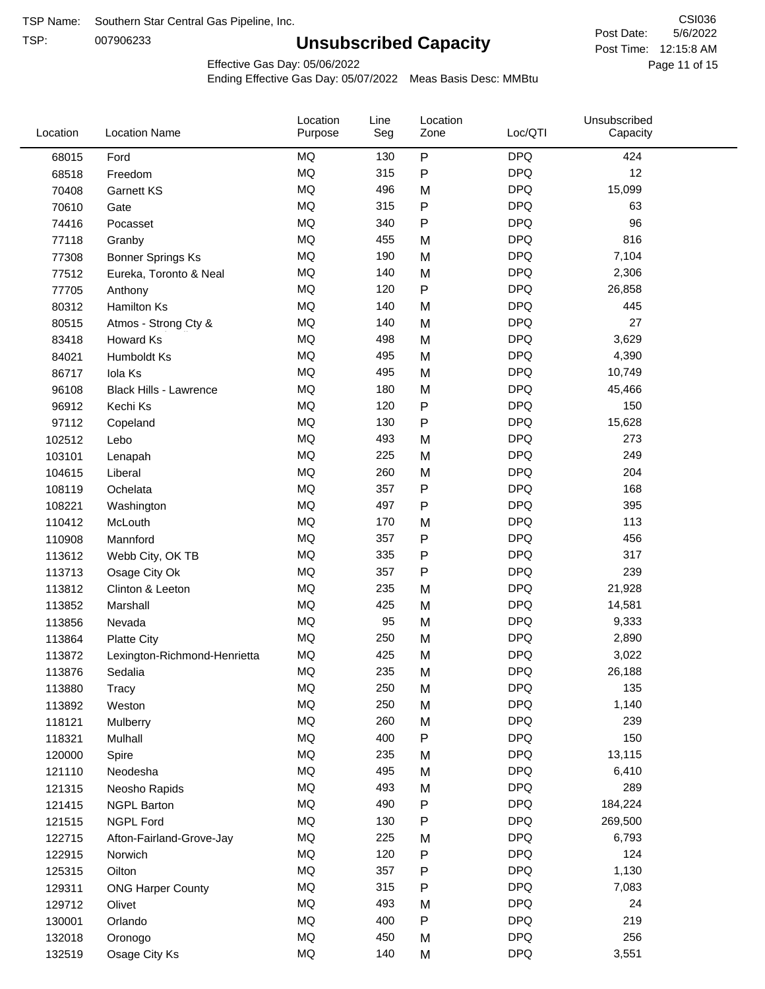TSP:

# **Unsubscribed Capacity**

5/6/2022 Page 11 of 15 Post Time: 12:15:8 AM CSI036 Post Date:

Unsubscribed

Effective Gas Day: 05/06/2022

Location

Ending Effective Gas Day: 05/07/2022 Meas Basis Desc: MMBtu

Line

Location

| Location | <b>Location Name</b>         | Purpose   | Seg | Zone      | Loc/QTI    | Capacity |  |
|----------|------------------------------|-----------|-----|-----------|------------|----------|--|
| 68015    | Ford                         | <b>MQ</b> | 130 | P         | <b>DPQ</b> | 424      |  |
| 68518    | Freedom                      | MQ        | 315 | P         | <b>DPQ</b> | 12       |  |
| 70408    | Garnett KS                   | MQ        | 496 | M         | <b>DPQ</b> | 15,099   |  |
| 70610    | Gate                         | MQ        | 315 | ${\sf P}$ | <b>DPQ</b> | 63       |  |
| 74416    | Pocasset                     | MQ        | 340 | P         | <b>DPQ</b> | 96       |  |
| 77118    | Granby                       | MQ        | 455 | M         | <b>DPQ</b> | 816      |  |
| 77308    | <b>Bonner Springs Ks</b>     | MQ        | 190 | M         | <b>DPQ</b> | 7,104    |  |
| 77512    | Eureka, Toronto & Neal       | MQ        | 140 | M         | <b>DPQ</b> | 2,306    |  |
| 77705    | Anthony                      | <b>MQ</b> | 120 | P         | <b>DPQ</b> | 26,858   |  |
| 80312    | Hamilton Ks                  | MQ        | 140 | M         | <b>DPQ</b> | 445      |  |
| 80515    | Atmos - Strong Cty &         | MQ        | 140 | M         | <b>DPQ</b> | 27       |  |
| 83418    | Howard Ks                    | MQ        | 498 | M         | <b>DPQ</b> | 3,629    |  |
| 84021    | Humboldt Ks                  | <b>MQ</b> | 495 | M         | <b>DPQ</b> | 4,390    |  |
| 86717    | Iola Ks                      | <b>MQ</b> | 495 | M         | <b>DPQ</b> | 10,749   |  |
| 96108    | Black Hills - Lawrence       | MQ        | 180 | M         | <b>DPQ</b> | 45,466   |  |
| 96912    | Kechi Ks                     | <b>MQ</b> | 120 | P         | <b>DPQ</b> | 150      |  |
| 97112    | Copeland                     | MQ        | 130 | P         | <b>DPQ</b> | 15,628   |  |
| 102512   | Lebo                         | MQ        | 493 | M         | <b>DPQ</b> | 273      |  |
| 103101   | Lenapah                      | MQ        | 225 | M         | <b>DPQ</b> | 249      |  |
| 104615   | Liberal                      | MQ        | 260 | M         | <b>DPQ</b> | 204      |  |
| 108119   | Ochelata                     | MQ        | 357 | P         | <b>DPQ</b> | 168      |  |
| 108221   | Washington                   | <b>MQ</b> | 497 | Ρ         | <b>DPQ</b> | 395      |  |
| 110412   | McLouth                      | <b>MQ</b> | 170 | M         | <b>DPQ</b> | 113      |  |
| 110908   | Mannford                     | <b>MQ</b> | 357 | P         | <b>DPQ</b> | 456      |  |
| 113612   | Webb City, OK TB             | MQ        | 335 | P         | <b>DPQ</b> | 317      |  |
| 113713   | Osage City Ok                | MQ        | 357 | Ρ         | <b>DPQ</b> | 239      |  |
| 113812   | Clinton & Leeton             | MQ        | 235 | M         | <b>DPQ</b> | 21,928   |  |
| 113852   | Marshall                     | MQ        | 425 | M         | <b>DPQ</b> | 14,581   |  |
| 113856   | Nevada                       | MQ        | 95  | M         | <b>DPQ</b> | 9,333    |  |
| 113864   | <b>Platte City</b>           | MQ        | 250 | M         | <b>DPQ</b> | 2,890    |  |
| 113872   | Lexington-Richmond-Henrietta | MQ        | 425 | M         | <b>DPQ</b> | 3,022    |  |
| 113876   | Sedalia                      | MQ        | 235 | M         | <b>DPQ</b> | 26,188   |  |
| 113880   | Tracy                        | $\sf{MQ}$ | 250 | M         | <b>DPQ</b> | 135      |  |
| 113892   | Weston                       | MQ        | 250 | M         | <b>DPQ</b> | 1,140    |  |
| 118121   | Mulberry                     | MQ        | 260 | M         | <b>DPQ</b> | 239      |  |
| 118321   | Mulhall                      | MQ        | 400 | P         | <b>DPQ</b> | 150      |  |
| 120000   | Spire                        | MQ        | 235 | M         | <b>DPQ</b> | 13,115   |  |
| 121110   | Neodesha                     | MQ        | 495 | M         | <b>DPQ</b> | 6,410    |  |
| 121315   | Neosho Rapids                | MQ        | 493 | M         | <b>DPQ</b> | 289      |  |
| 121415   | <b>NGPL Barton</b>           | MQ        | 490 | P         | <b>DPQ</b> | 184,224  |  |
| 121515   | <b>NGPL Ford</b>             | MQ        | 130 | P         | <b>DPQ</b> | 269,500  |  |
| 122715   | Afton-Fairland-Grove-Jay     | MQ        | 225 | M         | <b>DPQ</b> | 6,793    |  |
| 122915   | Norwich                      | $\sf{MQ}$ | 120 | P         | <b>DPQ</b> | 124      |  |
| 125315   | Oilton                       | MQ        | 357 | P         | <b>DPQ</b> | 1,130    |  |
| 129311   | <b>ONG Harper County</b>     | MQ        | 315 | P         | <b>DPQ</b> | 7,083    |  |
| 129712   | Olivet                       | MQ        | 493 | M         | <b>DPQ</b> | 24       |  |
| 130001   | Orlando                      | MQ        | 400 | P         | <b>DPQ</b> | 219      |  |
| 132018   | Oronogo                      | MQ        | 450 | M         | <b>DPQ</b> | 256      |  |
| 132519   | Osage City Ks                | MQ        | 140 | M         | <b>DPQ</b> | 3,551    |  |
|          |                              |           |     |           |            |          |  |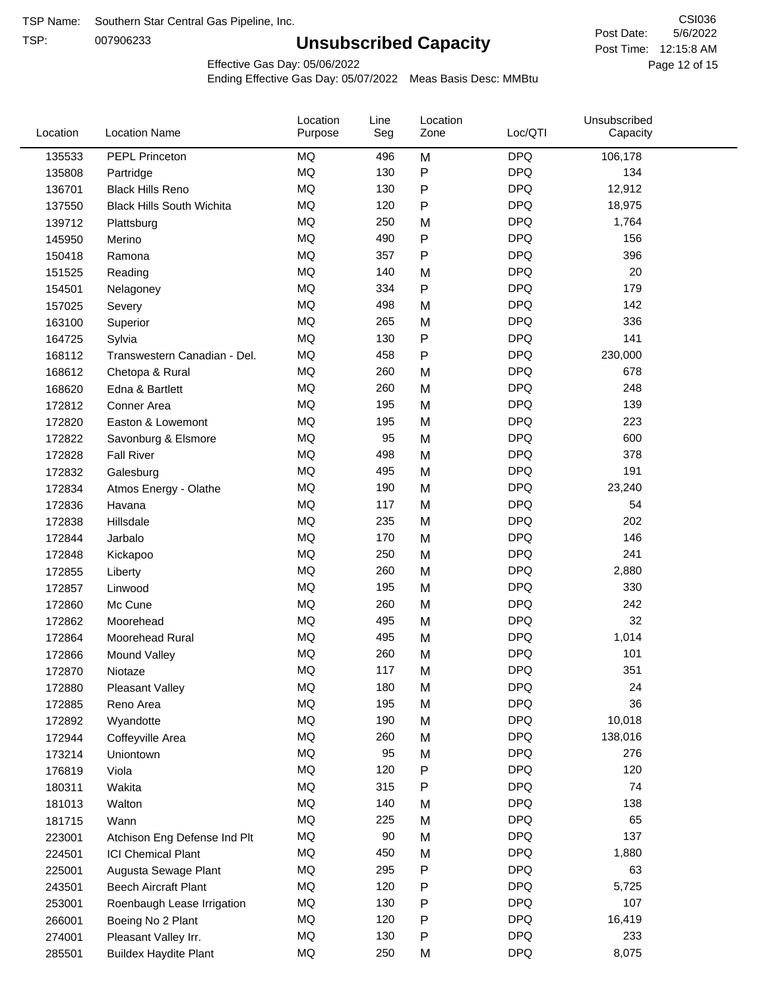TSP:

# **Unsubscribed Capacity**

5/6/2022 Page 12 of 15 Post Time: 12:15:8 AM CSI036 Post Date:

Effective Gas Day: 05/06/2022

| <b>DPQ</b><br>135533<br>PEPL Princeton<br>MQ<br>M<br>106,178<br>496<br>MQ<br><b>DPQ</b><br>130<br>P<br>134<br>135808<br>Partridge<br>P<br>MQ<br>130<br><b>DPQ</b><br>12,912<br>136701<br><b>Black Hills Reno</b><br><b>MQ</b><br>120<br>P<br><b>DPQ</b><br>18,975<br>137550<br><b>Black Hills South Wichita</b><br>MQ<br><b>DPQ</b><br>250<br>1,764<br>M<br>139712<br>Plattsburg<br>MQ<br><b>DPQ</b><br>490<br>P<br>156<br>145950<br>Merino<br>MQ<br><b>DPQ</b><br>396<br>357<br>P<br>150418<br>Ramona<br>MQ<br><b>DPQ</b><br>20<br>140<br>M<br>151525<br>Reading<br>MQ<br>334<br>P<br><b>DPQ</b><br>179<br>154501<br>Nelagoney<br>MQ<br><b>DPQ</b><br>498<br>M<br>142<br>157025<br>Severy<br>MQ<br><b>DPQ</b><br>336<br>265<br>M<br>163100<br>Superior<br>MQ<br>141<br>P<br><b>DPQ</b><br>130<br>164725<br>Sylvia<br>MQ<br><b>DPQ</b><br>458<br>P<br>230,000<br>168112<br>Transwestern Canadian - Del.<br>MQ<br><b>DPQ</b><br>678<br>260<br>M<br>168612<br>Chetopa & Rural<br>MQ<br><b>DPQ</b><br>248<br>260<br>M<br>168620<br>Edna & Bartlett<br>MQ<br><b>DPQ</b><br>139<br>195<br>M<br>172812<br>Conner Area<br><b>DPQ</b><br>MQ<br>195<br>223<br>M<br>172820<br>Easton & Lowemont<br><b>DPQ</b><br>MQ<br>95<br>M<br>600<br>172822<br>Savonburg & Elsmore<br>MQ<br><b>DPQ</b><br>378<br>498<br>M<br>172828<br><b>Fall River</b><br>MQ<br><b>DPQ</b><br>191<br>495<br>M<br>172832<br>Galesburg<br>MQ<br>190<br><b>DPQ</b><br>23,240<br>M<br>172834<br>Atmos Energy - Olathe<br>MQ<br><b>DPQ</b><br>54<br>117<br>M<br>172836<br>Havana<br>MQ<br><b>DPQ</b><br>202<br>235<br>M<br>172838<br>Hillsdale<br><b>MQ</b><br><b>DPQ</b><br>170<br>146<br>M<br>172844<br>Jarbalo<br><b>MQ</b><br><b>DPQ</b><br>241<br>250<br>M<br>172848<br>Kickapoo<br>MQ<br><b>DPQ</b><br>260<br>M<br>2,880<br>172855<br>Liberty<br>MQ<br><b>DPQ</b><br>195<br>330<br>M<br>172857<br>Linwood<br>MQ<br><b>DPQ</b><br>260<br>242<br>Mc Cune<br>172860<br>M<br>MQ<br><b>DPQ</b><br>32<br>495<br>M<br>172862<br>Moorehead<br>MQ<br>495<br><b>DPQ</b><br>1,014<br>M<br>172864<br>Moorehead Rural<br>MQ<br><b>DPQ</b><br>101<br>260<br>M<br>172866<br>Mound Valley<br>MQ<br><b>DPQ</b><br>117<br>351<br>172870<br>M<br>Niotaze<br>MQ<br>180<br><b>DPQ</b><br>24<br>M<br>172880<br><b>Pleasant Valley</b><br>$\sf{MQ}$<br><b>DPQ</b><br>36<br>195<br>M<br>172885<br>Reno Area<br>MQ<br><b>DPQ</b><br>10,018<br>190<br>M<br>172892<br>Wyandotte<br>$\sf{MQ}$<br>260<br><b>DPQ</b><br>138,016<br>172944<br>Coffeyville Area<br>M<br>MQ<br>95<br><b>DPQ</b><br>276<br>M<br>173214<br>Uniontown<br>MQ<br>P<br><b>DPQ</b><br>120<br>120<br>176819<br>Viola<br>MQ<br>315<br><b>DPQ</b><br>74<br>P<br>180311<br>Wakita<br>MQ<br>140<br><b>DPQ</b><br>138<br>181013<br>Walton<br>M<br>65<br>MQ<br><b>DPQ</b><br>225<br>181715<br>Wann<br>M<br>MQ<br><b>DPQ</b><br>137<br>90<br>M<br>223001<br>Atchison Eng Defense Ind Plt<br>$\sf{MQ}$<br><b>DPQ</b><br>450<br>1,880<br>224501<br><b>ICI Chemical Plant</b><br>M<br>MQ<br>295<br>P<br><b>DPQ</b><br>63<br>225001<br>Augusta Sewage Plant<br><b>DPQ</b><br>MQ<br>120<br>P<br>5,725<br>243501<br><b>Beech Aircraft Plant</b><br>MQ<br>130<br>P<br><b>DPQ</b><br>107<br>253001<br>Roenbaugh Lease Irrigation<br><b>DPQ</b><br>MQ<br>120<br>P<br>16,419<br>266001<br>Boeing No 2 Plant<br><b>DPQ</b><br>MQ<br>130<br>P<br>233<br>274001<br>Pleasant Valley Irr.<br><b>DPQ</b><br>MQ<br>250<br>8,075<br><b>Buildex Haydite Plant</b><br>285501<br>M | Location | <b>Location Name</b> | Location<br>Purpose | Line<br>Seg | Location<br>Zone | Loc/QTI | Unsubscribed<br>Capacity |  |
|------------------------------------------------------------------------------------------------------------------------------------------------------------------------------------------------------------------------------------------------------------------------------------------------------------------------------------------------------------------------------------------------------------------------------------------------------------------------------------------------------------------------------------------------------------------------------------------------------------------------------------------------------------------------------------------------------------------------------------------------------------------------------------------------------------------------------------------------------------------------------------------------------------------------------------------------------------------------------------------------------------------------------------------------------------------------------------------------------------------------------------------------------------------------------------------------------------------------------------------------------------------------------------------------------------------------------------------------------------------------------------------------------------------------------------------------------------------------------------------------------------------------------------------------------------------------------------------------------------------------------------------------------------------------------------------------------------------------------------------------------------------------------------------------------------------------------------------------------------------------------------------------------------------------------------------------------------------------------------------------------------------------------------------------------------------------------------------------------------------------------------------------------------------------------------------------------------------------------------------------------------------------------------------------------------------------------------------------------------------------------------------------------------------------------------------------------------------------------------------------------------------------------------------------------------------------------------------------------------------------------------------------------------------------------------------------------------------------------------------------------------------------------------------------------------------------------------------------------------------------------------------------------------------------------------------------------------------------------------------------------------------------------------------------------------------------------------------------------------------------------------------------------------------------------------------------------------------------------------------------------------------------------------------------------------------------------------------------------------------------------------------------------------------------------------------------------------|----------|----------------------|---------------------|-------------|------------------|---------|--------------------------|--|
|                                                                                                                                                                                                                                                                                                                                                                                                                                                                                                                                                                                                                                                                                                                                                                                                                                                                                                                                                                                                                                                                                                                                                                                                                                                                                                                                                                                                                                                                                                                                                                                                                                                                                                                                                                                                                                                                                                                                                                                                                                                                                                                                                                                                                                                                                                                                                                                                                                                                                                                                                                                                                                                                                                                                                                                                                                                                                                                                                                                                                                                                                                                                                                                                                                                                                                                                                                                                                                                            |          |                      |                     |             |                  |         |                          |  |
|                                                                                                                                                                                                                                                                                                                                                                                                                                                                                                                                                                                                                                                                                                                                                                                                                                                                                                                                                                                                                                                                                                                                                                                                                                                                                                                                                                                                                                                                                                                                                                                                                                                                                                                                                                                                                                                                                                                                                                                                                                                                                                                                                                                                                                                                                                                                                                                                                                                                                                                                                                                                                                                                                                                                                                                                                                                                                                                                                                                                                                                                                                                                                                                                                                                                                                                                                                                                                                                            |          |                      |                     |             |                  |         |                          |  |
|                                                                                                                                                                                                                                                                                                                                                                                                                                                                                                                                                                                                                                                                                                                                                                                                                                                                                                                                                                                                                                                                                                                                                                                                                                                                                                                                                                                                                                                                                                                                                                                                                                                                                                                                                                                                                                                                                                                                                                                                                                                                                                                                                                                                                                                                                                                                                                                                                                                                                                                                                                                                                                                                                                                                                                                                                                                                                                                                                                                                                                                                                                                                                                                                                                                                                                                                                                                                                                                            |          |                      |                     |             |                  |         |                          |  |
|                                                                                                                                                                                                                                                                                                                                                                                                                                                                                                                                                                                                                                                                                                                                                                                                                                                                                                                                                                                                                                                                                                                                                                                                                                                                                                                                                                                                                                                                                                                                                                                                                                                                                                                                                                                                                                                                                                                                                                                                                                                                                                                                                                                                                                                                                                                                                                                                                                                                                                                                                                                                                                                                                                                                                                                                                                                                                                                                                                                                                                                                                                                                                                                                                                                                                                                                                                                                                                                            |          |                      |                     |             |                  |         |                          |  |
|                                                                                                                                                                                                                                                                                                                                                                                                                                                                                                                                                                                                                                                                                                                                                                                                                                                                                                                                                                                                                                                                                                                                                                                                                                                                                                                                                                                                                                                                                                                                                                                                                                                                                                                                                                                                                                                                                                                                                                                                                                                                                                                                                                                                                                                                                                                                                                                                                                                                                                                                                                                                                                                                                                                                                                                                                                                                                                                                                                                                                                                                                                                                                                                                                                                                                                                                                                                                                                                            |          |                      |                     |             |                  |         |                          |  |
|                                                                                                                                                                                                                                                                                                                                                                                                                                                                                                                                                                                                                                                                                                                                                                                                                                                                                                                                                                                                                                                                                                                                                                                                                                                                                                                                                                                                                                                                                                                                                                                                                                                                                                                                                                                                                                                                                                                                                                                                                                                                                                                                                                                                                                                                                                                                                                                                                                                                                                                                                                                                                                                                                                                                                                                                                                                                                                                                                                                                                                                                                                                                                                                                                                                                                                                                                                                                                                                            |          |                      |                     |             |                  |         |                          |  |
|                                                                                                                                                                                                                                                                                                                                                                                                                                                                                                                                                                                                                                                                                                                                                                                                                                                                                                                                                                                                                                                                                                                                                                                                                                                                                                                                                                                                                                                                                                                                                                                                                                                                                                                                                                                                                                                                                                                                                                                                                                                                                                                                                                                                                                                                                                                                                                                                                                                                                                                                                                                                                                                                                                                                                                                                                                                                                                                                                                                                                                                                                                                                                                                                                                                                                                                                                                                                                                                            |          |                      |                     |             |                  |         |                          |  |
|                                                                                                                                                                                                                                                                                                                                                                                                                                                                                                                                                                                                                                                                                                                                                                                                                                                                                                                                                                                                                                                                                                                                                                                                                                                                                                                                                                                                                                                                                                                                                                                                                                                                                                                                                                                                                                                                                                                                                                                                                                                                                                                                                                                                                                                                                                                                                                                                                                                                                                                                                                                                                                                                                                                                                                                                                                                                                                                                                                                                                                                                                                                                                                                                                                                                                                                                                                                                                                                            |          |                      |                     |             |                  |         |                          |  |
|                                                                                                                                                                                                                                                                                                                                                                                                                                                                                                                                                                                                                                                                                                                                                                                                                                                                                                                                                                                                                                                                                                                                                                                                                                                                                                                                                                                                                                                                                                                                                                                                                                                                                                                                                                                                                                                                                                                                                                                                                                                                                                                                                                                                                                                                                                                                                                                                                                                                                                                                                                                                                                                                                                                                                                                                                                                                                                                                                                                                                                                                                                                                                                                                                                                                                                                                                                                                                                                            |          |                      |                     |             |                  |         |                          |  |
|                                                                                                                                                                                                                                                                                                                                                                                                                                                                                                                                                                                                                                                                                                                                                                                                                                                                                                                                                                                                                                                                                                                                                                                                                                                                                                                                                                                                                                                                                                                                                                                                                                                                                                                                                                                                                                                                                                                                                                                                                                                                                                                                                                                                                                                                                                                                                                                                                                                                                                                                                                                                                                                                                                                                                                                                                                                                                                                                                                                                                                                                                                                                                                                                                                                                                                                                                                                                                                                            |          |                      |                     |             |                  |         |                          |  |
|                                                                                                                                                                                                                                                                                                                                                                                                                                                                                                                                                                                                                                                                                                                                                                                                                                                                                                                                                                                                                                                                                                                                                                                                                                                                                                                                                                                                                                                                                                                                                                                                                                                                                                                                                                                                                                                                                                                                                                                                                                                                                                                                                                                                                                                                                                                                                                                                                                                                                                                                                                                                                                                                                                                                                                                                                                                                                                                                                                                                                                                                                                                                                                                                                                                                                                                                                                                                                                                            |          |                      |                     |             |                  |         |                          |  |
|                                                                                                                                                                                                                                                                                                                                                                                                                                                                                                                                                                                                                                                                                                                                                                                                                                                                                                                                                                                                                                                                                                                                                                                                                                                                                                                                                                                                                                                                                                                                                                                                                                                                                                                                                                                                                                                                                                                                                                                                                                                                                                                                                                                                                                                                                                                                                                                                                                                                                                                                                                                                                                                                                                                                                                                                                                                                                                                                                                                                                                                                                                                                                                                                                                                                                                                                                                                                                                                            |          |                      |                     |             |                  |         |                          |  |
|                                                                                                                                                                                                                                                                                                                                                                                                                                                                                                                                                                                                                                                                                                                                                                                                                                                                                                                                                                                                                                                                                                                                                                                                                                                                                                                                                                                                                                                                                                                                                                                                                                                                                                                                                                                                                                                                                                                                                                                                                                                                                                                                                                                                                                                                                                                                                                                                                                                                                                                                                                                                                                                                                                                                                                                                                                                                                                                                                                                                                                                                                                                                                                                                                                                                                                                                                                                                                                                            |          |                      |                     |             |                  |         |                          |  |
|                                                                                                                                                                                                                                                                                                                                                                                                                                                                                                                                                                                                                                                                                                                                                                                                                                                                                                                                                                                                                                                                                                                                                                                                                                                                                                                                                                                                                                                                                                                                                                                                                                                                                                                                                                                                                                                                                                                                                                                                                                                                                                                                                                                                                                                                                                                                                                                                                                                                                                                                                                                                                                                                                                                                                                                                                                                                                                                                                                                                                                                                                                                                                                                                                                                                                                                                                                                                                                                            |          |                      |                     |             |                  |         |                          |  |
|                                                                                                                                                                                                                                                                                                                                                                                                                                                                                                                                                                                                                                                                                                                                                                                                                                                                                                                                                                                                                                                                                                                                                                                                                                                                                                                                                                                                                                                                                                                                                                                                                                                                                                                                                                                                                                                                                                                                                                                                                                                                                                                                                                                                                                                                                                                                                                                                                                                                                                                                                                                                                                                                                                                                                                                                                                                                                                                                                                                                                                                                                                                                                                                                                                                                                                                                                                                                                                                            |          |                      |                     |             |                  |         |                          |  |
|                                                                                                                                                                                                                                                                                                                                                                                                                                                                                                                                                                                                                                                                                                                                                                                                                                                                                                                                                                                                                                                                                                                                                                                                                                                                                                                                                                                                                                                                                                                                                                                                                                                                                                                                                                                                                                                                                                                                                                                                                                                                                                                                                                                                                                                                                                                                                                                                                                                                                                                                                                                                                                                                                                                                                                                                                                                                                                                                                                                                                                                                                                                                                                                                                                                                                                                                                                                                                                                            |          |                      |                     |             |                  |         |                          |  |
|                                                                                                                                                                                                                                                                                                                                                                                                                                                                                                                                                                                                                                                                                                                                                                                                                                                                                                                                                                                                                                                                                                                                                                                                                                                                                                                                                                                                                                                                                                                                                                                                                                                                                                                                                                                                                                                                                                                                                                                                                                                                                                                                                                                                                                                                                                                                                                                                                                                                                                                                                                                                                                                                                                                                                                                                                                                                                                                                                                                                                                                                                                                                                                                                                                                                                                                                                                                                                                                            |          |                      |                     |             |                  |         |                          |  |
|                                                                                                                                                                                                                                                                                                                                                                                                                                                                                                                                                                                                                                                                                                                                                                                                                                                                                                                                                                                                                                                                                                                                                                                                                                                                                                                                                                                                                                                                                                                                                                                                                                                                                                                                                                                                                                                                                                                                                                                                                                                                                                                                                                                                                                                                                                                                                                                                                                                                                                                                                                                                                                                                                                                                                                                                                                                                                                                                                                                                                                                                                                                                                                                                                                                                                                                                                                                                                                                            |          |                      |                     |             |                  |         |                          |  |
|                                                                                                                                                                                                                                                                                                                                                                                                                                                                                                                                                                                                                                                                                                                                                                                                                                                                                                                                                                                                                                                                                                                                                                                                                                                                                                                                                                                                                                                                                                                                                                                                                                                                                                                                                                                                                                                                                                                                                                                                                                                                                                                                                                                                                                                                                                                                                                                                                                                                                                                                                                                                                                                                                                                                                                                                                                                                                                                                                                                                                                                                                                                                                                                                                                                                                                                                                                                                                                                            |          |                      |                     |             |                  |         |                          |  |
|                                                                                                                                                                                                                                                                                                                                                                                                                                                                                                                                                                                                                                                                                                                                                                                                                                                                                                                                                                                                                                                                                                                                                                                                                                                                                                                                                                                                                                                                                                                                                                                                                                                                                                                                                                                                                                                                                                                                                                                                                                                                                                                                                                                                                                                                                                                                                                                                                                                                                                                                                                                                                                                                                                                                                                                                                                                                                                                                                                                                                                                                                                                                                                                                                                                                                                                                                                                                                                                            |          |                      |                     |             |                  |         |                          |  |
|                                                                                                                                                                                                                                                                                                                                                                                                                                                                                                                                                                                                                                                                                                                                                                                                                                                                                                                                                                                                                                                                                                                                                                                                                                                                                                                                                                                                                                                                                                                                                                                                                                                                                                                                                                                                                                                                                                                                                                                                                                                                                                                                                                                                                                                                                                                                                                                                                                                                                                                                                                                                                                                                                                                                                                                                                                                                                                                                                                                                                                                                                                                                                                                                                                                                                                                                                                                                                                                            |          |                      |                     |             |                  |         |                          |  |
|                                                                                                                                                                                                                                                                                                                                                                                                                                                                                                                                                                                                                                                                                                                                                                                                                                                                                                                                                                                                                                                                                                                                                                                                                                                                                                                                                                                                                                                                                                                                                                                                                                                                                                                                                                                                                                                                                                                                                                                                                                                                                                                                                                                                                                                                                                                                                                                                                                                                                                                                                                                                                                                                                                                                                                                                                                                                                                                                                                                                                                                                                                                                                                                                                                                                                                                                                                                                                                                            |          |                      |                     |             |                  |         |                          |  |
|                                                                                                                                                                                                                                                                                                                                                                                                                                                                                                                                                                                                                                                                                                                                                                                                                                                                                                                                                                                                                                                                                                                                                                                                                                                                                                                                                                                                                                                                                                                                                                                                                                                                                                                                                                                                                                                                                                                                                                                                                                                                                                                                                                                                                                                                                                                                                                                                                                                                                                                                                                                                                                                                                                                                                                                                                                                                                                                                                                                                                                                                                                                                                                                                                                                                                                                                                                                                                                                            |          |                      |                     |             |                  |         |                          |  |
|                                                                                                                                                                                                                                                                                                                                                                                                                                                                                                                                                                                                                                                                                                                                                                                                                                                                                                                                                                                                                                                                                                                                                                                                                                                                                                                                                                                                                                                                                                                                                                                                                                                                                                                                                                                                                                                                                                                                                                                                                                                                                                                                                                                                                                                                                                                                                                                                                                                                                                                                                                                                                                                                                                                                                                                                                                                                                                                                                                                                                                                                                                                                                                                                                                                                                                                                                                                                                                                            |          |                      |                     |             |                  |         |                          |  |
|                                                                                                                                                                                                                                                                                                                                                                                                                                                                                                                                                                                                                                                                                                                                                                                                                                                                                                                                                                                                                                                                                                                                                                                                                                                                                                                                                                                                                                                                                                                                                                                                                                                                                                                                                                                                                                                                                                                                                                                                                                                                                                                                                                                                                                                                                                                                                                                                                                                                                                                                                                                                                                                                                                                                                                                                                                                                                                                                                                                                                                                                                                                                                                                                                                                                                                                                                                                                                                                            |          |                      |                     |             |                  |         |                          |  |
|                                                                                                                                                                                                                                                                                                                                                                                                                                                                                                                                                                                                                                                                                                                                                                                                                                                                                                                                                                                                                                                                                                                                                                                                                                                                                                                                                                                                                                                                                                                                                                                                                                                                                                                                                                                                                                                                                                                                                                                                                                                                                                                                                                                                                                                                                                                                                                                                                                                                                                                                                                                                                                                                                                                                                                                                                                                                                                                                                                                                                                                                                                                                                                                                                                                                                                                                                                                                                                                            |          |                      |                     |             |                  |         |                          |  |
|                                                                                                                                                                                                                                                                                                                                                                                                                                                                                                                                                                                                                                                                                                                                                                                                                                                                                                                                                                                                                                                                                                                                                                                                                                                                                                                                                                                                                                                                                                                                                                                                                                                                                                                                                                                                                                                                                                                                                                                                                                                                                                                                                                                                                                                                                                                                                                                                                                                                                                                                                                                                                                                                                                                                                                                                                                                                                                                                                                                                                                                                                                                                                                                                                                                                                                                                                                                                                                                            |          |                      |                     |             |                  |         |                          |  |
|                                                                                                                                                                                                                                                                                                                                                                                                                                                                                                                                                                                                                                                                                                                                                                                                                                                                                                                                                                                                                                                                                                                                                                                                                                                                                                                                                                                                                                                                                                                                                                                                                                                                                                                                                                                                                                                                                                                                                                                                                                                                                                                                                                                                                                                                                                                                                                                                                                                                                                                                                                                                                                                                                                                                                                                                                                                                                                                                                                                                                                                                                                                                                                                                                                                                                                                                                                                                                                                            |          |                      |                     |             |                  |         |                          |  |
|                                                                                                                                                                                                                                                                                                                                                                                                                                                                                                                                                                                                                                                                                                                                                                                                                                                                                                                                                                                                                                                                                                                                                                                                                                                                                                                                                                                                                                                                                                                                                                                                                                                                                                                                                                                                                                                                                                                                                                                                                                                                                                                                                                                                                                                                                                                                                                                                                                                                                                                                                                                                                                                                                                                                                                                                                                                                                                                                                                                                                                                                                                                                                                                                                                                                                                                                                                                                                                                            |          |                      |                     |             |                  |         |                          |  |
|                                                                                                                                                                                                                                                                                                                                                                                                                                                                                                                                                                                                                                                                                                                                                                                                                                                                                                                                                                                                                                                                                                                                                                                                                                                                                                                                                                                                                                                                                                                                                                                                                                                                                                                                                                                                                                                                                                                                                                                                                                                                                                                                                                                                                                                                                                                                                                                                                                                                                                                                                                                                                                                                                                                                                                                                                                                                                                                                                                                                                                                                                                                                                                                                                                                                                                                                                                                                                                                            |          |                      |                     |             |                  |         |                          |  |
|                                                                                                                                                                                                                                                                                                                                                                                                                                                                                                                                                                                                                                                                                                                                                                                                                                                                                                                                                                                                                                                                                                                                                                                                                                                                                                                                                                                                                                                                                                                                                                                                                                                                                                                                                                                                                                                                                                                                                                                                                                                                                                                                                                                                                                                                                                                                                                                                                                                                                                                                                                                                                                                                                                                                                                                                                                                                                                                                                                                                                                                                                                                                                                                                                                                                                                                                                                                                                                                            |          |                      |                     |             |                  |         |                          |  |
|                                                                                                                                                                                                                                                                                                                                                                                                                                                                                                                                                                                                                                                                                                                                                                                                                                                                                                                                                                                                                                                                                                                                                                                                                                                                                                                                                                                                                                                                                                                                                                                                                                                                                                                                                                                                                                                                                                                                                                                                                                                                                                                                                                                                                                                                                                                                                                                                                                                                                                                                                                                                                                                                                                                                                                                                                                                                                                                                                                                                                                                                                                                                                                                                                                                                                                                                                                                                                                                            |          |                      |                     |             |                  |         |                          |  |
|                                                                                                                                                                                                                                                                                                                                                                                                                                                                                                                                                                                                                                                                                                                                                                                                                                                                                                                                                                                                                                                                                                                                                                                                                                                                                                                                                                                                                                                                                                                                                                                                                                                                                                                                                                                                                                                                                                                                                                                                                                                                                                                                                                                                                                                                                                                                                                                                                                                                                                                                                                                                                                                                                                                                                                                                                                                                                                                                                                                                                                                                                                                                                                                                                                                                                                                                                                                                                                                            |          |                      |                     |             |                  |         |                          |  |
|                                                                                                                                                                                                                                                                                                                                                                                                                                                                                                                                                                                                                                                                                                                                                                                                                                                                                                                                                                                                                                                                                                                                                                                                                                                                                                                                                                                                                                                                                                                                                                                                                                                                                                                                                                                                                                                                                                                                                                                                                                                                                                                                                                                                                                                                                                                                                                                                                                                                                                                                                                                                                                                                                                                                                                                                                                                                                                                                                                                                                                                                                                                                                                                                                                                                                                                                                                                                                                                            |          |                      |                     |             |                  |         |                          |  |
|                                                                                                                                                                                                                                                                                                                                                                                                                                                                                                                                                                                                                                                                                                                                                                                                                                                                                                                                                                                                                                                                                                                                                                                                                                                                                                                                                                                                                                                                                                                                                                                                                                                                                                                                                                                                                                                                                                                                                                                                                                                                                                                                                                                                                                                                                                                                                                                                                                                                                                                                                                                                                                                                                                                                                                                                                                                                                                                                                                                                                                                                                                                                                                                                                                                                                                                                                                                                                                                            |          |                      |                     |             |                  |         |                          |  |
|                                                                                                                                                                                                                                                                                                                                                                                                                                                                                                                                                                                                                                                                                                                                                                                                                                                                                                                                                                                                                                                                                                                                                                                                                                                                                                                                                                                                                                                                                                                                                                                                                                                                                                                                                                                                                                                                                                                                                                                                                                                                                                                                                                                                                                                                                                                                                                                                                                                                                                                                                                                                                                                                                                                                                                                                                                                                                                                                                                                                                                                                                                                                                                                                                                                                                                                                                                                                                                                            |          |                      |                     |             |                  |         |                          |  |
|                                                                                                                                                                                                                                                                                                                                                                                                                                                                                                                                                                                                                                                                                                                                                                                                                                                                                                                                                                                                                                                                                                                                                                                                                                                                                                                                                                                                                                                                                                                                                                                                                                                                                                                                                                                                                                                                                                                                                                                                                                                                                                                                                                                                                                                                                                                                                                                                                                                                                                                                                                                                                                                                                                                                                                                                                                                                                                                                                                                                                                                                                                                                                                                                                                                                                                                                                                                                                                                            |          |                      |                     |             |                  |         |                          |  |
|                                                                                                                                                                                                                                                                                                                                                                                                                                                                                                                                                                                                                                                                                                                                                                                                                                                                                                                                                                                                                                                                                                                                                                                                                                                                                                                                                                                                                                                                                                                                                                                                                                                                                                                                                                                                                                                                                                                                                                                                                                                                                                                                                                                                                                                                                                                                                                                                                                                                                                                                                                                                                                                                                                                                                                                                                                                                                                                                                                                                                                                                                                                                                                                                                                                                                                                                                                                                                                                            |          |                      |                     |             |                  |         |                          |  |
|                                                                                                                                                                                                                                                                                                                                                                                                                                                                                                                                                                                                                                                                                                                                                                                                                                                                                                                                                                                                                                                                                                                                                                                                                                                                                                                                                                                                                                                                                                                                                                                                                                                                                                                                                                                                                                                                                                                                                                                                                                                                                                                                                                                                                                                                                                                                                                                                                                                                                                                                                                                                                                                                                                                                                                                                                                                                                                                                                                                                                                                                                                                                                                                                                                                                                                                                                                                                                                                            |          |                      |                     |             |                  |         |                          |  |
|                                                                                                                                                                                                                                                                                                                                                                                                                                                                                                                                                                                                                                                                                                                                                                                                                                                                                                                                                                                                                                                                                                                                                                                                                                                                                                                                                                                                                                                                                                                                                                                                                                                                                                                                                                                                                                                                                                                                                                                                                                                                                                                                                                                                                                                                                                                                                                                                                                                                                                                                                                                                                                                                                                                                                                                                                                                                                                                                                                                                                                                                                                                                                                                                                                                                                                                                                                                                                                                            |          |                      |                     |             |                  |         |                          |  |
|                                                                                                                                                                                                                                                                                                                                                                                                                                                                                                                                                                                                                                                                                                                                                                                                                                                                                                                                                                                                                                                                                                                                                                                                                                                                                                                                                                                                                                                                                                                                                                                                                                                                                                                                                                                                                                                                                                                                                                                                                                                                                                                                                                                                                                                                                                                                                                                                                                                                                                                                                                                                                                                                                                                                                                                                                                                                                                                                                                                                                                                                                                                                                                                                                                                                                                                                                                                                                                                            |          |                      |                     |             |                  |         |                          |  |
|                                                                                                                                                                                                                                                                                                                                                                                                                                                                                                                                                                                                                                                                                                                                                                                                                                                                                                                                                                                                                                                                                                                                                                                                                                                                                                                                                                                                                                                                                                                                                                                                                                                                                                                                                                                                                                                                                                                                                                                                                                                                                                                                                                                                                                                                                                                                                                                                                                                                                                                                                                                                                                                                                                                                                                                                                                                                                                                                                                                                                                                                                                                                                                                                                                                                                                                                                                                                                                                            |          |                      |                     |             |                  |         |                          |  |
|                                                                                                                                                                                                                                                                                                                                                                                                                                                                                                                                                                                                                                                                                                                                                                                                                                                                                                                                                                                                                                                                                                                                                                                                                                                                                                                                                                                                                                                                                                                                                                                                                                                                                                                                                                                                                                                                                                                                                                                                                                                                                                                                                                                                                                                                                                                                                                                                                                                                                                                                                                                                                                                                                                                                                                                                                                                                                                                                                                                                                                                                                                                                                                                                                                                                                                                                                                                                                                                            |          |                      |                     |             |                  |         |                          |  |
|                                                                                                                                                                                                                                                                                                                                                                                                                                                                                                                                                                                                                                                                                                                                                                                                                                                                                                                                                                                                                                                                                                                                                                                                                                                                                                                                                                                                                                                                                                                                                                                                                                                                                                                                                                                                                                                                                                                                                                                                                                                                                                                                                                                                                                                                                                                                                                                                                                                                                                                                                                                                                                                                                                                                                                                                                                                                                                                                                                                                                                                                                                                                                                                                                                                                                                                                                                                                                                                            |          |                      |                     |             |                  |         |                          |  |
|                                                                                                                                                                                                                                                                                                                                                                                                                                                                                                                                                                                                                                                                                                                                                                                                                                                                                                                                                                                                                                                                                                                                                                                                                                                                                                                                                                                                                                                                                                                                                                                                                                                                                                                                                                                                                                                                                                                                                                                                                                                                                                                                                                                                                                                                                                                                                                                                                                                                                                                                                                                                                                                                                                                                                                                                                                                                                                                                                                                                                                                                                                                                                                                                                                                                                                                                                                                                                                                            |          |                      |                     |             |                  |         |                          |  |
|                                                                                                                                                                                                                                                                                                                                                                                                                                                                                                                                                                                                                                                                                                                                                                                                                                                                                                                                                                                                                                                                                                                                                                                                                                                                                                                                                                                                                                                                                                                                                                                                                                                                                                                                                                                                                                                                                                                                                                                                                                                                                                                                                                                                                                                                                                                                                                                                                                                                                                                                                                                                                                                                                                                                                                                                                                                                                                                                                                                                                                                                                                                                                                                                                                                                                                                                                                                                                                                            |          |                      |                     |             |                  |         |                          |  |
|                                                                                                                                                                                                                                                                                                                                                                                                                                                                                                                                                                                                                                                                                                                                                                                                                                                                                                                                                                                                                                                                                                                                                                                                                                                                                                                                                                                                                                                                                                                                                                                                                                                                                                                                                                                                                                                                                                                                                                                                                                                                                                                                                                                                                                                                                                                                                                                                                                                                                                                                                                                                                                                                                                                                                                                                                                                                                                                                                                                                                                                                                                                                                                                                                                                                                                                                                                                                                                                            |          |                      |                     |             |                  |         |                          |  |
|                                                                                                                                                                                                                                                                                                                                                                                                                                                                                                                                                                                                                                                                                                                                                                                                                                                                                                                                                                                                                                                                                                                                                                                                                                                                                                                                                                                                                                                                                                                                                                                                                                                                                                                                                                                                                                                                                                                                                                                                                                                                                                                                                                                                                                                                                                                                                                                                                                                                                                                                                                                                                                                                                                                                                                                                                                                                                                                                                                                                                                                                                                                                                                                                                                                                                                                                                                                                                                                            |          |                      |                     |             |                  |         |                          |  |
|                                                                                                                                                                                                                                                                                                                                                                                                                                                                                                                                                                                                                                                                                                                                                                                                                                                                                                                                                                                                                                                                                                                                                                                                                                                                                                                                                                                                                                                                                                                                                                                                                                                                                                                                                                                                                                                                                                                                                                                                                                                                                                                                                                                                                                                                                                                                                                                                                                                                                                                                                                                                                                                                                                                                                                                                                                                                                                                                                                                                                                                                                                                                                                                                                                                                                                                                                                                                                                                            |          |                      |                     |             |                  |         |                          |  |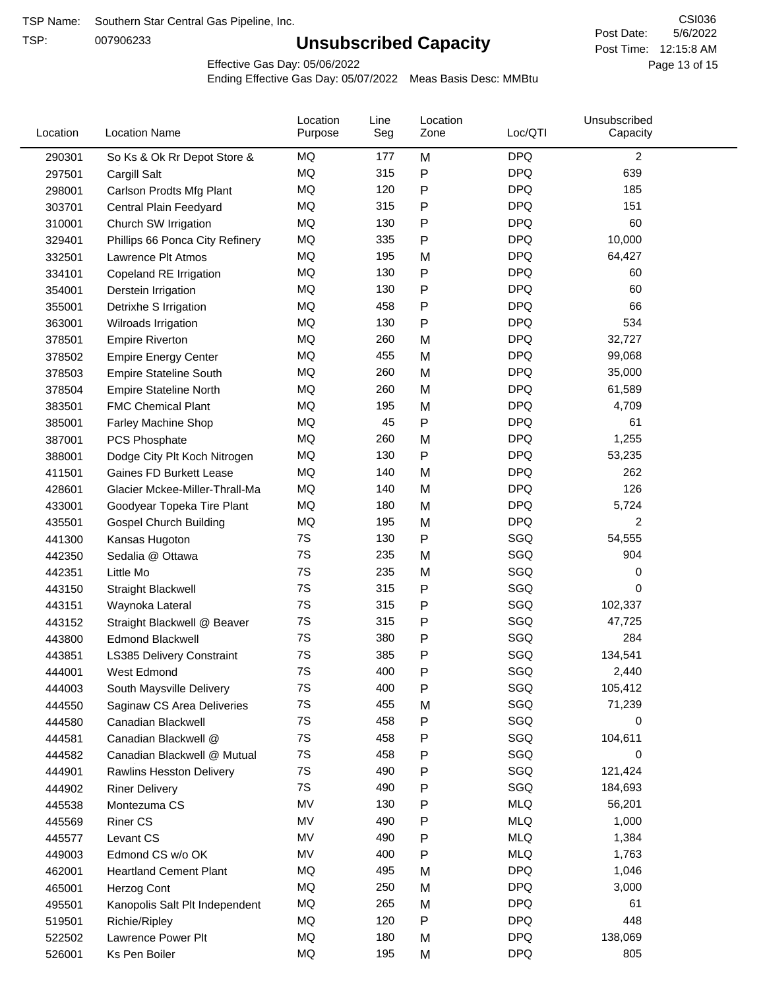TSP:

# **Unsubscribed Capacity**

5/6/2022 Page 13 of 15 Post Time: 12:15:8 AM CSI036 Post Date:

Effective Gas Day: 05/06/2022

| Location | <b>Location Name</b>            | Location<br>Purpose | Line<br>Seg | Location<br>Zone | Loc/QTI    | Unsubscribed<br>Capacity |  |
|----------|---------------------------------|---------------------|-------------|------------------|------------|--------------------------|--|
| 290301   | So Ks & Ok Rr Depot Store &     | MQ                  | 177         | M                | <b>DPQ</b> | $\overline{c}$           |  |
| 297501   | Cargill Salt                    | MQ                  | 315         | Ρ                | <b>DPQ</b> | 639                      |  |
| 298001   | Carlson Prodts Mfg Plant        | <b>MQ</b>           | 120         | P                | <b>DPQ</b> | 185                      |  |
| 303701   | Central Plain Feedyard          | MQ                  | 315         | Ρ                | <b>DPQ</b> | 151                      |  |
| 310001   | Church SW Irrigation            | <b>MQ</b>           | 130         | Ρ                | <b>DPQ</b> | 60                       |  |
| 329401   | Phillips 66 Ponca City Refinery | MQ                  | 335         | Ρ                | <b>DPQ</b> | 10,000                   |  |
| 332501   | Lawrence Plt Atmos              | MQ                  | 195         | M                | <b>DPQ</b> | 64,427                   |  |
| 334101   | Copeland RE Irrigation          | MQ                  | 130         | Ρ                | <b>DPQ</b> | 60                       |  |
| 354001   | Derstein Irrigation             | MQ                  | 130         | Ρ                | <b>DPQ</b> | 60                       |  |
| 355001   | Detrixhe S Irrigation           | <b>MQ</b>           | 458         | Ρ                | <b>DPQ</b> | 66                       |  |
| 363001   | Wilroads Irrigation             | MQ                  | 130         | P                | <b>DPQ</b> | 534                      |  |
| 378501   | <b>Empire Riverton</b>          | MQ                  | 260         | M                | <b>DPQ</b> | 32,727                   |  |
| 378502   | <b>Empire Energy Center</b>     | MQ                  | 455         | M                | <b>DPQ</b> | 99,068                   |  |
| 378503   | <b>Empire Stateline South</b>   | MQ                  | 260         | M                | <b>DPQ</b> | 35,000                   |  |
| 378504   | <b>Empire Stateline North</b>   | MQ                  | 260         | M                | <b>DPQ</b> | 61,589                   |  |
| 383501   | <b>FMC Chemical Plant</b>       | MQ                  | 195         | M                | <b>DPQ</b> | 4,709                    |  |
| 385001   | Farley Machine Shop             | MQ                  | 45          | Ρ                | <b>DPQ</b> | 61                       |  |
| 387001   | PCS Phosphate                   | MQ                  | 260         | M                | <b>DPQ</b> | 1,255                    |  |
| 388001   | Dodge City Plt Koch Nitrogen    | MQ                  | 130         | P                | <b>DPQ</b> | 53,235                   |  |
| 411501   | Gaines FD Burkett Lease         | MQ                  | 140         | M                | <b>DPQ</b> | 262                      |  |
| 428601   | Glacier Mckee-Miller-Thrall-Ma  | MQ                  | 140         | M                | <b>DPQ</b> | 126                      |  |
| 433001   | Goodyear Topeka Tire Plant      | MQ                  | 180         | M                | <b>DPQ</b> | 5,724                    |  |
| 435501   | <b>Gospel Church Building</b>   | <b>MQ</b>           | 195         | M                | <b>DPQ</b> | $\overline{c}$           |  |
| 441300   | Kansas Hugoton                  | 7S                  | 130         | P                | SGQ        | 54,555                   |  |
| 442350   | Sedalia @ Ottawa                | 7S                  | 235         | M                | SGQ        | 904                      |  |
| 442351   | Little Mo                       | 7S                  | 235         | M                | SGQ        | 0                        |  |
| 443150   | Straight Blackwell              | 7S                  | 315         | Ρ                | SGQ        | 0                        |  |
| 443151   | Waynoka Lateral                 | 7S                  | 315         | Ρ                | SGQ        | 102,337                  |  |
| 443152   | Straight Blackwell @ Beaver     | 7S                  | 315         | Ρ                | SGQ        | 47,725                   |  |
| 443800   | <b>Edmond Blackwell</b>         | 7S                  | 380         | P                | SGQ        | 284                      |  |
| 443851   | LS385 Delivery Constraint       | 7S                  | 385         | Ρ                | SGQ        | 134,541                  |  |
| 444001   | West Edmond                     | 7S                  | 400         | P                | SGQ        | 2,440                    |  |
| 444003   | South Maysville Delivery        | 7S                  | 400         | Ρ                | SGQ        | 105,412                  |  |
| 444550   | Saginaw CS Area Deliveries      | 7S                  | 455         | M                | SGQ        | 71,239                   |  |
| 444580   | Canadian Blackwell              | 7S                  | 458         | Ρ                | SGQ        | 0                        |  |
| 444581   | Canadian Blackwell @            | 7S                  | 458         | Ρ                | SGQ        | 104,611                  |  |
| 444582   | Canadian Blackwell @ Mutual     | 7S                  | 458         | Ρ                | SGQ        | 0                        |  |
| 444901   | Rawlins Hesston Delivery        | 7S                  | 490         | Ρ                | SGQ        | 121,424                  |  |
| 444902   | <b>Riner Delivery</b>           | 7S                  | 490         | Ρ                | SGQ        | 184,693                  |  |
| 445538   | Montezuma CS                    | MV                  | 130         | Ρ                | <b>MLQ</b> | 56,201                   |  |
| 445569   | <b>Riner CS</b>                 | MV                  | 490         | Ρ                | <b>MLQ</b> | 1,000                    |  |
| 445577   | Levant CS                       | MV                  | 490         | Ρ                | <b>MLQ</b> | 1,384                    |  |
| 449003   | Edmond CS w/o OK                | MV                  | 400         | Ρ                | <b>MLQ</b> | 1,763                    |  |
| 462001   | <b>Heartland Cement Plant</b>   | MQ                  | 495         | M                | <b>DPQ</b> | 1,046                    |  |
| 465001   | Herzog Cont                     | MQ                  | 250         | M                | <b>DPQ</b> | 3,000                    |  |
| 495501   | Kanopolis Salt Plt Independent  | MQ                  | 265         | M                | <b>DPQ</b> | 61                       |  |
| 519501   | Richie/Ripley                   | MQ                  | 120         | Ρ                | <b>DPQ</b> | 448                      |  |
| 522502   | Lawrence Power Plt              | MQ                  | 180         | M                | <b>DPQ</b> | 138,069                  |  |
| 526001   | Ks Pen Boiler                   | MQ                  | 195         | M                | <b>DPQ</b> | 805                      |  |
|          |                                 |                     |             |                  |            |                          |  |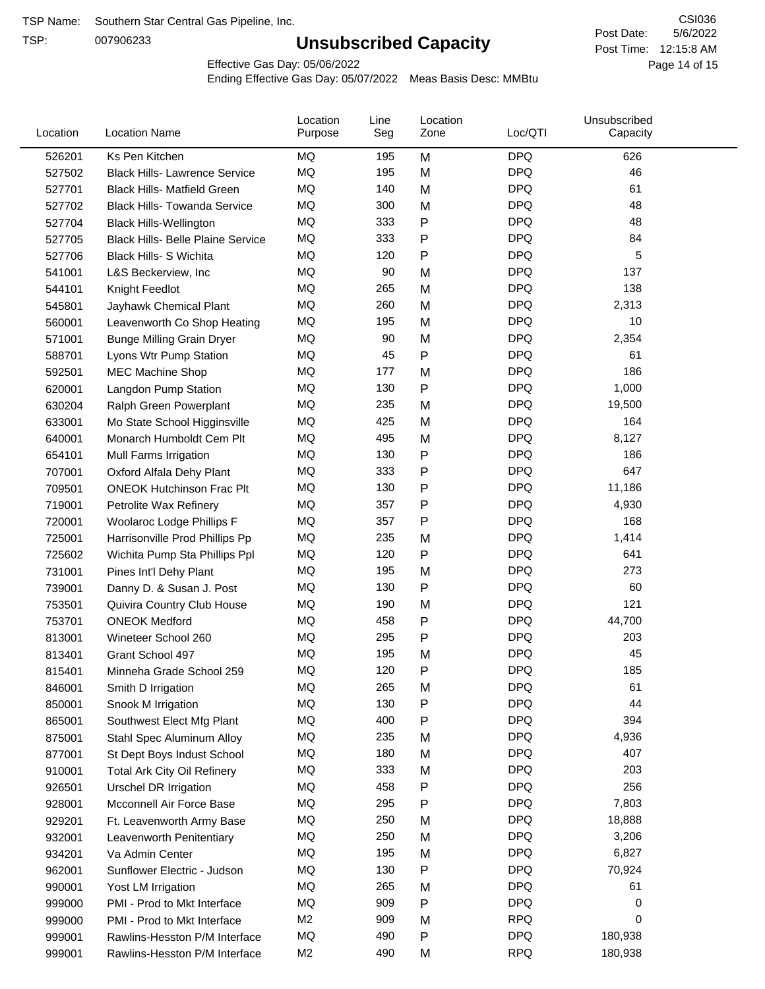TSP:

# **Unsubscribed Capacity**

5/6/2022 Page 14 of 15 Post Time: 12:15:8 AM CSI036 Post Date:

Effective Gas Day: 05/06/2022

| Location | <b>Location Name</b>                     | Location<br>Purpose | Line<br>Seg | Location<br>Zone | Loc/QTI    | Unsubscribed<br>Capacity |  |
|----------|------------------------------------------|---------------------|-------------|------------------|------------|--------------------------|--|
| 526201   | Ks Pen Kitchen                           | <b>MQ</b>           | 195         | M                | <b>DPQ</b> | 626                      |  |
| 527502   | <b>Black Hills- Lawrence Service</b>     | MQ                  | 195         | M                | <b>DPQ</b> | 46                       |  |
| 527701   | <b>Black Hills- Matfield Green</b>       | MQ                  | 140         | M                | <b>DPQ</b> | 61                       |  |
| 527702   | <b>Black Hills- Towanda Service</b>      | MQ                  | 300         | M                | <b>DPQ</b> | 48                       |  |
| 527704   | <b>Black Hills-Wellington</b>            | <b>MQ</b>           | 333         | ${\sf P}$        | <b>DPQ</b> | 48                       |  |
| 527705   | <b>Black Hills- Belle Plaine Service</b> | MQ                  | 333         | P                | <b>DPQ</b> | 84                       |  |
| 527706   | <b>Black Hills- S Wichita</b>            | <b>MQ</b>           | 120         | $\mathsf{P}$     | <b>DPQ</b> | 5                        |  |
| 541001   | L&S Beckerview, Inc                      | MQ                  | 90          | M                | <b>DPQ</b> | 137                      |  |
| 544101   | Knight Feedlot                           | MQ                  | 265         | M                | <b>DPQ</b> | 138                      |  |
| 545801   | Jayhawk Chemical Plant                   | MQ                  | 260         | M                | <b>DPQ</b> | 2,313                    |  |
| 560001   | Leavenworth Co Shop Heating              | MQ                  | 195         | M                | <b>DPQ</b> | 10                       |  |
| 571001   | <b>Bunge Milling Grain Dryer</b>         | MQ                  | 90          | M                | <b>DPQ</b> | 2,354                    |  |
| 588701   | Lyons Wtr Pump Station                   | <b>MQ</b>           | 45          | P                | <b>DPQ</b> | 61                       |  |
| 592501   | <b>MEC Machine Shop</b>                  | <b>MQ</b>           | 177         | M                | <b>DPQ</b> | 186                      |  |
| 620001   | Langdon Pump Station                     | MQ                  | 130         | $\mathsf{P}$     | <b>DPQ</b> | 1,000                    |  |
| 630204   | Ralph Green Powerplant                   | MQ                  | 235         | M                | <b>DPQ</b> | 19,500                   |  |
| 633001   | Mo State School Higginsville             | MQ                  | 425         | M                | <b>DPQ</b> | 164                      |  |
| 640001   | Monarch Humboldt Cem Plt                 | MQ                  | 495         | M                | <b>DPQ</b> | 8,127                    |  |
| 654101   | Mull Farms Irrigation                    | MQ                  | 130         | ${\sf P}$        | <b>DPQ</b> | 186                      |  |
| 707001   | Oxford Alfala Dehy Plant                 | MQ                  | 333         | ${\sf P}$        | <b>DPQ</b> | 647                      |  |
| 709501   | <b>ONEOK Hutchinson Frac Plt</b>         | MQ                  | 130         | P                | <b>DPQ</b> | 11,186                   |  |
| 719001   | Petrolite Wax Refinery                   | MQ                  | 357         | P                | <b>DPQ</b> | 4,930                    |  |
| 720001   | Woolaroc Lodge Phillips F                | <b>MQ</b>           | 357         | $\mathsf{P}$     | <b>DPQ</b> | 168                      |  |
| 725001   | Harrisonville Prod Phillips Pp           | MQ                  | 235         | M                | <b>DPQ</b> | 1,414                    |  |
| 725602   | Wichita Pump Sta Phillips Ppl            | MQ                  | 120         | P                | <b>DPQ</b> | 641                      |  |
| 731001   | Pines Int'l Dehy Plant                   | MQ                  | 195         | M                | <b>DPQ</b> | 273                      |  |
| 739001   | Danny D. & Susan J. Post                 | MQ                  | 130         | P                | <b>DPQ</b> | 60                       |  |
| 753501   | Quivira Country Club House               | MQ                  | 190         | M                | <b>DPQ</b> | 121                      |  |
| 753701   | <b>ONEOK Medford</b>                     | MQ                  | 458         | P                | <b>DPQ</b> | 44,700                   |  |
| 813001   | Wineteer School 260                      | MQ                  | 295         | P                | <b>DPQ</b> | 203                      |  |
| 813401   | Grant School 497                         | MQ                  | 195         | M                | <b>DPQ</b> | 45                       |  |
| 815401   | Minneha Grade School 259                 | ΜQ                  | 120         | Ρ                | <b>DPQ</b> | 185                      |  |
| 846001   | Smith D Irrigation                       | ΜQ                  | 265         | M                | <b>DPQ</b> | 61                       |  |
| 850001   | Snook M Irrigation                       | MQ                  | 130         | ${\sf P}$        | <b>DPQ</b> | 44                       |  |
| 865001   | Southwest Elect Mfg Plant                | MQ                  | 400         | P                | <b>DPQ</b> | 394                      |  |
| 875001   | Stahl Spec Aluminum Alloy                | MQ                  | 235         | M                | <b>DPQ</b> | 4,936                    |  |
| 877001   | St Dept Boys Indust School               | MQ                  | 180         | M                | <b>DPQ</b> | 407                      |  |
| 910001   | <b>Total Ark City Oil Refinery</b>       | MQ                  | 333         | M                | <b>DPQ</b> | 203                      |  |
| 926501   | Urschel DR Irrigation                    | MQ                  | 458         | P                | <b>DPQ</b> | 256                      |  |
| 928001   | Mcconnell Air Force Base                 | MQ                  | 295         | P                | <b>DPQ</b> | 7,803                    |  |
| 929201   | Ft. Leavenworth Army Base                | MQ                  | 250         | M                | <b>DPQ</b> | 18,888                   |  |
| 932001   | Leavenworth Penitentiary                 | MQ                  | 250         | M                | <b>DPQ</b> | 3,206                    |  |
| 934201   | Va Admin Center                          | MQ                  | 195         | M                | <b>DPQ</b> | 6,827                    |  |
| 962001   | Sunflower Electric - Judson              | MQ                  | 130         | P                | <b>DPQ</b> | 70,924                   |  |
| 990001   | Yost LM Irrigation                       | MQ                  | 265         | M                | <b>DPQ</b> | 61                       |  |
| 999000   | PMI - Prod to Mkt Interface              | MQ                  | 909         | ${\sf P}$        | <b>DPQ</b> | 0                        |  |
| 999000   | PMI - Prod to Mkt Interface              | M <sub>2</sub>      | 909         | M                | <b>RPQ</b> | 0                        |  |
| 999001   | Rawlins-Hesston P/M Interface            | MQ                  | 490         | P                | <b>DPQ</b> | 180,938                  |  |
| 999001   | Rawlins-Hesston P/M Interface            | M <sub>2</sub>      | 490         | M                | <b>RPQ</b> | 180,938                  |  |